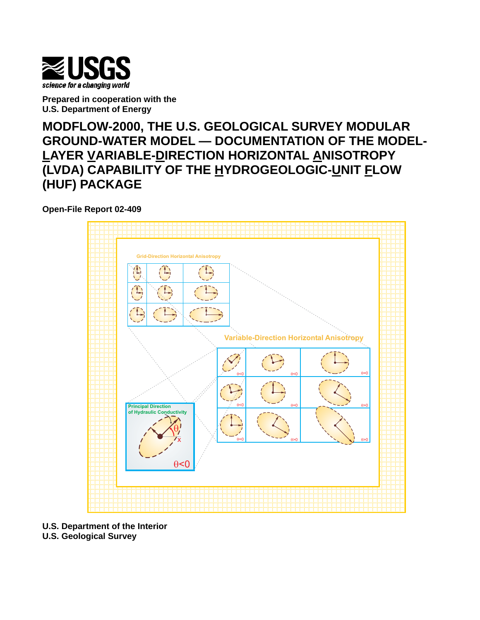

**Prepared in cooperation with the U.S. Department of Energy**

**MODFLOW-2000, THE U.S. GEOLOGICAL SURVEY MODULAR GROUND-WATER MODEL — DOCUMENTATION OF THE MODEL-LAYER VARIABLE-DIRECTION HORIZONTAL ANISOTROPY (LVDA) CAPABILITY OF THE HYDROGEOLOGIC-UNIT FLOW (HUF) PACKAGE**

**Open-File Report 02-409** 



**U.S. Department of the Interior** 

**U.S. Geological Survey**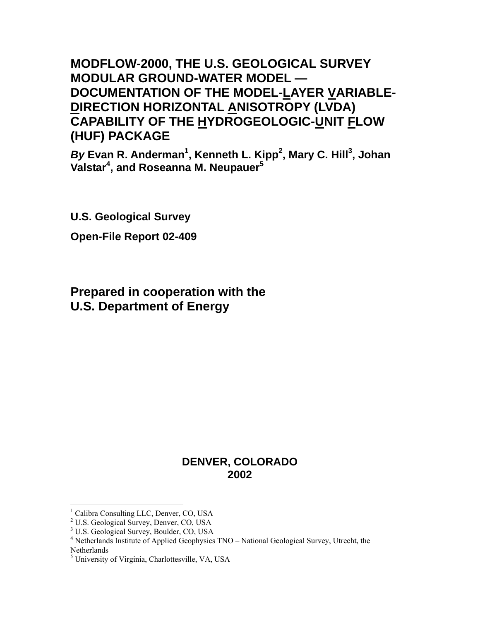# **MODFLOW-2000, THE U.S. GEOLOGICAL SURVEY MODULAR GROUND-WATER MODEL — DOCUMENTATION OF THE MODEL-LAYER VARIABLE-DIRECTION HORIZONTAL ANISOTROPY (LVDA) CAPABILITY OF THE HYDROGEOLOGIC-UNIT FLOW (HUF) PACKAGE**

*By* **Evan R. Anderman[1](#page-2-0) , Kenneth L. Kipp[2](#page-2-1) , Mary C. Hill[3](#page-2-2) , Johan Valstar 4 [,](#page-2-3) and Roseanna M. Neupauer[5](#page-2-4)**

**U.S. Geological Survey Open-File Report 02-409** 

# **Prepared in cooperation with the U.S. Department of Energy**

# **DENVER, COLORADO 2002**

<span id="page-2-0"></span> $\frac{1}{1}$ <sup>1</sup> Calibra Consulting LLC, Denver, CO, USA

<span id="page-2-1"></span><sup>&</sup>lt;sup>2</sup> U.S. Geological Survey, Denver, CO, USA

<span id="page-2-2"></span><sup>&</sup>lt;sup>3</sup> U.S. Geological Survey, Boulder, CO, USA

<span id="page-2-3"></span><sup>&</sup>lt;sup>4</sup> Netherlands Institute of Applied Geophysics  $TNO - National Geological Survey$ , Utrecht, the **Netherlands** 

<span id="page-2-4"></span><sup>&</sup>lt;sup>5</sup> University of Virginia, Charlottesville, VA, USA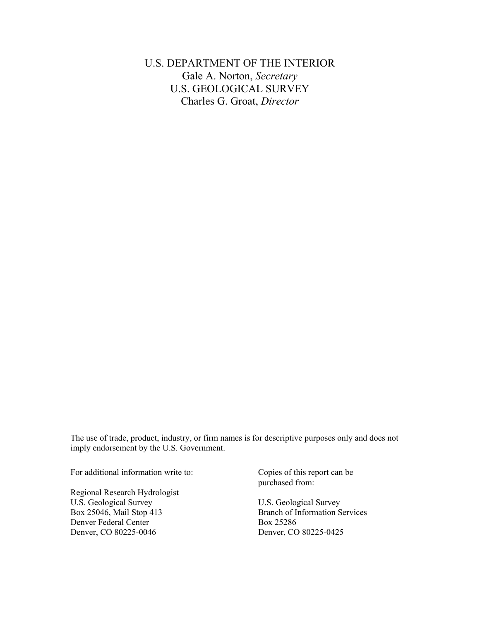U.S. DEPARTMENT OF THE INTERIOR Gale A. Norton, *Secretary* U.S. GEOLOGICAL SURVEY Charles G. Groat, *Director*

The use of trade, product, industry, or firm names is for descriptive purposes only and does not imply endorsement by the U.S. Government.

For additional information write to:

Regional Research Hydrologist U.S. Geological Survey Box 25046, Mail Stop 413 Denver Federal Center Denver, CO 80225-0046

Copies of this report can be purchased from:

U.S. Geological Survey Branch of Information Services Box 25286 Denver, CO 80225-0425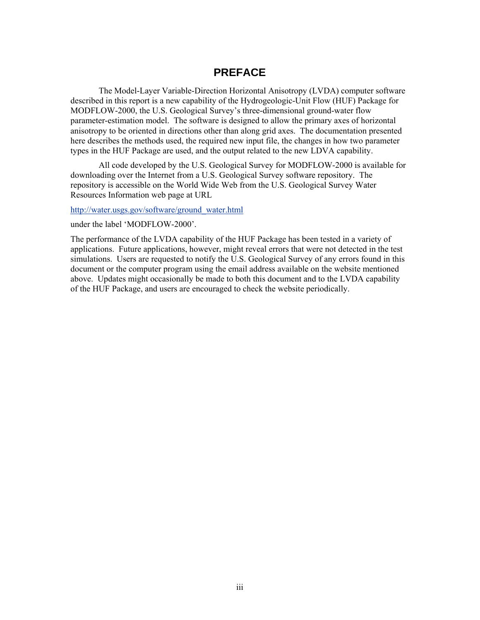## **PREFACE**

The Model-Layer Variable-Direction Horizontal Anisotropy (LVDA) computer software described in this report is a new capability of the Hydrogeologic-Unit Flow (HUF) Package for MODFLOW-2000, the U.S. Geological Survey's three-dimensional ground-water flow parameter-estimation model. The software is designed to allow the primary axes of horizontal anisotropy to be oriented in directions other than along grid axes. The documentation presented here describes the methods used, the required new input file, the changes in how two parameter types in the HUF Package are used, and the output related to the new LDVA capability.

All code developed by the U.S. Geological Survey for MODFLOW-2000 is available for downloading over the Internet from a U.S. Geological Survey software repository. The repository is accessible on the World Wide Web from the U.S. Geological Survey Water Resources Information web page at URL

[http://water.usgs.gov/software/ground\\_water.html](http://water.usgs.gov/software/ground_water.html)

under the label 'MODFLOW-2000'.

The performance of the LVDA capability of the HUF Package has been tested in a variety of applications. Future applications, however, might reveal errors that were not detected in the test simulations. Users are requested to notify the U.S. Geological Survey of any errors found in this document or the computer program using the email address available on the website mentioned above. Updates might occasionally be made to both this document and to the LVDA capability of the HUF Package, and users are encouraged to check the website periodically.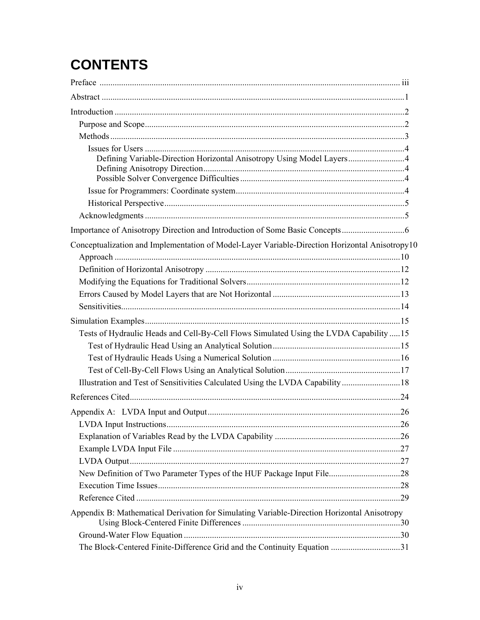# **CONTENTS**

| Defining Variable-Direction Horizontal Anisotropy Using Model Layers4                          |  |
|------------------------------------------------------------------------------------------------|--|
|                                                                                                |  |
|                                                                                                |  |
|                                                                                                |  |
|                                                                                                |  |
|                                                                                                |  |
| Conceptualization and Implementation of Model-Layer Variable-Direction Horizontal Anisotropy10 |  |
|                                                                                                |  |
|                                                                                                |  |
|                                                                                                |  |
|                                                                                                |  |
|                                                                                                |  |
|                                                                                                |  |
| Tests of Hydraulic Heads and Cell-By-Cell Flows Simulated Using the LVDA Capability  15        |  |
|                                                                                                |  |
|                                                                                                |  |
|                                                                                                |  |
| Illustration and Test of Sensitivities Calculated Using the LVDA Capability 18                 |  |
|                                                                                                |  |
|                                                                                                |  |
|                                                                                                |  |
|                                                                                                |  |
|                                                                                                |  |
|                                                                                                |  |
|                                                                                                |  |
|                                                                                                |  |
|                                                                                                |  |
| Appendix B: Mathematical Derivation for Simulating Variable-Direction Horizontal Anisotropy    |  |
|                                                                                                |  |
| The Block-Centered Finite-Difference Grid and the Continuity Equation 31                       |  |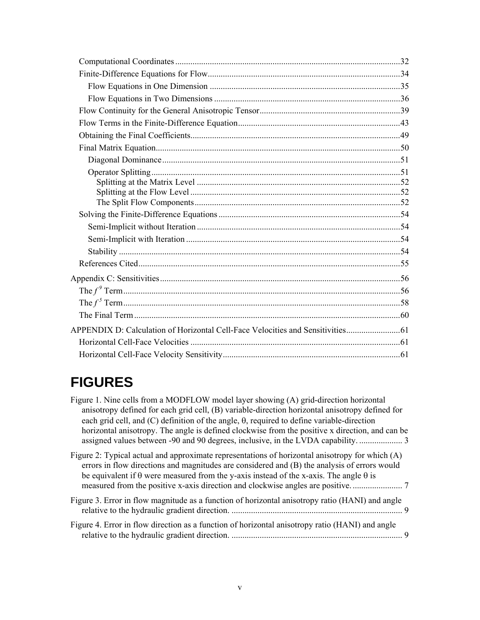| APPENDIX D: Calculation of Horizontal Cell-Face Velocities and Sensitivities |  |
|------------------------------------------------------------------------------|--|
|                                                                              |  |
|                                                                              |  |
|                                                                              |  |

# **FIGURES**

| Figure 1. Nine cells from a MODFLOW model layer showing (A) grid-direction horizontal                                                                                                                                                                                                                     |
|-----------------------------------------------------------------------------------------------------------------------------------------------------------------------------------------------------------------------------------------------------------------------------------------------------------|
| anisotropy defined for each grid cell, (B) variable-direction horizontal anisotropy defined for                                                                                                                                                                                                           |
| each grid cell, and $(C)$ definition of the angle, $\theta$ , required to define variable-direction                                                                                                                                                                                                       |
| horizontal anisotropy. The angle is defined clockwise from the positive x direction, and can be                                                                                                                                                                                                           |
|                                                                                                                                                                                                                                                                                                           |
| Figure 2: Typical actual and approximate representations of horizontal anisotropy for which $(A)$<br>errors in flow directions and magnitudes are considered and (B) the analysis of errors would<br>be equivalent if $\theta$ were measured from the y-axis instead of the x-axis. The angle $\theta$ is |
| Figure 3. Error in flow magnitude as a function of horizontal anisotropy ratio (HANI) and angle<br>9                                                                                                                                                                                                      |
| Figure 4. Error in flow direction as a function of horizontal anisotropy ratio (HANI) and angle                                                                                                                                                                                                           |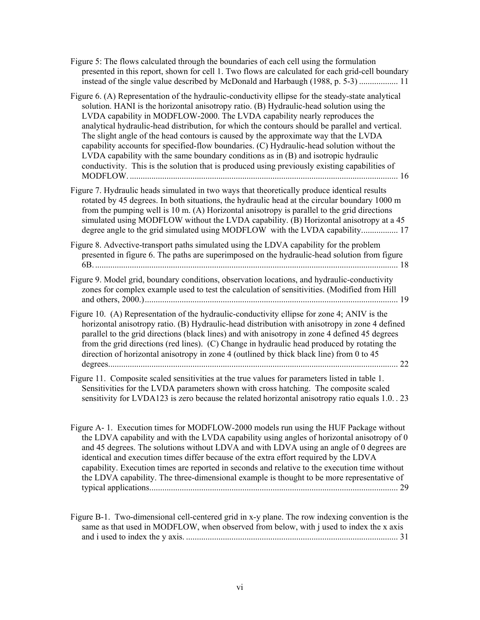[Figure 5: The flows calculated through the boundaries of each cell using the formulation](#page-19-0)  [presented in this report, shown for cell 1. Two flows are calculated for each grid-cell boundary](#page-19-0) instead of the single value described by [McDonald and Harbaugh \(1988, p. 5-3\)](#page-19-0) .................. 11

- [Figure 6. \(A\) Representation of the hydraulic-conductivity ellipse for the steady-state analytical](#page-24-0)  [solution. HANI is the horizontal anisotropy ratio. \(B\) Hydraulic-head solution using the](#page-24-0)  [LVDA capability in MODFLOW-2000. The LVDA capability nearly reproduces the](#page-24-0)  [analytical hydraulic-head distribution, for which the contours should be parallel and vertical.](#page-24-0)  [The slight angle of the head contours is caused by the approximate way that the LVDA](#page-24-0)  [capability accounts for specified-flow boundaries. \(C\) Hydraulic-head solution without the](#page-24-0)  [LVDA capability with the same boundary conditions as in \(B\) and isotropic hydraulic](#page-24-0)  [conductivity. This is the solution that is produced using previously existing capabilities of](#page-24-0)  MODFLOW. [............................................................................................................................](#page-24-0) 16
- [Figure 7. Hydraulic heads simulated in two ways that theoretically produce identical results](#page-25-0)  [rotated by 45 degrees. In both situations, the hydraulic head at the circular boundary 1000 m](#page-25-0) [from the pumping well is 10 m. \(A\) Horizontal anisotropy is parallel to the grid directions](#page-25-0)  [simulated using MODFLOW without the LVDA capability. \(B\) Horizontal anisotropy at a 45](#page-25-0)  [degree angle to the grid simulated using MODFLOW with the LVDA capability.................](#page-25-0).. 17

[Figure 8. Advective-transport paths simulated using the LDVA capability for the problem](#page-26-0) [presented in figure 6. The paths are superimposed on the hydraulic-head solution from figure](#page-26-0)  6B. [............................................................................................................................................](#page-26-0) 18

- [Figure 9. Model grid, boundary conditions, observation locations, and hydraulic-conductivity](#page-27-0) [zones for complex example used to test the calculation of sensitivities. \(Modified from Hill](#page-27-0)  [and others, 2000.\).....................................................................................................................](#page-27-0) 19
- [Figure 10. \(A\) Representation of the hydraulic-conductivity ellipse for zone 4; ANIV is the](#page-30-0)  [horizontal anisotropy ratio. \(B\) Hydraulic-head distribution with anisotropy in zone 4 defined](#page-30-0)  [parallel to the grid directions \(black lines\) and with anisotropy in zone 4 defined 45 degrees](#page-30-0)  [from the grid directions \(red lines\). \(C\) Change in hydraulic head produced by rotating the](#page-30-0)  [direction of horizontal anisotropy in zone 4 \(outlined by thick black line\) from 0 to 45](#page-30-0)  [degrees......................................................................................................................................](#page-30-0) 22
- [Figure 11. Composite scaled sensitivities at the true values for parameters listed in table 1.](#page-31-0)  [Sensitivities for the LVDA parameters shown with cross hatching. The composite scaled](#page-31-0)  [sensitivity for LVDA123 is zero because the related horizontal anisotropy ratio equals 1.0.](#page-31-0) . 23
- [Figure A- 1. Execution times for MODFLOW-2000 models run using the HUF Package without](#page-37-0)  [the LDVA capability and with the LVDA capability using angles of horizontal anisotropy of 0](#page-37-0)  [and 45 degrees. The solutions without LDVA and with LDVA using an angle of 0 degrees are](#page-37-0)  [identical and execution times differ because of the extra effort required by the LDVA](#page-37-0)  [capability. Execution times are reported in seconds and relative to the execution time without](#page-37-0)  [the LDVA capability. The three-dimensional example is thought to be more representative of](#page-37-0)  [typical applications...................................................................................................................](#page-37-0) 29
- [Figure B-1. Two-dimensional cell-centered grid in x-y plane. The row indexing convention is the](#page-39-0)  same as that used in MODFLOW, when observed from below, with j used to index the x axis and i used to index the y axis. [..................................................................................................](#page-39-0) 31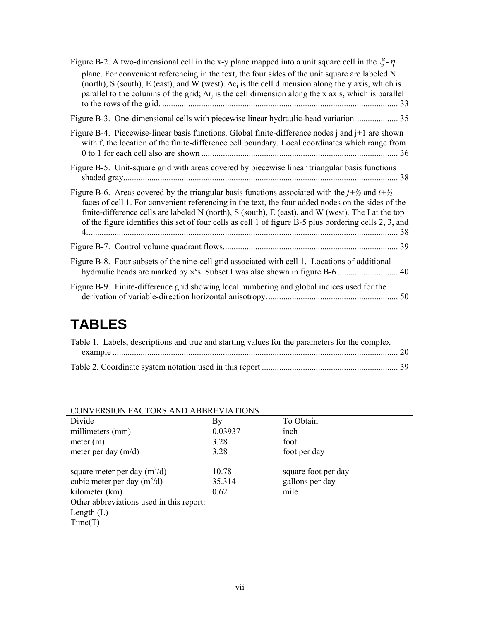| Figure B-2. A two-dimensional cell in the x-y plane mapped into a unit square cell in the $\xi$ - $\eta$                                                                                                                                                                                                                                                                                                                                 |
|------------------------------------------------------------------------------------------------------------------------------------------------------------------------------------------------------------------------------------------------------------------------------------------------------------------------------------------------------------------------------------------------------------------------------------------|
| plane. For convenient referencing in the text, the four sides of the unit square are labeled N<br>(north), S (south), E (east), and W (west). $\Delta c_i$ is the cell dimension along the y axis, which is<br>parallel to the columns of the grid; $\Delta r_i$ is the cell dimension along the x axis, which is parallel                                                                                                               |
| Figure B-3. One-dimensional cells with piecewise linear hydraulic-head variation 35                                                                                                                                                                                                                                                                                                                                                      |
| Figure B-4. Piecewise-linear basis functions. Global finite-difference nodes $\mathbf{j}$ and $\mathbf{j}+1$ are shown<br>with f, the location of the finite-difference cell boundary. Local coordinates which range from                                                                                                                                                                                                                |
| Figure B-5. Unit-square grid with areas covered by piecewise linear triangular basis functions                                                                                                                                                                                                                                                                                                                                           |
| Figure B-6. Areas covered by the triangular basis functions associated with the $j+\frac{1}{2}$ and $i+\frac{1}{2}$<br>faces of cell 1. For convenient referencing in the text, the four added nodes on the sides of the<br>finite-difference cells are labeled N (north), S (south), E (east), and W (west). The I at the top<br>of the figure identifies this set of four cells as cell 1 of figure B-5 plus bordering cells 2, 3, and |
|                                                                                                                                                                                                                                                                                                                                                                                                                                          |
| Figure B-8. Four subsets of the nine-cell grid associated with cell 1. Locations of additional                                                                                                                                                                                                                                                                                                                                           |
| Figure B-9. Finite-difference grid showing local numbering and global indices used for the                                                                                                                                                                                                                                                                                                                                               |

# **TABLES**

| Table 1. Labels, descriptions and true and starting values for the parameters for the complex |  |
|-----------------------------------------------------------------------------------------------|--|
|                                                                                               |  |
|                                                                                               |  |
|                                                                                               |  |

| Divide                         | Bv      | To Obtain           |  |
|--------------------------------|---------|---------------------|--|
| millimeters (mm)               | 0.03937 | inch                |  |
| meter (m)                      | 3.28    | foot                |  |
| meter per day $(m/d)$          | 3.28    | foot per day        |  |
| square meter per day $(m^2/d)$ | 10.78   | square foot per day |  |
| cubic meter per day $(m^3/d)$  | 35.314  | gallons per day     |  |
| kilometer (km)                 | 0.62    | mile                |  |

### CONVERSION FACTORS AND ABBREVIATIONS

Other abbreviations used in this report:

Time(T)

Length (L)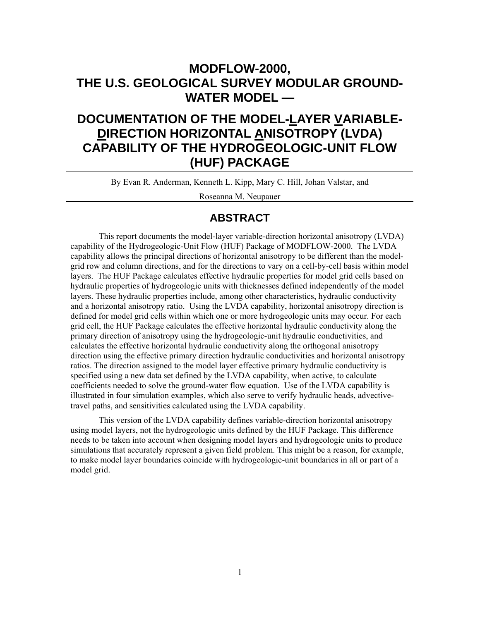# <span id="page-9-0"></span>**MODFLOW-2000, THE U.S. GEOLOGICAL SURVEY MODULAR GROUND-WATER MODEL —**

# **DOCUMENTATION OF THE MODEL-LAYER VARIABLE-DIRECTION HORIZONTAL ANISOTROPY (LVDA) CAPABILITY OF THE HYDROGEOLOGIC-UNIT FLOW (HUF) PACKAGE**

By Evan R. Anderman, Kenneth L. Kipp, Mary C. Hill, Johan Valstar, and

Roseanna M. Neupauer

## **ABSTRACT**

This report documents the model-layer variable-direction horizontal anisotropy (LVDA) capability of the Hydrogeologic-Unit Flow (HUF) Package of MODFLOW-2000. The LVDA capability allows the principal directions of horizontal anisotropy to be different than the modelgrid row and column directions, and for the directions to vary on a cell-by-cell basis within model layers. The HUF Package calculates effective hydraulic properties for model grid cells based on hydraulic properties of hydrogeologic units with thicknesses defined independently of the model layers. These hydraulic properties include, among other characteristics, hydraulic conductivity and a horizontal anisotropy ratio. Using the LVDA capability, horizontal anisotropy direction is defined for model grid cells within which one or more hydrogeologic units may occur. For each grid cell, the HUF Package calculates the effective horizontal hydraulic conductivity along the primary direction of anisotropy using the hydrogeologic-unit hydraulic conductivities, and calculates the effective horizontal hydraulic conductivity along the orthogonal anisotropy direction using the effective primary direction hydraulic conductivities and horizontal anisotropy ratios. The direction assigned to the model layer effective primary hydraulic conductivity is specified using a new data set defined by the LVDA capability, when active, to calculate coefficients needed to solve the ground-water flow equation. Use of the LVDA capability is illustrated in four simulation examples, which also serve to verify hydraulic heads, advectivetravel paths, and sensitivities calculated using the LVDA capability.

This version of the LVDA capability defines variable-direction horizontal anisotropy using model layers, not the hydrogeologic units defined by the HUF Package. This difference needs to be taken into account when designing model layers and hydrogeologic units to produce simulations that accurately represent a given field problem. This might be a reason, for example, to make model layer boundaries coincide with hydrogeologic-unit boundaries in all or part of a model grid.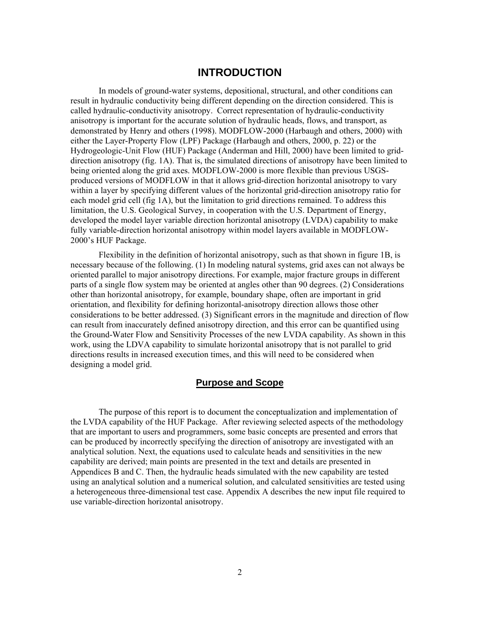#### **INTRODUCTION**

<span id="page-10-0"></span>In models of ground-water systems, depositional, structural, and other conditions can result in hydraulic conductivity being different depending on the direction considered. This is called hydraulic-conductivity anisotropy. Correct representation of hydraulic-conductivity anisotropy is important for the accurate solution of hydraulic heads, flows, and transport, as demonstrated by Henry and others (1998). MODFLOW-2000 (Harbaugh and others, 2000) with either the Layer-Property Flow (LPF) Package (Harbaugh and others, 2000, p. 22) or the Hydrogeologic-Unit Flow (HUF) Package (Anderman and Hill, 2000) have been limited to griddirection anisotropy (fig. 1A). That is, the simulated directions of anisotropy have been limited to being oriented along the grid axes. MODFLOW-2000 is more flexible than previous USGSproduced versions of MODFLOW in that it allows grid-direction horizontal anisotropy to vary within a layer by specifying different values of the horizontal grid-direction anisotropy ratio for each model grid cell (fig 1A), but the limitation to grid directions remained. To address this limitation, the U.S. Geological Survey, in cooperation with the U.S. Department of Energy, developed the model layer variable direction horizontal anisotropy (LVDA) capability to make fully variable-direction horizontal anisotropy within model layers available in MODFLOW-2000's HUF Package.

Flexibility in the definition of horizontal anisotropy, such as that shown in figure 1B, is necessary because of the following. (1) In modeling natural systems, grid axes can not always be oriented parallel to major anisotropy directions. For example, major fracture groups in different parts of a single flow system may be oriented at angles other than 90 degrees. (2) Considerations other than horizontal anisotropy, for example, boundary shape, often are important in grid orientation, and flexibility for defining horizontal-anisotropy direction allows those other considerations to be better addressed. (3) Significant errors in the magnitude and direction of flow can result from inaccurately defined anisotropy direction, and this error can be quantified using the Ground-Water Flow and Sensitivity Processes of the new LVDA capability. As shown in this work, using the LDVA capability to simulate horizontal anisotropy that is not parallel to grid directions results in increased execution times, and this will need to be considered when designing a model grid.

#### **Purpose and Scope**

The purpose of this report is to document the conceptualization and implementation of the LVDA capability of the HUF Package. After reviewing selected aspects of the methodology that are important to users and programmers, some basic concepts are presented and errors that can be produced by incorrectly specifying the direction of anisotropy are investigated with an analytical solution. Next, the equations used to calculate heads and sensitivities in the new capability are derived; main points are presented in the text and details are presented in Appendices B and C. Then, the hydraulic heads simulated with the new capability are tested using an analytical solution and a numerical solution, and calculated sensitivities are tested using a heterogeneous three-dimensional test case. Appendix A describes the new input file required to use variable-direction horizontal anisotropy.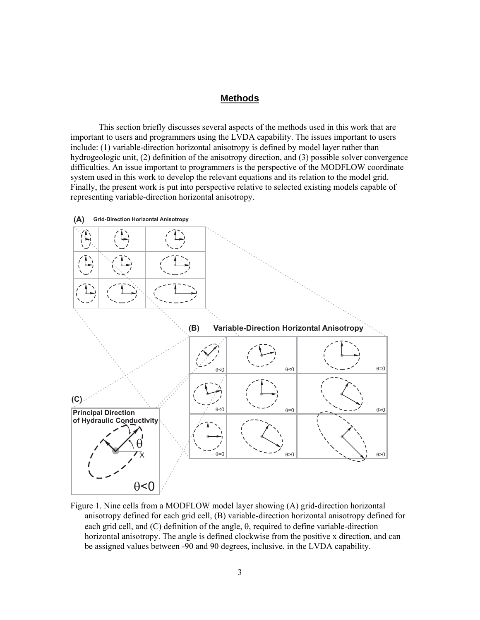#### **Methods**

<span id="page-11-0"></span>This section briefly discusses several aspects of the methods used in this work that are important to users and programmers using the LVDA capability. The issues important to users include: (1) variable-direction horizontal anisotropy is defined by model layer rather than hydrogeologic unit, (2) definition of the anisotropy direction, and (3) possible solver convergence difficulties. An issue important to programmers is the perspective of the MODFLOW coordinate system used in this work to develop the relevant equations and its relation to the model grid. Finally, the present work is put into perspective relative to selected existing models capable of representing variable-direction horizontal anisotropy.



Figure 1. Nine cells from a MODFLOW model layer showing (A) grid-direction horizontal anisotropy defined for each grid cell, (B) variable-direction horizontal anisotropy defined for each grid cell, and (C) definition of the angle, θ, required to define variable-direction horizontal anisotropy. The angle is defined clockwise from the positive x direction, and can be assigned values between -90 and 90 degrees, inclusive, in the LVDA capability.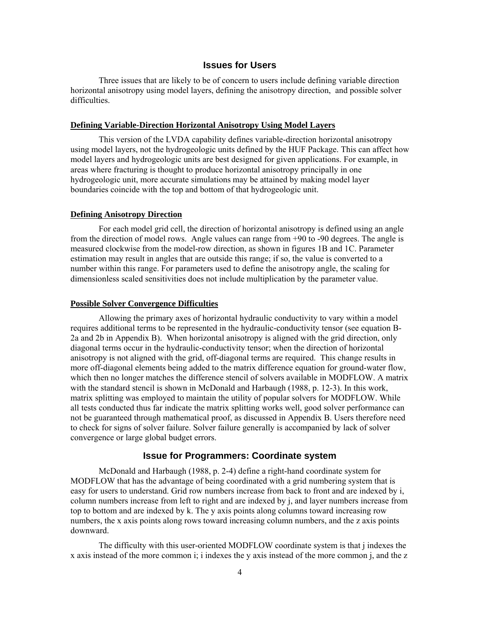#### **Issues for Users**

<span id="page-12-0"></span>Three issues that are likely to be of concern to users include defining variable direction horizontal anisotropy using model layers, defining the anisotropy direction, and possible solver difficulties.

#### **Defining Variable-Direction Horizontal Anisotropy Using Model Layers**

This version of the LVDA capability defines variable-direction horizontal anisotropy using model layers, not the hydrogeologic units defined by the HUF Package. This can affect how model layers and hydrogeologic units are best designed for given applications. For example, in areas where fracturing is thought to produce horizontal anisotropy principally in one hydrogeologic unit, more accurate simulations may be attained by making model layer boundaries coincide with the top and bottom of that hydrogeologic unit.

#### **Defining Anisotropy Direction**

For each model grid cell, the direction of horizontal anisotropy is defined using an angle from the direction of model rows. Angle values can range from +90 to -90 degrees. The angle is measured clockwise from the model-row direction, as shown in figures 1B and 1C. Parameter estimation may result in angles that are outside this range; if so, the value is converted to a number within this range. For parameters used to define the anisotropy angle, the scaling for dimensionless scaled sensitivities does not include multiplication by the parameter value.

#### **Possible Solver Convergence Difficulties**

Allowing the primary axes of horizontal hydraulic conductivity to vary within a model requires additional terms to be represented in the hydraulic-conductivity tensor (see equation B-2a and 2b in Appendix B). When horizontal anisotropy is aligned with the grid direction, only diagonal terms occur in the hydraulic-conductivity tensor; when the direction of horizontal anisotropy is not aligned with the grid, off-diagonal terms are required. This change results in more off-diagonal elements being added to the matrix difference equation for ground-water flow, which then no longer matches the difference stencil of solvers available in MODFLOW. A matrix with the standard stencil is shown in McDonald and Harbaugh (1988, p. 12-3). In this work, matrix splitting was employed to maintain the utility of popular solvers for MODFLOW. While all tests conducted thus far indicate the matrix splitting works well, good solver performance can not be guaranteed through mathematical proof, as discussed in Appendix B. Users therefore need to check for signs of solver failure. Solver failure generally is accompanied by lack of solver convergence or large global budget errors.

#### **Issue for Programmers: Coordinate system**

McDonald and Harbaugh (1988, p. 2-4) define a right-hand coordinate system for MODFLOW that has the advantage of being coordinated with a grid numbering system that is easy for users to understand. Grid row numbers increase from back to front and are indexed by i, column numbers increase from left to right and are indexed by j, and layer numbers increase from top to bottom and are indexed by k. The y axis points along columns toward increasing row numbers, the x axis points along rows toward increasing column numbers, and the z axis points downward.

The difficulty with this user-oriented MODFLOW coordinate system is that j indexes the x axis instead of the more common i; i indexes the y axis instead of the more common j, and the z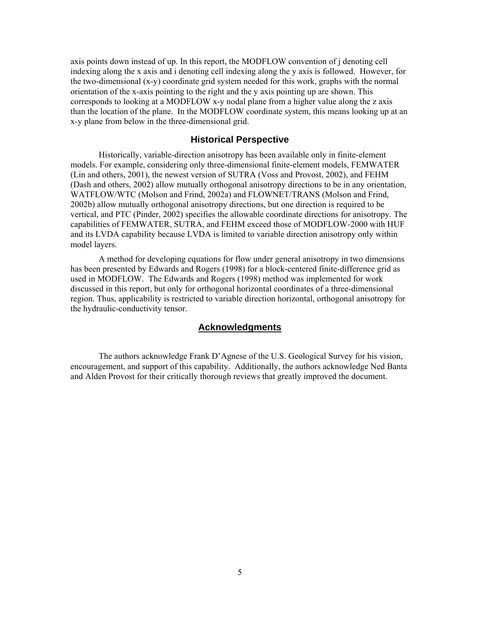<span id="page-13-0"></span>axis points down instead of up. In this report, the MODFLOW convention of j denoting cell indexing along the x axis and i denoting cell indexing along the y axis is followed. However, for the two-dimensional (x-y) coordinate grid system needed for this work, graphs with the normal orientation of the x-axis pointing to the right and the y axis pointing up are shown. This corresponds to looking at a MODFLOW x-y nodal plane from a higher value along the z axis than the location of the plane. In the MODFLOW coordinate system, this means looking up at an x-y plane from below in the three-dimensional grid.

#### **Historical Perspective**

Historically, variable-direction anisotropy has been available only in finite-element models. For example, considering only three-dimensional finite-element models, FEMWATER (Lin and others, 2001), the newest version of SUTRA (Voss and Provost, 2002), and FEHM (Dash and others, 2002) allow mutually orthogonal anisotropy directions to be in any orientation, WATFLOW/WTC (Molson and Frind, 2002a) and FLOWNET/TRANS (Molson and Frind, 2002b) allow mutually orthogonal anisotropy directions, but one direction is required to be vertical, and PTC (Pinder, 2002) specifies the allowable coordinate directions for anisotropy. The capabilities of FEMWATER, SUTRA, and FEHM exceed those of MODFLOW-2000 with HUF and its LVDA capability because LVDA is limited to variable direction anisotropy only within model layers.

A method for developing equations for flow under general anisotropy in two dimensions has been presented by Edwards and Rogers (1998) for a block-centered finite-difference grid as used in MODFLOW. The Edwards and Rogers (1998) method was implemented for work discussed in this report, but only for orthogonal horizontal coordinates of a three-dimensional region. Thus, applicability is restricted to variable direction horizontal, orthogonal anisotropy for the hydraulic-conductivity tensor.

#### **Acknowledgments**

The authors acknowledge Frank D'Agnese of the U.S. Geological Survey for his vision, encouragement, and support of this capability. Additionally, the authors acknowledge Ned Banta and Alden Provost for their critically thorough reviews that greatly improved the document.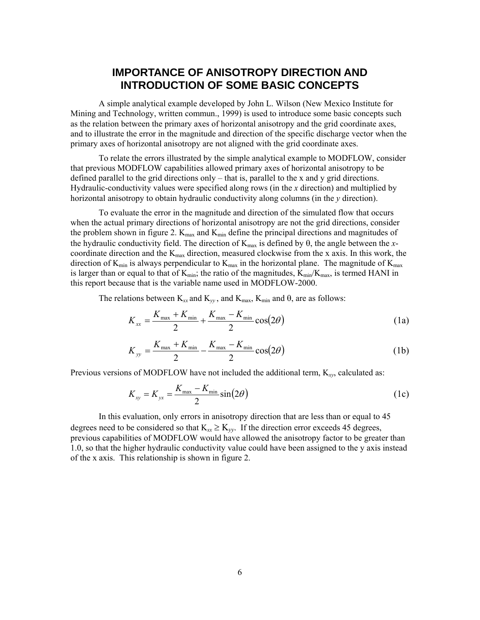# **IMPORTANCE OF ANISOTROPY DIRECTION AND INTRODUCTION OF SOME BASIC CONCEPTS**

<span id="page-14-0"></span>A simple analytical example developed by John L. Wilson (New Mexico Institute for Mining and Technology, written commun., 1999) is used to introduce some basic concepts such as the relation between the primary axes of horizontal anisotropy and the grid coordinate axes, and to illustrate the error in the magnitude and direction of the specific discharge vector when the primary axes of horizontal anisotropy are not aligned with the grid coordinate axes.

To relate the errors illustrated by the simple analytical example to MODFLOW, consider that previous MODFLOW capabilities allowed primary axes of horizontal anisotropy to be defined parallel to the grid directions only – that is, parallel to the x and y grid directions. Hydraulic-conductivity values were specified along rows (in the *x* direction) and multiplied by horizontal anisotropy to obtain hydraulic conductivity along columns (in the *y* direction).

To evaluate the error in the magnitude and direction of the simulated flow that occurs when the actual primary directions of horizontal anisotropy are not the grid directions, consider the problem shown in figure 2.  $K_{max}$  and  $K_{min}$  define the principal directions and magnitudes of the hydraulic conductivity field. The direction of  $K_{max}$  is defined by  $\theta$ , the angle between the *x*coordinate direction and the  $K_{\text{max}}$  direction, measured clockwise from the x axis. In this work, the direction of  $K_{min}$  is always perpendicular to  $K_{max}$  in the horizontal plane. The magnitude of  $K_{max}$ is larger than or equal to that of  $K_{min}$ ; the ratio of the magnitudes,  $K_{min}/K_{max}$ , is termed HANI in this report because that is the variable name used in MODFLOW-2000.

The relations between  $K_{xx}$  and  $K_{yy}$ , and  $K_{max}$ ,  $K_{min}$  and  $\theta$ , are as follows:

$$
K_{xx} = \frac{K_{\text{max}} + K_{\text{min}}}{2} + \frac{K_{\text{max}} - K_{\text{min}}}{2} \cos(2\theta)
$$
 (1a)

$$
K_{yy} = \frac{K_{\text{max}} + K_{\text{min}}}{2} - \frac{K_{\text{max}} - K_{\text{min}}}{2} \cos(2\theta)
$$
 (1b)

Previous versions of MODFLOW have not included the additional term, K*xy*, calculated as:

$$
K_{xy} = K_{yx} = \frac{K_{\text{max}} - K_{\text{min}}}{2} \sin(2\theta)
$$
 (1c)

In this evaluation, only errors in anisotropy direction that are less than or equal to 45 degrees need to be considered so that  $K_{xx} \ge K_{yy}$ . If the direction error exceeds 45 degrees, previous capabilities of MODFLOW would have allowed the anisotropy factor to be greater than 1.0, so that the higher hydraulic conductivity value could have been assigned to the y axis instead of the x axis. This relationship is shown in figure 2.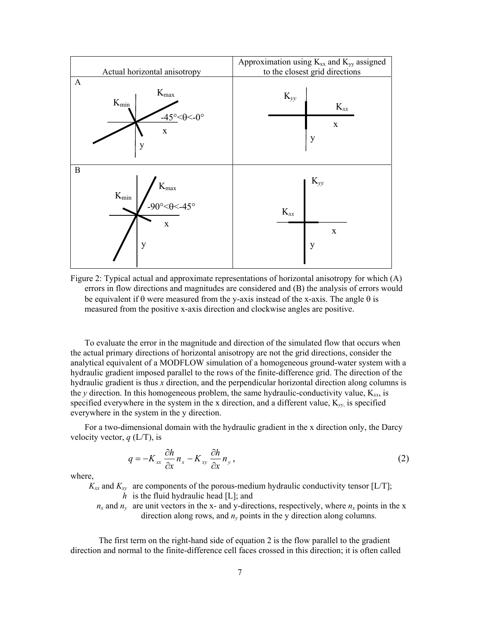<span id="page-15-0"></span>

Figure 2: Typical actual and approximate representations of horizontal anisotropy for which (A) errors in flow directions and magnitudes are considered and (B) the analysis of errors would be equivalent if  $\theta$  were measured from the y-axis instead of the x-axis. The angle  $\theta$  is measured from the positive x-axis direction and clockwise angles are positive.

To evaluate the error in the magnitude and direction of the simulated flow that occurs when the actual primary directions of horizontal anisotropy are not the grid directions, consider the analytical equivalent of a MODFLOW simulation of a homogeneous ground-water system with a hydraulic gradient imposed parallel to the rows of the finite-difference grid. The direction of the hydraulic gradient is thus *x* direction, and the perpendicular horizontal direction along columns is the *y* direction. In this homogeneous problem, the same hydraulic-conductivity value, K*xx*, is specified everywhere in the system in the x direction, and a different value, K*yy*, is specified everywhere in the system in the y direction.

For a two-dimensional domain with the hydraulic gradient in the x direction only, the Darcy velocity vector, *q* (L/T), is

$$
q = -K_{xx} \frac{\partial h}{\partial x} n_x - K_{xy} \frac{\partial h}{\partial x} n_y, \qquad (2)
$$

where,

 $K_{xx}$  and  $K_{xy}$  are components of the porous-medium hydraulic conductivity tensor [L/T]; *h* is the fluid hydraulic head [L]; and

 $n_x$  and  $n_y$  are unit vectors in the x- and y-directions, respectively, where  $n_x$  points in the x direction along rows, and  $n<sub>v</sub>$  points in the y direction along columns.

The first term on the right-hand side of equation 2 is the flow parallel to the gradient direction and normal to the finite-difference cell faces crossed in this direction; it is often called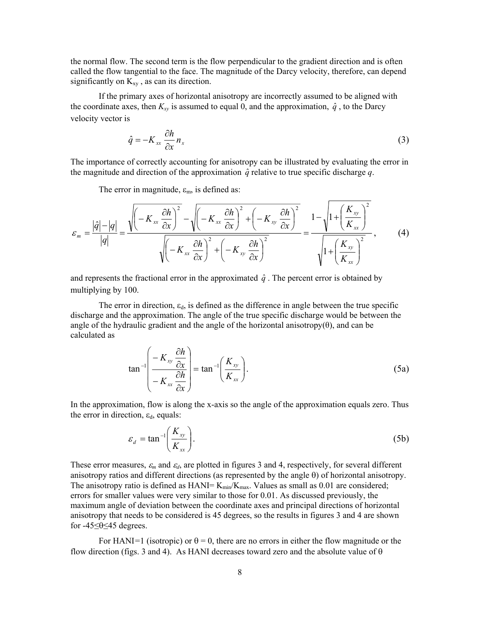the normal flow. The second term is the flow perpendicular to the gradient direction and is often called the flow tangential to the face. The magnitude of the Darcy velocity, therefore, can depend significantly on  $K_{xy}$ , as can its direction.

If the primary axes of horizontal anisotropy are incorrectly assumed to be aligned with the coordinate axes, then  $K_{xy}$  is assumed to equal 0, and the approximation,  $\hat{q}$ , to the Darcy velocity vector is

$$
\hat{q} = -K_{xx} \frac{\partial h}{\partial x} n_x \tag{3}
$$

The importance of correctly accounting for anisotropy can be illustrated by evaluating the error in the magnitude and direction of the approximation  $\hat{q}$  relative to true specific discharge *q*.

The error in magnitude,  $\varepsilon_m$ , is defined as:

$$
\varepsilon_{m} = \frac{|\hat{q}| - |q|}{|q|} = \frac{\sqrt{\left(-K_{xx} \frac{\partial h}{\partial x}\right)^{2} - \sqrt{\left(-K_{xx} \frac{\partial h}{\partial x}\right)^{2} + \left(-K_{xy} \frac{\partial h}{\partial x}\right)^{2}}}}{\sqrt{\left(-K_{xx} \frac{\partial h}{\partial x}\right)^{2} + \left(-K_{xy} \frac{\partial h}{\partial x}\right)^{2}}} = \frac{1 - \sqrt{1 + \left(\frac{K_{xy}}{K_{xx}}\right)^{2}}}{\sqrt{1 + \left(\frac{K_{xy}}{K_{xx}}\right)^{2}}},\qquad(4)
$$

and represents the fractional error in the approximated  $\hat{q}$ . The percent error is obtained by multiplying by 100.

The error in direction,  $\varepsilon_d$ , is defined as the difference in angle between the true specific discharge and the approximation. The angle of the true specific discharge would be between the angle of the hydraulic gradient and the angle of the horizontal anisotropy $(\theta)$ , and can be calculated as

$$
\tan^{-1}\left(\frac{-K_{xy}\frac{\partial h}{\partial x}}{-K_{xx}\frac{\partial h}{\partial x}}\right) = \tan^{-1}\left(\frac{K_{xy}}{K_{xx}}\right). \tag{5a}
$$

In the approximation, flow is along the x-axis so the angle of the approximation equals zero. Thus the error in direction,  $\varepsilon_d$ , equals:

$$
\varepsilon_d = \tan^{-1} \left( \frac{K_{xy}}{K_{xx}} \right). \tag{5b}
$$

These error measures,  $\varepsilon_m$  and  $\varepsilon_d$ , are plotted in figures 3 and 4, respectively, for several different anisotropy ratios and different directions (as represented by the angle θ) of horizontal anisotropy. The anisotropy ratio is defined as  $HANI= K_{min}/K_{max}$ . Values as small as 0.01 are considered; errors for smaller values were very similar to those for 0.01. As discussed previously, the maximum angle of deviation between the coordinate axes and principal directions of horizontal anisotropy that needs to be considered is 45 degrees, so the results in figures 3 and 4 are shown for -45≤θ≤45 degrees.

For HANI<sup>=1</sup> (isotropic) or  $\theta = 0$ , there are no errors in either the flow magnitude or the flow direction (figs. 3 and 4). As HANI decreases toward zero and the absolute value of  $\theta$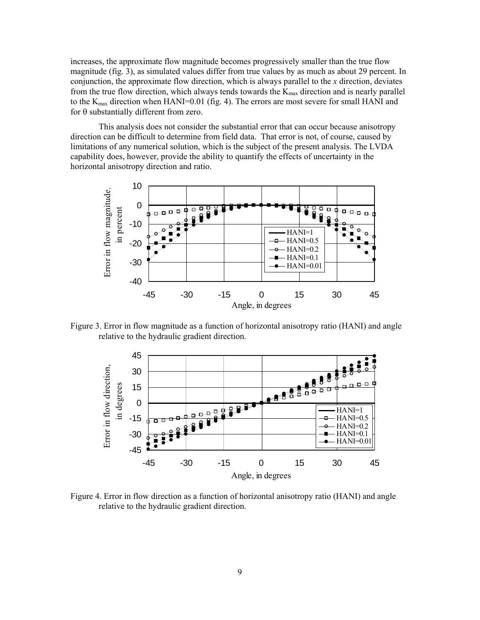<span id="page-17-0"></span>increases, the approximate flow magnitude becomes progressively smaller than the true flow magnitude (fig. 3), as simulated values differ from true values by as much as about 29 percent. In conjunction, the approximate flow direction, which is always parallel to the *x* direction, deviates from the true flow direction, which always tends towards the  $K_{\text{max}}$  direction and is nearly parallel to the  $K_{\text{max}}$  direction when HANI=0.01 (fig. 4). The errors are most severe for small HANI and for θ substantially different from zero.

This analysis does not consider the substantial error that can occur because anisotropy direction can be difficult to determine from field data. That error is not, of course, caused by limitations of any numerical solution, which is the subject of the present analysis. The LVDA capability does, however, provide the ability to quantify the effects of uncertainty in the horizontal anisotropy direction and ratio.



Figure 3. Error in flow magnitude as a function of horizontal anisotropy ratio (HANI) and angle relative to the hydraulic gradient direction.



Figure 4. Error in flow direction as a function of horizontal anisotropy ratio (HANI) and angle relative to the hydraulic gradient direction.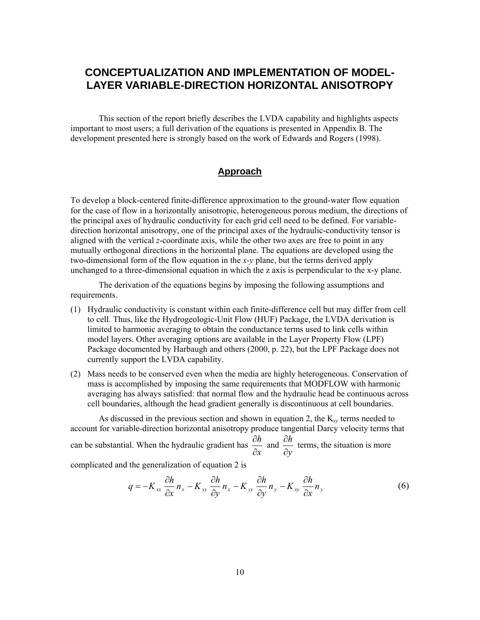# <span id="page-18-0"></span>**CONCEPTUALIZATION AND IMPLEMENTATION OF MODEL-LAYER VARIABLE-DIRECTION HORIZONTAL ANISOTROPY**

This section of the report briefly describes the LVDA capability and highlights aspects important to most users; a full derivation of the equations is presented in Appendix B. The development presented here is strongly based on the work of Edwards and Rogers (1998).

#### **Approach**

To develop a block-centered finite-difference approximation to the ground-water flow equation for the case of flow in a horizontally anisotropic, heterogeneous porous medium, the directions of the principal axes of hydraulic conductivity for each grid cell need to be defined. For variabledirection horizontal anisotropy, one of the principal axes of the hydraulic-conductivity tensor is aligned with the vertical *z*-coordinate axis, while the other two axes are free to point in any mutually orthogonal directions in the horizontal plane. The equations are developed using the two-dimensional form of the flow equation in the *x*-*y* plane, but the terms derived apply unchanged to a three-dimensional equation in which the z axis is perpendicular to the x-y plane.

The derivation of the equations begins by imposing the following assumptions and requirements.

- (1) Hydraulic conductivity is constant within each finite-difference cell but may differ from cell to cell. Thus, like the Hydrogeologic-Unit Flow (HUF) Package, the LVDA derivation is limited to harmonic averaging to obtain the conductance terms used to link cells within model layers. Other averaging options are available in the Layer Property Flow (LPF) Package documented by Harbaugh and others (2000, p. 22), but the LPF Package does not currently support the LVDA capability.
- (2) Mass needs to be conserved even when the media are highly heterogeneous. Conservation of mass is accomplished by imposing the same requirements that MODFLOW with harmonic averaging has always satisfied: that normal flow and the hydraulic head be continuous across cell boundaries, although the head gradient generally is discontinuous at cell boundaries.

As discussed in the previous section and shown in equation 2, the K*xy* terms needed to account for variable-direction horizontal anisotropy produce tangential Darcy velocity terms that can be substantial. When the hydraulic gradient has *x h* ∂  $\frac{\partial h}{\partial t}$  and *y h* ∂  $\frac{\partial h}{\partial t}$  terms, the situation is more

complicated and the generalization of equation 2 is

$$
q = -K_{xx} \frac{\partial h}{\partial x} n_x - K_{xy} \frac{\partial h}{\partial y} n_x - K_{yy} \frac{\partial h}{\partial y} n_y - K_{xy} \frac{\partial h}{\partial x} n_y
$$
(6)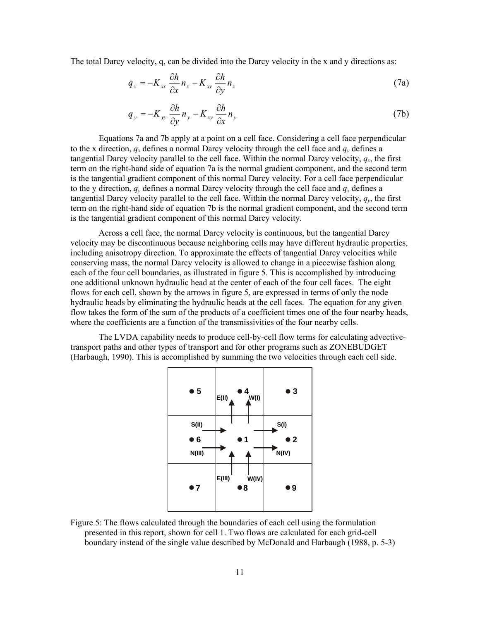<span id="page-19-0"></span>The total Darcy velocity, q, can be divided into the Darcy velocity in the x and y directions as:

$$
q_x = -K_{xx} \frac{\partial h}{\partial x} n_x - K_{xy} \frac{\partial h}{\partial y} n_x \tag{7a}
$$

$$
q_{y} = -K_{yy} \frac{\partial h}{\partial y} n_{y} - K_{xy} \frac{\partial h}{\partial x} n_{y}
$$
 (7b)

Equations 7a and 7b apply at a point on a cell face. Considering a cell face perpendicular to the x direction,  $q_x$  defines a normal Darcy velocity through the cell face and  $q_y$  defines a tangential Darcy velocity parallel to the cell face. Within the normal Darcy velocity,  $q_x$ , the first term on the right-hand side of equation 7a is the normal gradient component, and the second term is the tangential gradient component of this normal Darcy velocity. For a cell face perpendicular to the y direction,  $q_y$  defines a normal Darcy velocity through the cell face and  $q_x$  defines a tangential Darcy velocity parallel to the cell face. Within the normal Darcy velocity,  $q<sub>v</sub>$ , the first term on the right-hand side of equation 7b is the normal gradient component, and the second term is the tangential gradient component of this normal Darcy velocity.

Across a cell face, the normal Darcy velocity is continuous, but the tangential Darcy velocity may be discontinuous because neighboring cells may have different hydraulic properties, including anisotropy direction. To approximate the effects of tangential Darcy velocities while conserving mass, the normal Darcy velocity is allowed to change in a piecewise fashion along each of the four cell boundaries, as illustrated in figure 5. This is accomplished by introducing one additional unknown hydraulic head at the center of each of the four cell faces. The eight flows for each cell, shown by the arrows in figure 5, are expressed in terms of only the node hydraulic heads by eliminating the hydraulic heads at the cell faces. The equation for any given flow takes the form of the sum of the products of a coefficient times one of the four nearby heads, where the coefficients are a function of the transmissivities of the four nearby cells.

The LVDA capability needs to produce cell-by-cell flow terms for calculating advectivetransport paths and other types of transport and for other programs such as ZONEBUDGET (Harbaugh, 1990). This is accomplished by summing the two velocities through each cell side.



Figure 5: The flows calculated through the boundaries of each cell using the formulation presented in this report, shown for cell 1. Two flows are calculated for each grid-cell boundary instead of the single value described by McDonald and Harbaugh (1988, p. 5-3)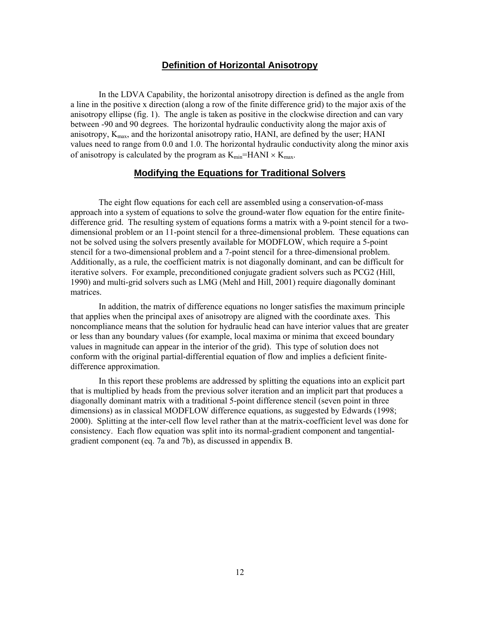#### **Definition of Horizontal Anisotropy**

<span id="page-20-0"></span>In the LDVA Capability, the horizontal anisotropy direction is defined as the angle from a line in the positive x direction (along a row of the finite difference grid) to the major axis of the anisotropy ellipse (fig. 1). The angle is taken as positive in the clockwise direction and can vary between -90 and 90 degrees. The horizontal hydraulic conductivity along the major axis of anisotropy, Kmax, and the horizontal anisotropy ratio, HANI, are defined by the user; HANI values need to range from 0.0 and 1.0. The horizontal hydraulic conductivity along the minor axis of anisotropy is calculated by the program as  $K_{min}$ =HANI  $\times K_{max}$ .

#### **Modifying the Equations for Traditional Solvers**

The eight flow equations for each cell are assembled using a conservation-of-mass approach into a system of equations to solve the ground-water flow equation for the entire finitedifference grid. The resulting system of equations forms a matrix with a 9-point stencil for a twodimensional problem or an 11-point stencil for a three-dimensional problem. These equations can not be solved using the solvers presently available for MODFLOW, which require a 5-point stencil for a two-dimensional problem and a 7-point stencil for a three-dimensional problem. Additionally, as a rule, the coefficient matrix is not diagonally dominant, and can be difficult for iterative solvers. For example, preconditioned conjugate gradient solvers such as PCG2 (Hill, 1990) and multi-grid solvers such as LMG (Mehl and Hill, 2001) require diagonally dominant matrices.

In addition, the matrix of difference equations no longer satisfies the maximum principle that applies when the principal axes of anisotropy are aligned with the coordinate axes. This noncompliance means that the solution for hydraulic head can have interior values that are greater or less than any boundary values (for example, local maxima or minima that exceed boundary values in magnitude can appear in the interior of the grid). This type of solution does not conform with the original partial-differential equation of flow and implies a deficient finitedifference approximation.

In this report these problems are addressed by splitting the equations into an explicit part that is multiplied by heads from the previous solver iteration and an implicit part that produces a diagonally dominant matrix with a traditional 5-point difference stencil (seven point in three dimensions) as in classical MODFLOW difference equations, as suggested by Edwards (1998; 2000). Splitting at the inter-cell flow level rather than at the matrix-coefficient level was done for consistency. Each flow equation was split into its normal-gradient component and tangentialgradient component (eq. 7a and 7b), as discussed in appendix B.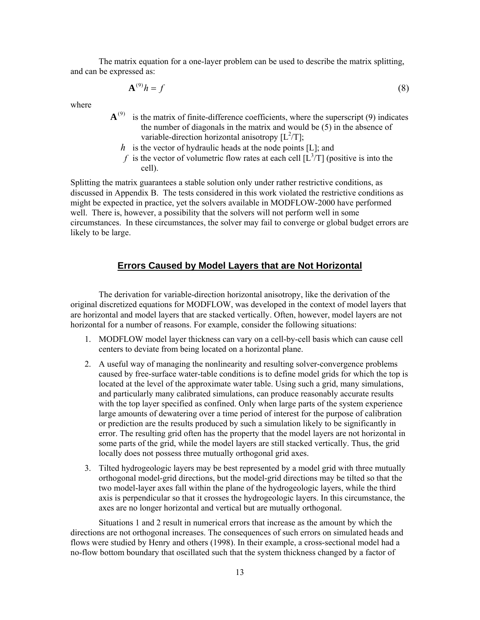<span id="page-21-0"></span>The matrix equation for a one-layer problem can be used to describe the matrix splitting, and can be expressed as:

$$
\mathbf{A}^{(9)}h = f \tag{8}
$$

where

- $A^{(9)}$  is the matrix of finite-difference coefficients, where the superscript (9) indicates the number of diagonals in the matrix and would be (5) in the absence of variable-direction horizontal anisotropy  $[L^2/T]$ ;
	- *h* is the vector of hydraulic heads at the node points [L]; and
	- f is the vector of volumetric flow rates at each cell  $[L^3/T]$  (positive is into the cell).

Splitting the matrix guarantees a stable solution only under rather restrictive conditions, as discussed in Appendix B. The tests considered in this work violated the restrictive conditions as might be expected in practice, yet the solvers available in MODFLOW-2000 have performed well. There is, however, a possibility that the solvers will not perform well in some circumstances. In these circumstances, the solver may fail to converge or global budget errors are likely to be large.

### **Errors Caused by Model Layers that are Not Horizontal**

The derivation for variable-direction horizontal anisotropy, like the derivation of the original discretized equations for MODFLOW, was developed in the context of model layers that are horizontal and model layers that are stacked vertically. Often, however, model layers are not horizontal for a number of reasons. For example, consider the following situations:

- 1. MODFLOW model layer thickness can vary on a cell-by-cell basis which can cause cell centers to deviate from being located on a horizontal plane.
- 2. A useful way of managing the nonlinearity and resulting solver-convergence problems caused by free-surface water-table conditions is to define model grids for which the top is located at the level of the approximate water table. Using such a grid, many simulations, and particularly many calibrated simulations, can produce reasonably accurate results with the top layer specified as confined. Only when large parts of the system experience large amounts of dewatering over a time period of interest for the purpose of calibration or prediction are the results produced by such a simulation likely to be significantly in error. The resulting grid often has the property that the model layers are not horizontal in some parts of the grid, while the model layers are still stacked vertically. Thus, the grid locally does not possess three mutually orthogonal grid axes.
- 3. Tilted hydrogeologic layers may be best represented by a model grid with three mutually orthogonal model-grid directions, but the model-grid directions may be tilted so that the two model-layer axes fall within the plane of the hydrogeologic layers, while the third axis is perpendicular so that it crosses the hydrogeologic layers. In this circumstance, the axes are no longer horizontal and vertical but are mutually orthogonal.

Situations 1 and 2 result in numerical errors that increase as the amount by which the directions are not orthogonal increases. The consequences of such errors on simulated heads and flows were studied by Henry and others (1998). In their example, a cross-sectional model had a no-flow bottom boundary that oscillated such that the system thickness changed by a factor of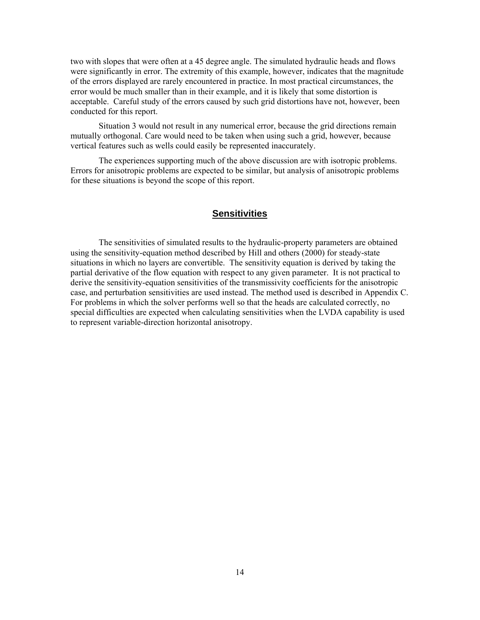<span id="page-22-0"></span>two with slopes that were often at a 45 degree angle. The simulated hydraulic heads and flows were significantly in error. The extremity of this example, however, indicates that the magnitude of the errors displayed are rarely encountered in practice. In most practical circumstances, the error would be much smaller than in their example, and it is likely that some distortion is acceptable. Careful study of the errors caused by such grid distortions have not, however, been conducted for this report.

Situation 3 would not result in any numerical error, because the grid directions remain mutually orthogonal. Care would need to be taken when using such a grid, however, because vertical features such as wells could easily be represented inaccurately.

The experiences supporting much of the above discussion are with isotropic problems. Errors for anisotropic problems are expected to be similar, but analysis of anisotropic problems for these situations is beyond the scope of this report.

#### **Sensitivities**

The sensitivities of simulated results to the hydraulic-property parameters are obtained using the sensitivity-equation method described by Hill and others (2000) for steady-state situations in which no layers are convertible. The sensitivity equation is derived by taking the partial derivative of the flow equation with respect to any given parameter. It is not practical to derive the sensitivity-equation sensitivities of the transmissivity coefficients for the anisotropic case, and perturbation sensitivities are used instead. The method used is described in Appendix C. For problems in which the solver performs well so that the heads are calculated correctly, no special difficulties are expected when calculating sensitivities when the LVDA capability is used to represent variable-direction horizontal anisotropy.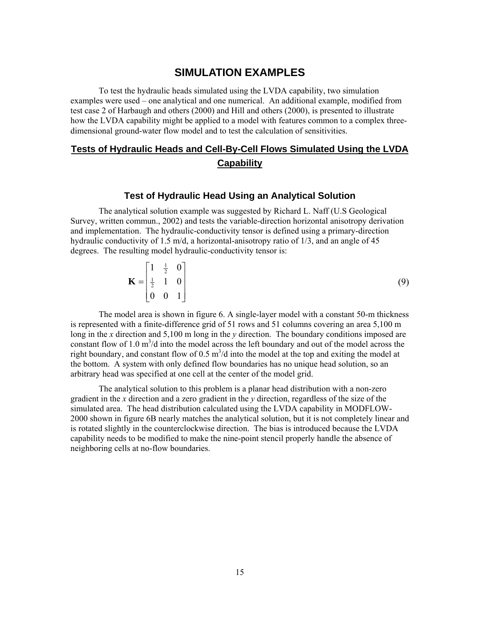### **SIMULATION EXAMPLES**

<span id="page-23-0"></span>To test the hydraulic heads simulated using the LVDA capability, two simulation examples were used – one analytical and one numerical. An additional example, modified from test case 2 of Harbaugh and others (2000) and Hill and others (2000), is presented to illustrate how the LVDA capability might be applied to a model with features common to a complex threedimensional ground-water flow model and to test the calculation of sensitivities.

## **Tests of Hydraulic Heads and Cell-By-Cell Flows Simulated Using the LVDA Capability**

#### **Test of Hydraulic Head Using an Analytical Solution**

The analytical solution example was suggested by Richard L. Naff (U.S Geological Survey, written commun., 2002) and tests the variable-direction horizontal anisotropy derivation and implementation. The hydraulic-conductivity tensor is defined using a primary-direction hydraulic conductivity of 1.5 m/d, a horizontal-anisotropy ratio of 1/3, and an angle of 45 degrees. The resulting model hydraulic-conductivity tensor is:

$$
\mathbf{K} = \begin{bmatrix} 1 & \frac{1}{2} & 0 \\ \frac{1}{2} & 1 & 0 \\ 0 & 0 & 1 \end{bmatrix}
$$
 (9)

The model area is shown in figure 6. A single-layer model with a constant 50-m thickness is represented with a finite-difference grid of 51 rows and 51 columns covering an area 5,100 m long in the *x* direction and 5,100 m long in the *y* direction. The boundary conditions imposed are constant flow of  $1.0 \text{ m}^3/\text{d}$  into the model across the left boundary and out of the model across the right boundary, and constant flow of  $0.5 \text{ m}^3/\text{d}$  into the model at the top and exiting the model at the bottom. A system with only defined flow boundaries has no unique head solution, so an arbitrary head was specified at one cell at the center of the model grid.

The analytical solution to this problem is a planar head distribution with a non-zero gradient in the *x* direction and a zero gradient in the *y* direction, regardless of the size of the simulated area. The head distribution calculated using the LVDA capability in MODFLOW-2000 shown in figure 6B nearly matches the analytical solution, but it is not completely linear and is rotated slightly in the counterclockwise direction. The bias is introduced because the LVDA capability needs to be modified to make the nine-point stencil properly handle the absence of neighboring cells at no-flow boundaries.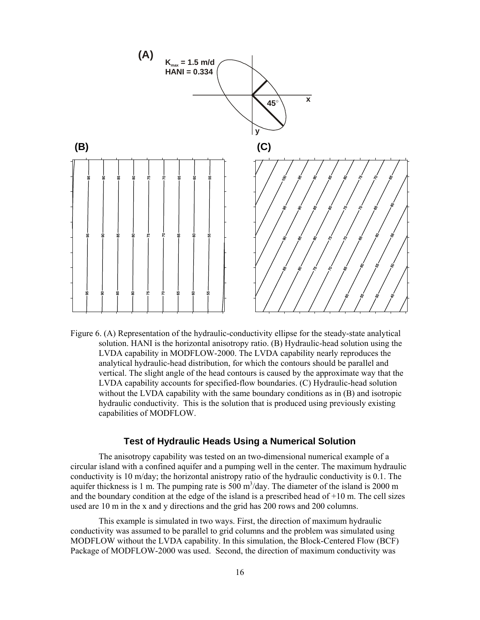<span id="page-24-0"></span>

Figure 6. (A) Representation of the hydraulic-conductivity ellipse for the steady-state analytical solution. HANI is the horizontal anisotropy ratio. (B) Hydraulic-head solution using the LVDA capability in MODFLOW-2000. The LVDA capability nearly reproduces the analytical hydraulic-head distribution, for which the contours should be parallel and vertical. The slight angle of the head contours is caused by the approximate way that the LVDA capability accounts for specified-flow boundaries. (C) Hydraulic-head solution without the LVDA capability with the same boundary conditions as in (B) and isotropic hydraulic conductivity. This is the solution that is produced using previously existing capabilities of MODFLOW.

#### **Test of Hydraulic Heads Using a Numerical Solution**

The anisotropy capability was tested on an two-dimensional numerical example of a circular island with a confined aquifer and a pumping well in the center. The maximum hydraulic conductivity is 10 m/day; the horizontal anistropy ratio of the hydraulic conductivity is 0.1. The aquifer thickness is 1 m. The pumping rate is  $500 \text{ m}^3/\text{day}$ . The diameter of the island is 2000 m and the boundary condition at the edge of the island is a prescribed head of  $+10$  m. The cell sizes used are 10 m in the x and y directions and the grid has 200 rows and 200 columns.

This example is simulated in two ways. First, the direction of maximum hydraulic conductivity was assumed to be parallel to grid columns and the problem was simulated using MODFLOW without the LVDA capability. In this simulation, the Block-Centered Flow (BCF) Package of MODFLOW-2000 was used. Second, the direction of maximum conductivity was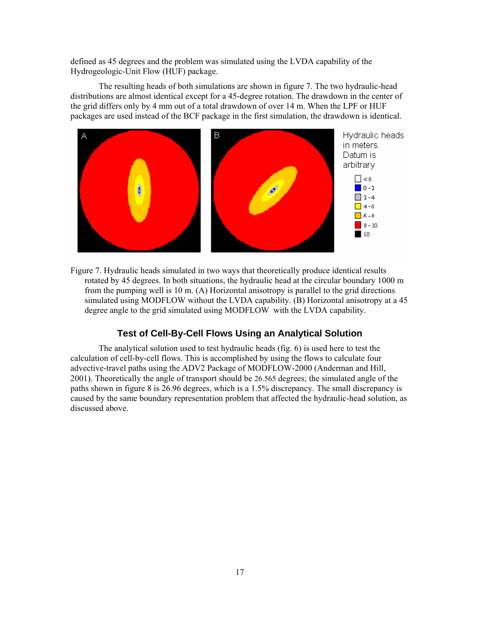<span id="page-25-0"></span>defined as 45 degrees and the problem was simulated using the LVDA capability of the Hydrogeologic-Unit Flow (HUF) package.

The resulting heads of both simulations are shown in figure 7. The two hydraulic-head distributions are almost identical except for a 45-degree rotation. The drawdown in the center of the grid differs only by 4 mm out of a total drawdown of over 14 m. When the LPF or HUF packages are used instead of the BCF package in the first simulation, the drawdown is identical.



Figure 7. Hydraulic heads simulated in two ways that theoretically produce identical results rotated by 45 degrees. In both situations, the hydraulic head at the circular boundary 1000 m from the pumping well is 10 m. (A) Horizontal anisotropy is parallel to the grid directions simulated using MODFLOW without the LVDA capability. (B) Horizontal anisotropy at a 45 degree angle to the grid simulated using MODFLOW with the LVDA capability.

#### **Test of Cell-By-Cell Flows Using an Analytical Solution**

The analytical solution used to test hydraulic heads (fig. 6) is used here to test the calculation of cell-by-cell flows. This is accomplished by using the flows to calculate four advective-travel paths using the ADV2 Package of MODFLOW-2000 (Anderman and Hill, 2001). Theoretically the angle of transport should be 26.565 degrees; the simulated angle of the paths shown in figure 8 is 26.96 degrees, which is a 1.5% discrepancy. The small discrepancy is caused by the same boundary representation problem that affected the hydraulic-head solution, as discussed above.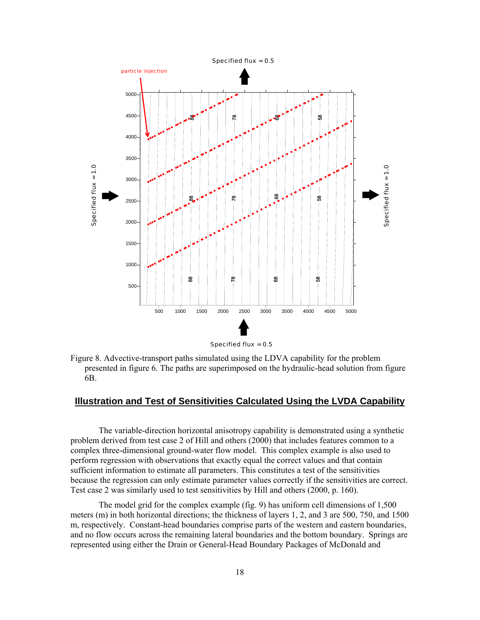<span id="page-26-0"></span>

Specified flux = 0.5

Figure 8. Advective-transport paths simulated using the LDVA capability for the problem presented in figure 6. The paths are superimposed on the hydraulic-head solution from figure 6B.

#### **Illustration and Test of Sensitivities Calculated Using the LVDA Capability**

The variable-direction horizontal anisotropy capability is demonstrated using a synthetic problem derived from test case 2 of Hill and others (2000) that includes features common to a complex three-dimensional ground-water flow model. This complex example is also used to perform regression with observations that exactly equal the correct values and that contain sufficient information to estimate all parameters. This constitutes a test of the sensitivities because the regression can only estimate parameter values correctly if the sensitivities are correct. Test case 2 was similarly used to test sensitivities by Hill and others (2000, p. 160).

The model grid for the complex example (fig. 9) has uniform cell dimensions of 1,500 meters (m) in both horizontal directions; the thickness of layers 1, 2, and 3 are 500, 750, and 1500 m, respectively. Constant-head boundaries comprise parts of the western and eastern boundaries, and no flow occurs across the remaining lateral boundaries and the bottom boundary. Springs are represented using either the Drain or General-Head Boundary Packages of McDonald and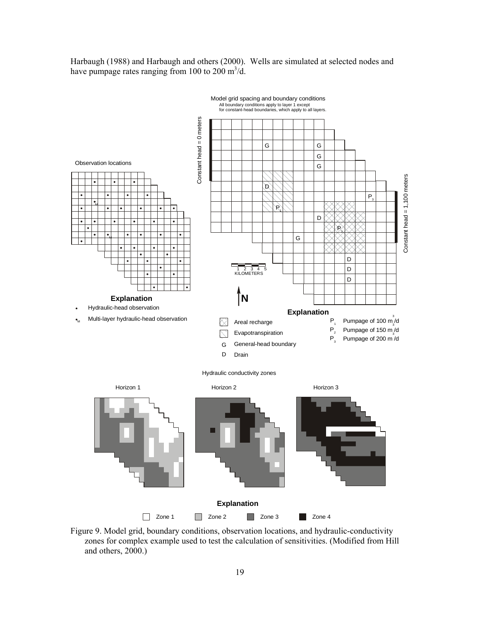<span id="page-27-0"></span>Harbaugh (1988) and Harbaugh and others (2000). Wells are simulated at selected nodes and have pumpage rates ranging from 100 to 200  $\text{m}^3/\text{d}$ .



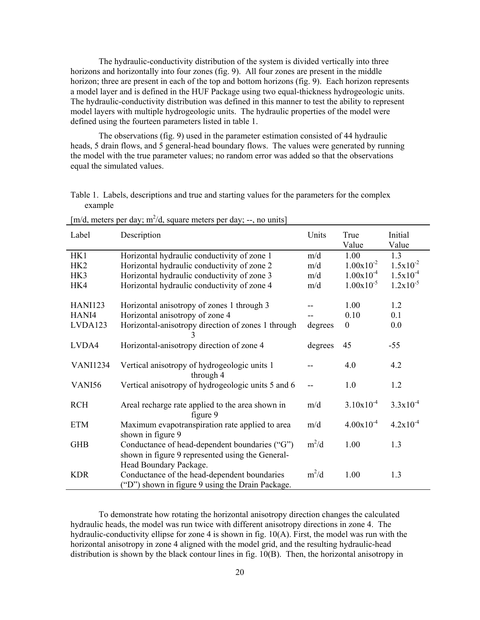<span id="page-28-0"></span>The hydraulic-conductivity distribution of the system is divided vertically into three horizons and horizontally into four zones (fig. 9). All four zones are present in the middle horizon; three are present in each of the top and bottom horizons (fig. 9). Each horizon represents a model layer and is defined in the HUF Package using two equal-thickness hydrogeologic units. The hydraulic-conductivity distribution was defined in this manner to test the ability to represent model layers with multiple hydrogeologic units. The hydraulic properties of the model were defined using the fourteen parameters listed in table 1.

The observations (fig. 9) used in the parameter estimation consisted of 44 hydraulic heads, 5 drain flows, and 5 general-head boundary flows. The values were generated by running the model with the true parameter values; no random error was added so that the observations equal the simulated values.

Table 1. Labels, descriptions and true and starting values for the parameters for the complex example

| Label           | Description                                                                                                                  | Units   | True<br>Value    | Initial<br>Value |
|-----------------|------------------------------------------------------------------------------------------------------------------------------|---------|------------------|------------------|
| HK1             | Horizontal hydraulic conductivity of zone 1                                                                                  | m/d     | 1.00             | 1.3              |
| HK <sub>2</sub> | Horizontal hydraulic conductivity of zone 2                                                                                  | m/d     | $1.00x10^{-2}$   | $1.5x10^{-2}$    |
| HK3             | Horizontal hydraulic conductivity of zone 3                                                                                  | m/d     | $1.00x10^{-4}$   | $1.5x10^{-4}$    |
| HK4             | Horizontal hydraulic conductivity of zone 4                                                                                  | m/d     | $1.00x10^{-5}$   | $1.2x10^{-5}$    |
| <b>HANI123</b>  | Horizontal anisotropy of zones 1 through 3                                                                                   |         | 1.00             | 1.2              |
| HANI4           | Horizontal anisotropy of zone 4                                                                                              |         | 0.10             | 0.1              |
| LVDA123         | Horizontal-anisotropy direction of zones 1 through                                                                           | degrees | $\boldsymbol{0}$ | 0.0              |
| LVDA4           | Horizontal-anisotropy direction of zone 4                                                                                    | degrees | 45               | $-55$            |
| <b>VANI1234</b> | Vertical anisotropy of hydrogeologic units 1<br>through 4                                                                    |         | 4.0              | 4.2              |
| VANI56          | Vertical anisotropy of hydrogeologic units 5 and 6                                                                           | $-$     | 1.0              | 1.2              |
| <b>RCH</b>      | Areal recharge rate applied to the area shown in<br>figure 9                                                                 | m/d     | $3.10x10^{-4}$   | $3.3x10^{-4}$    |
| <b>ETM</b>      | Maximum evapotranspiration rate applied to area<br>shown in figure 9                                                         | m/d     | $4.00x10^{-4}$   | $4.2x10^{-4}$    |
| <b>GHB</b>      | Conductance of head-dependent boundaries ("G")<br>shown in figure 9 represented using the General-<br>Head Boundary Package. | $m^2/d$ | 1.00             | 1.3              |
| <b>KDR</b>      | Conductance of the head-dependent boundaries<br>("D") shown in figure 9 using the Drain Package.                             | $m^2/d$ | 1.00             | 1.3              |

 $[m/d,$  meters per day;  $m^2/d$ , square meters per day; --, no units]

To demonstrate how rotating the horizontal anisotropy direction changes the calculated hydraulic heads, the model was run twice with different anisotropy directions in zone 4. The hydraulic-conductivity ellipse for zone 4 is shown in fig. 10(A). First, the model was run with the horizontal anisotropy in zone 4 aligned with the model grid, and the resulting hydraulic-head distribution is shown by the black contour lines in fig. 10(B). Then, the horizontal anisotropy in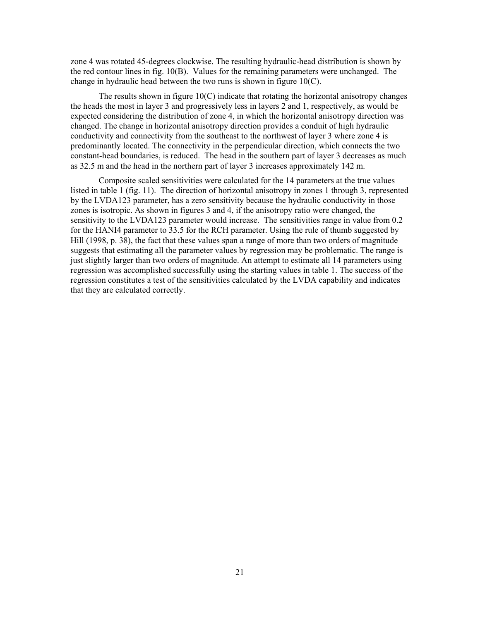zone 4 was rotated 45-degrees clockwise. The resulting hydraulic-head distribution is shown by the red contour lines in fig. 10(B). Values for the remaining parameters were unchanged. The change in hydraulic head between the two runs is shown in figure 10(C).

The results shown in figure  $10(C)$  indicate that rotating the horizontal anisotropy changes the heads the most in layer 3 and progressively less in layers 2 and 1, respectively, as would be expected considering the distribution of zone 4, in which the horizontal anisotropy direction was changed. The change in horizontal anisotropy direction provides a conduit of high hydraulic conductivity and connectivity from the southeast to the northwest of layer 3 where zone 4 is predominantly located. The connectivity in the perpendicular direction, which connects the two constant-head boundaries, is reduced. The head in the southern part of layer 3 decreases as much as 32.5 m and the head in the northern part of layer 3 increases approximately 142 m.

Composite scaled sensitivities were calculated for the 14 parameters at the true values listed in table 1 (fig. 11). The direction of horizontal anisotropy in zones 1 through 3, represented by the LVDA123 parameter, has a zero sensitivity because the hydraulic conductivity in those zones is isotropic. As shown in figures 3 and 4, if the anisotropy ratio were changed, the sensitivity to the LVDA123 parameter would increase. The sensitivities range in value from 0.2 for the HANI4 parameter to 33.5 for the RCH parameter. Using the rule of thumb suggested by Hill (1998, p. 38), the fact that these values span a range of more than two orders of magnitude suggests that estimating all the parameter values by regression may be problematic. The range is just slightly larger than two orders of magnitude. An attempt to estimate all 14 parameters using regression was accomplished successfully using the starting values in table 1. The success of the regression constitutes a test of the sensitivities calculated by the LVDA capability and indicates that they are calculated correctly.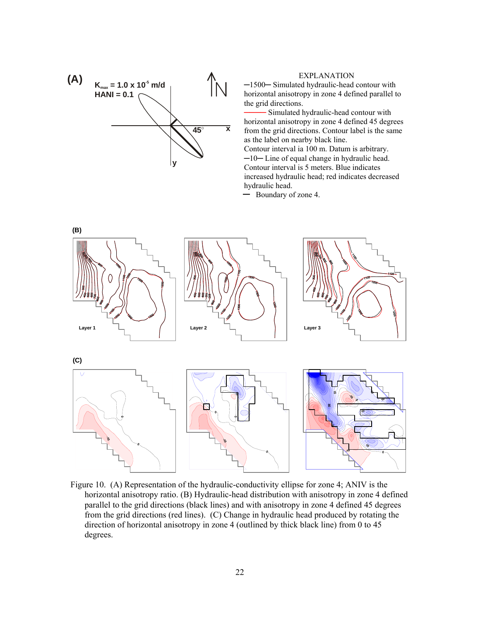<span id="page-30-0"></span>

#### EXPLANATION

─1500─ Simulated hydraulic-head contour with horizontal anisotropy in zone 4 defined parallel to the grid directions.

──── Simulated hydraulic-head contour with horizontal anisotropy in zone 4 defined 45 degrees from the grid directions. Contour label is the same as the label on nearby black line. Contour interval ia 100 m. Datum is arbitrary. ─10─ Line of equal change in hydraulic head. Contour interval is 5 meters. Blue indicates increased hydraulic head; red indicates decreased hydraulic head.

Boundary of zone 4.



Figure 10. (A) Representation of the hydraulic-conductivity ellipse for zone 4; ANIV is the horizontal anisotropy ratio. (B) Hydraulic-head distribution with anisotropy in zone 4 defined parallel to the grid directions (black lines) and with anisotropy in zone 4 defined 45 degrees from the grid directions (red lines). (C) Change in hydraulic head produced by rotating the direction of horizontal anisotropy in zone 4 (outlined by thick black line) from 0 to 45 degrees.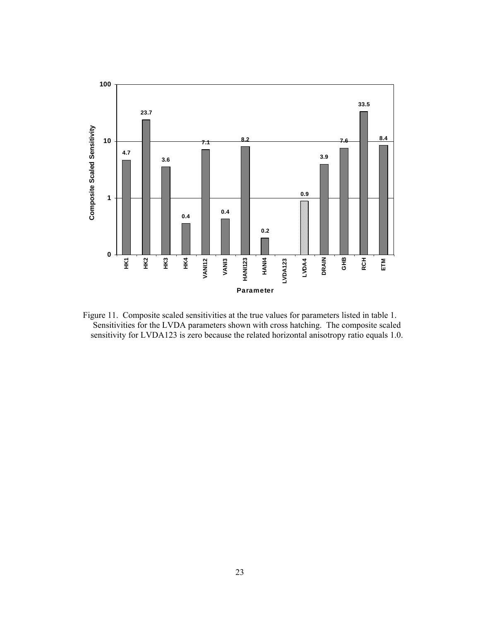<span id="page-31-0"></span>

Figure 11. Composite scaled sensitivities at the true values for parameters listed in table 1. Sensitivities for the LVDA parameters shown with cross hatching. The composite scaled sensitivity for LVDA123 is zero because the related horizontal anisotropy ratio equals 1.0.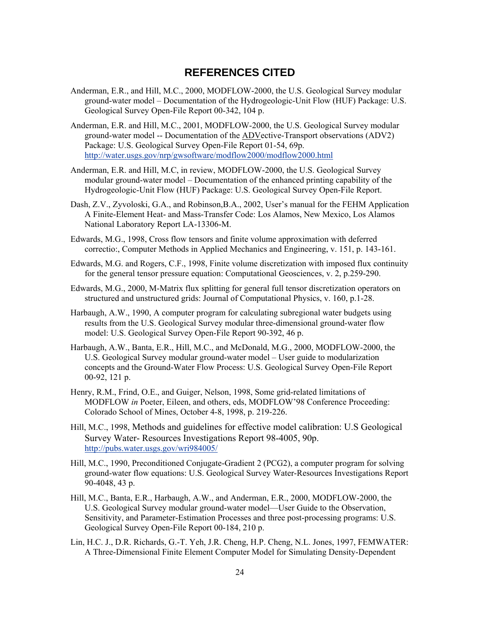## **REFERENCES CITED**

- <span id="page-32-0"></span>Anderman, E.R., and Hill, M.C., 2000, MODFLOW-2000, the U.S. Geological Survey modular ground-water model – Documentation of the Hydrogeologic-Unit Flow (HUF) Package: U.S. Geological Survey Open-File Report 00-342, 104 p.
- Anderman, E.R. and Hill, M.C., 2001, MODFLOW-2000, the U.S. Geological Survey modular ground-water model -- Documentation of the ADVective-Transport observations (ADV2) Package: U.S. Geological Survey Open-File Report 01-54, 69p. <http://water.usgs.gov/nrp/gwsoftware/modflow2000/modflow2000.html>

Anderman, E.R. and Hill, M.C, in review, MODFLOW-2000, the U.S. Geological Survey modular ground-water model – Documentation of the enhanced printing capability of the Hydrogeologic-Unit Flow (HUF) Package: U.S. Geological Survey Open-File Report.

- Dash, Z.V., Zyvoloski, G.A., and Robinson,B.A., 2002, User's manual for the FEHM Application A Finite-Element Heat- and Mass-Transfer Code: Los Alamos, New Mexico, Los Alamos National Laboratory Report LA-13306-M.
- Edwards, M.G., 1998, Cross flow tensors and finite volume approximation with deferred correctio:, Computer Methods in Applied Mechanics and Engineering, v. 151, p. 143-161.
- Edwards, M.G. and Rogers, C.F., 1998, Finite volume discretization with imposed flux continuity for the general tensor pressure equation: Computational Geosciences, v. 2, p.259-290.
- Edwards, M.G., 2000, M-Matrix flux splitting for general full tensor discretization operators on structured and unstructured grids: Journal of Computational Physics, v. 160, p.1-28.
- Harbaugh, A.W., 1990, A computer program for calculating subregional water budgets using results from the U.S. Geological Survey modular three-dimensional ground-water flow model: U.S. Geological Survey Open-File Report 90-392, 46 p.
- Harbaugh, A.W., Banta, E.R., Hill, M.C., and McDonald, M.G., 2000, MODFLOW-2000, the U.S. Geological Survey modular ground-water model – User guide to modularization concepts and the Ground-Water Flow Process: U.S. Geological Survey Open-File Report 00-92, 121 p.
- Henry, R.M., Frind, O.E., and Guiger, Nelson, 1998, Some grid-related limitations of MODFLOW *in* Poeter, Eileen, and others, eds, MODFLOW'98 Conference Proceeding: Colorado School of Mines, October 4-8, 1998, p. 219-226.
- Hill, M.C., 1998, Methods and guidelines for effective model calibration: U.S Geological Survey Water- Resources Investigations Report 98-4005, 90p. <http://pubs.water.usgs.gov/wri984005/>
- Hill, M.C., 1990, Preconditioned Conjugate-Gradient 2 (PCG2), a computer program for solving ground-water flow equations: U.S. Geological Survey Water-Resources Investigations Report 90-4048, 43 p.
- Hill, M.C., Banta, E.R., Harbaugh, A.W., and Anderman, E.R., 2000, MODFLOW-2000, the U.S. Geological Survey modular ground-water model—User Guide to the Observation, Sensitivity, and Parameter-Estimation Processes and three post-processing programs: U.S. Geological Survey Open-File Report 00-184, 210 p.
- Lin, H.C. J., D.R. Richards, G.-T. Yeh, J.R. Cheng, H.P. Cheng, N.L. Jones, 1997, FEMWATER: A Three-Dimensional Finite Element Computer Model for Simulating Density-Dependent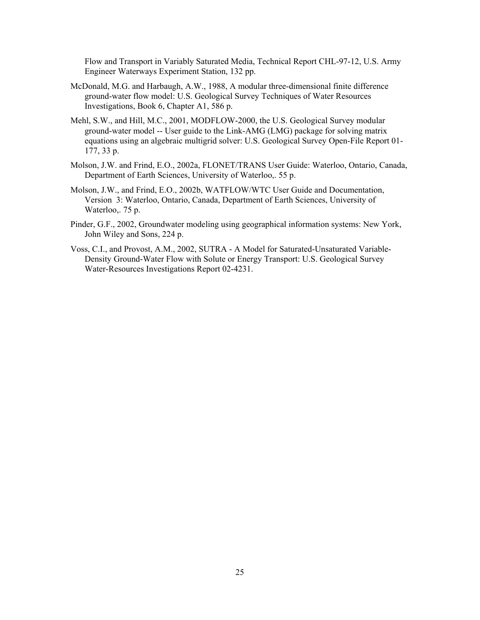Flow and Transport in Variably Saturated Media, Technical Report CHL-97-12, U.S. Army Engineer Waterways Experiment Station, 132 pp.

- McDonald, M.G. and Harbaugh, A.W., 1988, A modular three-dimensional finite difference ground-water flow model: U.S. Geological Survey Techniques of Water Resources Investigations, Book 6, Chapter A1, 586 p.
- Mehl, S.W., and Hill, M.C., 2001, MODFLOW-2000, the U.S. Geological Survey modular ground-water model -- User guide to the Link-AMG (LMG) package for solving matrix equations using an algebraic multigrid solver: U.S. Geological Survey Open-File Report 01- 177, 33 p.
- Molson, J.W. and Frind, E.O., 2002a, FLONET/TRANS User Guide: Waterloo, Ontario, Canada, Department of Earth Sciences, University of Waterloo,. 55 p.
- Molson, J.W., and Frind, E.O., 2002b, WATFLOW/WTC User Guide and Documentation, Version 3: Waterloo, Ontario, Canada, Department of Earth Sciences, University of Waterloo,. 75 p.
- Pinder, G.F., 2002, Groundwater modeling using geographical information systems: New York, John Wiley and Sons, 224 p.
- Voss, C.I., and Provost, A.M., 2002, SUTRA A Model for Saturated-Unsaturated Variable-Density Ground-Water Flow with Solute or Energy Transport: U.S. Geological Survey Water-Resources Investigations Report 02-4231.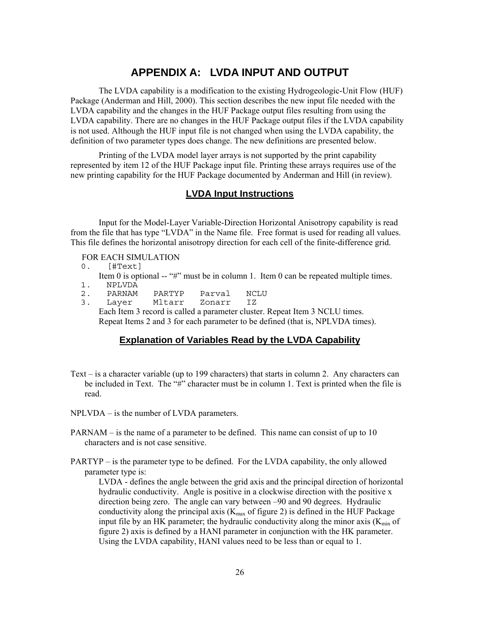# **APPENDIX A: LVDA INPUT AND OUTPUT**

<span id="page-34-0"></span>The LVDA capability is a modification to the existing Hydrogeologic-Unit Flow (HUF) Package (Anderman and Hill, 2000). This section describes the new input file needed with the LVDA capability and the changes in the HUF Package output files resulting from using the LVDA capability. There are no changes in the HUF Package output files if the LVDA capability is not used. Although the HUF input file is not changed when using the LVDA capability, the definition of two parameter types does change. The new definitions are presented below.

Printing of the LVDA model layer arrays is not supported by the print capability represented by item 12 of the HUF Package input file. Printing these arrays requires use of the new printing capability for the HUF Package documented by Anderman and Hill (in review).

#### **LVDA Input Instructions**

Input for the Model-Layer Variable-Direction Horizontal Anisotropy capability is read from the file that has type "LVDA" in the Name file. Free format is used for reading all values. This file defines the horizontal anisotropy direction for each cell of the finite-difference grid.

#### FOR EACH SIMULATION

- 0. [#Text]
- Item 0 is optional -- "#" must be in column 1. Item 0 can be repeated multiple times. 1. NPLVDA
- 2. PARNAM PARTYP Parval NCLU<br>3. Laver Mltarr Zonarr IZ
- 3. Layer Mltarr Each Item 3 record is called a parameter cluster. Repeat Item 3 NCLU times. Repeat Items 2 and 3 for each parameter to be defined (that is, NPLVDA times).

#### **Explanation of Variables Read by the LVDA Capability**

- Text is a character variable (up to 199 characters) that starts in column 2. Any characters can be included in Text. The "#" character must be in column 1. Text is printed when the file is read.
- NPLVDA is the number of LVDA parameters.
- PARNAM is the name of a parameter to be defined. This name can consist of up to 10 characters and is not case sensitive.
- PARTYP is the parameter type to be defined. For the LVDA capability, the only allowed parameter type is:

LVDA - defines the angle between the grid axis and the principal direction of horizontal hydraulic conductivity. Angle is positive in a clockwise direction with the positive x direction being zero. The angle can vary between –90 and 90 degrees. Hydraulic conductivity along the principal axis ( $K_{\text{max}}$  of figure 2) is defined in the HUF Package input file by an HK parameter; the hydraulic conductivity along the minor axis  $(K_{min}$  of figure 2) axis is defined by a HANI parameter in conjunction with the HK parameter. Using the LVDA capability, HANI values need to be less than or equal to 1.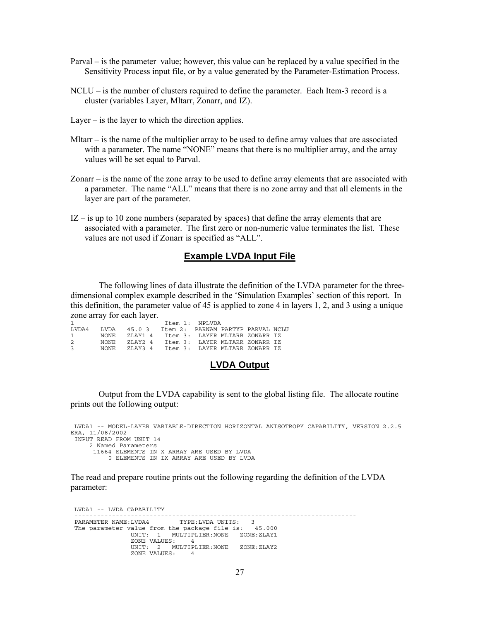- <span id="page-35-0"></span>Parval – is the parameter value; however, this value can be replaced by a value specified in the Sensitivity Process input file, or by a value generated by the Parameter-Estimation Process.
- NCLU is the number of clusters required to define the parameter. Each Item-3 record is a cluster (variables Layer, Mltarr, Zonarr, and IZ).
- Layer is the layer to which the direction applies.
- Mltarr is the name of the multiplier array to be used to define array values that are associated with a parameter. The name "NONE" means that there is no multiplier array, and the array values will be set equal to Parval.
- Zonarr is the name of the zone array to be used to define array elements that are associated with a parameter. The name "ALL" means that there is no zone array and that all elements in the layer are part of the parameter.
- $IZ is up to 10 zone numbers (separated by spaces) that define the array elements that are$ associated with a parameter. The first zero or non-numeric value terminates the list. These values are not used if Zonarr is specified as "ALL".

#### **Example LVDA Input File**

The following lines of data illustrate the definition of the LVDA parameter for the threedimensional complex example described in the 'Simulation Examples' section of this report. In this definition, the parameter value of 45 is applied to zone 4 in layers 1, 2, and 3 using a unique zone array for each layer.

| $\mathbf{1}$  |             |                                                     | Item 1: NPLVDA                         |  |  |
|---------------|-------------|-----------------------------------------------------|----------------------------------------|--|--|
|               |             | LVDA4 LVDA 45.0 3 Item 2: PARNAM PARTYP PARVAL NCLU |                                        |  |  |
| 1 NONE        |             |                                                     | ZLAY1 4 Item 3: LAYER MLTARR ZONARR IZ |  |  |
| $2^{\circ}$   | NONE.       |                                                     | ZLAY2 4 Item 3: LAYER MLTARR ZONARR IZ |  |  |
| $\mathcal{R}$ | <b>NONE</b> |                                                     | ZLAY3 4 Item 3: LAYER MLTARR ZONARR IZ |  |  |

#### **LVDA Output**

Output from the LVDA capability is sent to the global listing file. The allocate routine prints out the following output:

```
 LVDA1 -- MODEL-LAYER VARIABLE-DIRECTION HORIZONTAL ANISOTROPY CAPABILITY, VERSION 2.2.5 
ERA, 11/08/2002 
  INPUT READ FROM UNIT 14 
      2 Named Parameters 
 11664 ELEMENTS IN X ARRAY ARE USED BY LVDA 
 0 ELEMENTS IN IX ARRAY ARE USED BY LVDA
```
The read and prepare routine prints out the following regarding the definition of the LVDA parameter:

```
 LVDA1 -- LVDA CAPABILITY 
         --------------------------------------------------------------------------- 
 PARAMETER NAME:LVDA4 TYPE:LVDA UNITS: 3 
 The parameter value from the package file is: 45.000 
 UNIT: 1 MULTIPLIER:NONE ZONE:ZLAY1 
 ZONE VALUES: 4 
                   UNIT: 2 MULTIPLIER:NONE ZONE: ZLAY2<br>ZONE VALUES: 4
                    ZONE VALUES: 4
```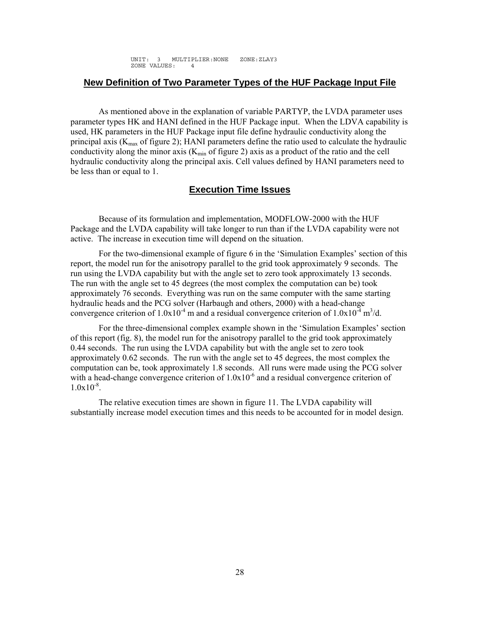UNIT: 3 MULTIPLIER:NONE ZONE:ZLAY3 ZONE VALUES: 4

#### <span id="page-36-0"></span>**New Definition of Two Parameter Types of the HUF Package Input File**

As mentioned above in the explanation of variable PARTYP, the LVDA parameter uses parameter types HK and HANI defined in the HUF Package input. When the LDVA capability is used, HK parameters in the HUF Package input file define hydraulic conductivity along the principal axis  $(K_{\text{max}}$  of figure 2); HANI parameters define the ratio used to calculate the hydraulic conductivity along the minor axis  $(K_{min}$  of figure 2) axis as a product of the ratio and the cell hydraulic conductivity along the principal axis. Cell values defined by HANI parameters need to be less than or equal to 1.

#### **Execution Time Issues**

Because of its formulation and implementation, MODFLOW-2000 with the HUF Package and the LVDA capability will take longer to run than if the LVDA capability were not active. The increase in execution time will depend on the situation.

For the two-dimensional example of figure 6 in the 'Simulation Examples' section of this report, the model run for the anisotropy parallel to the grid took approximately 9 seconds. The run using the LVDA capability but with the angle set to zero took approximately 13 seconds. The run with the angle set to 45 degrees (the most complex the computation can be) took approximately 76 seconds. Everything was run on the same computer with the same starting hydraulic heads and the PCG solver (Harbaugh and others, 2000) with a head-change convergence criterion of  $1.0x10^{-4}$  m and a residual convergence criterion of  $1.0x10^{-4}$  m<sup>3</sup>/d.

For the three-dimensional complex example shown in the 'Simulation Examples' section of this report (fig. 8), the model run for the anisotropy parallel to the grid took approximately 0.44 seconds. The run using the LVDA capability but with the angle set to zero took approximately 0.62 seconds. The run with the angle set to 45 degrees, the most complex the computation can be, took approximately 1.8 seconds. All runs were made using the PCG solver with a head-change convergence criterion of  $1.0x10^{-6}$  and a residual convergence criterion of  $1.0x10^{-8}$ .

The relative execution times are shown in figure 11. The LVDA capability will substantially increase model execution times and this needs to be accounted for in model design.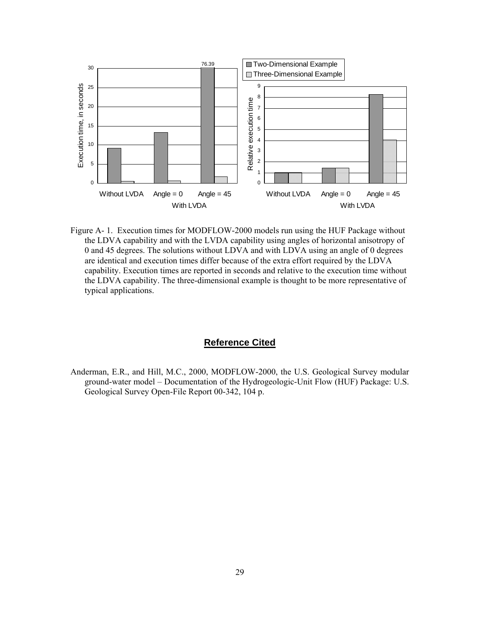<span id="page-37-0"></span>

Figure A- 1. Execution times for MODFLOW-2000 models run using the HUF Package without the LDVA capability and with the LVDA capability using angles of horizontal anisotropy of 0 and 45 degrees. The solutions without LDVA and with LDVA using an angle of 0 degrees are identical and execution times differ because of the extra effort required by the LDVA capability. Execution times are reported in seconds and relative to the execution time without the LDVA capability. The three-dimensional example is thought to be more representative of typical applications.

#### **Reference Cited**

Anderman, E.R., and Hill, M.C., 2000, MODFLOW-2000, the U.S. Geological Survey modular ground-water model – Documentation of the Hydrogeologic-Unit Flow (HUF) Package: U.S. Geological Survey Open-File Report 00-342, 104 p.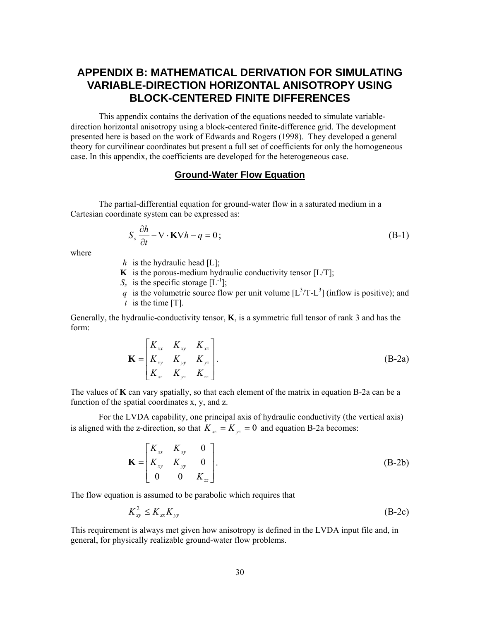# <span id="page-38-0"></span>**APPENDIX B: MATHEMATICAL DERIVATION FOR SIMULATING VARIABLE-DIRECTION HORIZONTAL ANISOTROPY USING BLOCK-CENTERED FINITE DIFFERENCES**

This appendix contains the derivation of the equations needed to simulate variabledirection horizontal anisotropy using a block-centered finite-difference grid. The development presented here is based on the work of Edwards and Rogers (1998). They developed a general theory for curvilinear coordinates but present a full set of coefficients for only the homogeneous case. In this appendix, the coefficients are developed for the heterogeneous case.

#### **Ground-Water Flow Equation**

The partial-differential equation for ground-water flow in a saturated medium in a Cartesian coordinate system can be expressed as:

$$
S_s \frac{\partial h}{\partial t} - \nabla \cdot \mathbf{K} \nabla h - q = 0; \tag{B-1}
$$

where

- *h* is the hydraulic head  $[L]$ ;
- **K** is the porous-medium hydraulic conductivity tensor  $[L/T]$ ;
- $S_s$  is the specific storage  $[L^{-1}]$ ;
- q is the volumetric source flow per unit volume  $[L^3/T-L^3]$  (inflow is positive); and  *t* is the time [T].

Generally, the hydraulic-conductivity tensor, **K**, is a symmetric full tensor of rank 3 and has the form:

$$
\mathbf{K} = \begin{bmatrix} K_{xx} & K_{xy} & K_{xz} \\ K_{xy} & K_{yy} & K_{yz} \\ K_{xz} & K_{yz} & K_{zz} \end{bmatrix} .
$$
 (B-2a)

The values of **K** can vary spatially, so that each element of the matrix in equation B-2a can be a function of the spatial coordinates x, y, and z.

For the LVDA capability, one principal axis of hydraulic conductivity (the vertical axis) is aligned with the z-direction, so that  $K_{xz} = K_{yz} = 0$  and equation B-2a becomes:

$$
\mathbf{K} = \begin{bmatrix} K_{xx} & K_{xy} & 0 \\ K_{xy} & K_{yy} & 0 \\ 0 & 0 & K_{zz} \end{bmatrix} . \tag{B-2b}
$$

The flow equation is assumed to be parabolic which requires that

$$
K_{xy}^2 \le K_{xx} K_{yy} \tag{B-2c}
$$

This requirement is always met given how anisotropy is defined in the LVDA input file and, in general, for physically realizable ground-water flow problems.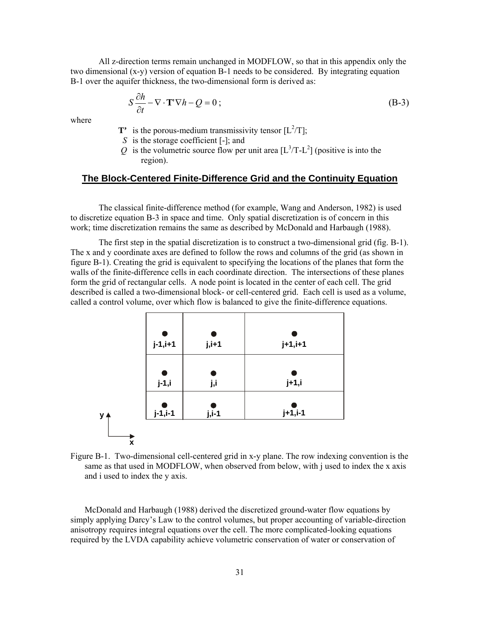<span id="page-39-0"></span>All z-direction terms remain unchanged in MODFLOW, so that in this appendix only the two dimensional (x-y) version of equation B-1 needs to be considered. By integrating equation B-1 over the aquifer thickness, the two-dimensional form is derived as:

$$
S\frac{\partial h}{\partial t} - \nabla \cdot \mathbf{T}' \nabla h - Q = 0 \tag{B-3}
$$

where

- **T'** is the porous-medium transmissivity tensor  $[L^2/T]$ ;
	- *S* is the storage coefficient [-]; and
- Q is the volumetric source flow per unit area  $[L^3/T-L^2]$  (positive is into the region).

#### **The Block-Centered Finite-Difference Grid and the Continuity Equation**

The classical finite-difference method (for example, Wang and Anderson, 1982) is used to discretize equation B-3 in space and time. Only spatial discretization is of concern in this work; time discretization remains the same as described by McDonald and Harbaugh (1988).

The first step in the spatial discretization is to construct a two-dimensional grid (fig. B-1). The x and y coordinate axes are defined to follow the rows and columns of the grid (as shown in figure B-1). Creating the grid is equivalent to specifying the locations of the planes that form the walls of the finite-difference cells in each coordinate direction. The intersections of these planes form the grid of rectangular cells. A node point is located in the center of each cell. The grid described is called a two-dimensional block- or cell-centered grid. Each cell is used as a volume, called a control volume, over which flow is balanced to give the finite-difference equations.



Figure B-1. Two-dimensional cell-centered grid in x-y plane. The row indexing convention is the same as that used in MODFLOW, when observed from below, with j used to index the x axis and i used to index the y axis.

McDonald and Harbaugh (1988) derived the discretized ground-water flow equations by simply applying Darcy's Law to the control volumes, but proper accounting of variable-direction anisotropy requires integral equations over the cell. The more complicated-looking equations required by the LVDA capability achieve volumetric conservation of water or conservation of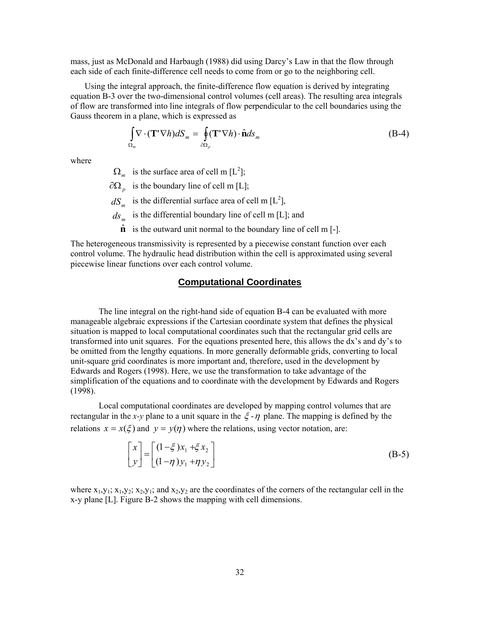<span id="page-40-0"></span>mass, just as McDonald and Harbaugh (1988) did using Darcy's Law in that the flow through each side of each finite-difference cell needs to come from or go to the neighboring cell.

Using the integral approach, the finite-difference flow equation is derived by integrating equation B-3 over the two-dimensional control volumes (cell areas). The resulting area integrals of flow are transformed into line integrals of flow perpendicular to the cell boundaries using the Gauss theorem in a plane, which is expressed as

$$
\int_{\Omega_m} \nabla \cdot (\mathbf{T}^* \nabla h) dS_m = \oint_{\partial \Omega_p} (\mathbf{T}^* \nabla h) \cdot \hat{\mathbf{n}} ds_m
$$
\n(B-4)

where

 $\Omega_m$  is the surface area of cell m [L<sup>2</sup>];

 $\partial\Omega$ <sub>*p*</sub> is the boundary line of cell m [L];

 $dS_m$  is the differential surface area of cell m  $[L^2]$ ,

 $ds_m$  is the differential boundary line of cell m [L]; and

 $\hat{\bf{n}}$  is the outward unit normal to the boundary line of cell m [-].

The heterogeneous transmissivity is represented by a piecewise constant function over each control volume. The hydraulic head distribution within the cell is approximated using several piecewise linear functions over each control volume.

#### **Computational Coordinates**

The line integral on the right-hand side of equation B-4 can be evaluated with more manageable algebraic expressions if the Cartesian coordinate system that defines the physical situation is mapped to local computational coordinates such that the rectangular grid cells are transformed into unit squares. For the equations presented here, this allows the dx's and dy's to be omitted from the lengthy equations. In more generally deformable grids, converting to local unit-square grid coordinates is more important and, therefore, used in the development by Edwards and Rogers (1998). Here, we use the transformation to take advantage of the simplification of the equations and to coordinate with the development by Edwards and Rogers (1998).

Local computational coordinates are developed by mapping control volumes that are rectangular in the *x*-*y* plane to a unit square in the  $\xi$ - $\eta$  plane. The mapping is defined by the relations  $x = x(\xi)$  and  $y = y(\eta)$  where the relations, using vector notation, are:

$$
\begin{bmatrix} x \\ y \end{bmatrix} = \begin{bmatrix} (1 - \xi)x_1 + \xi x_2 \\ (1 - \eta)y_1 + \eta y_2 \end{bmatrix}
$$
 (B-5)

where  $x_1, y_1; x_1, y_2; x_2, y_1;$  and  $x_2, y_2$  are the coordinates of the corners of the rectangular cell in the x-y plane [L]. Figure B-2 shows the mapping with cell dimensions.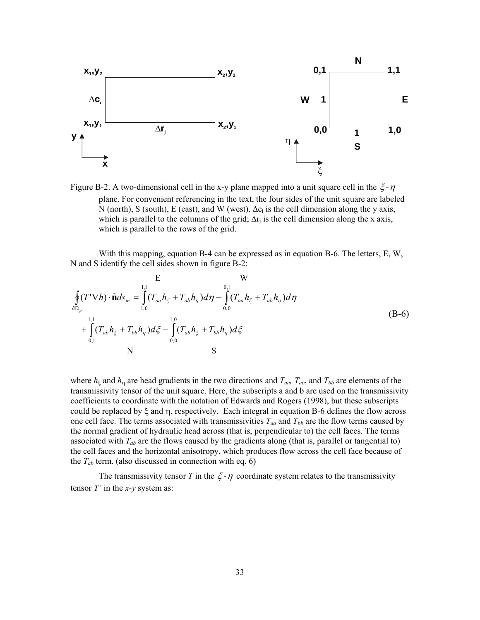<span id="page-41-0"></span>

Figure B-2. A two-dimensional cell in the x-y plane mapped into a unit square cell in the  $\xi$ - $\eta$ plane. For convenient referencing in the text, the four sides of the unit square are labeled N (north), S (south), E (east), and W (west).  $\Delta c_i$  is the cell dimension along the y axis, which is parallel to the columns of the grid;  $\Delta r_i$  is the cell dimension along the x axis, which is parallel to the rows of the grid.

With this mapping, equation B-4 can be expressed as in equation B-6. The letters, E, W, N and S identify the cell sides shown in figure B-2:

$$
E \t W
$$
  
\n
$$
\oint_{\partial\Omega_{p}} (T' \nabla h) \cdot \hat{\mathbf{n}} ds_{m} = \int_{1,0}^{1,1} (T_{aa} h_{\xi} + T_{ab} h_{\eta}) d\eta - \int_{0,0}^{0,1} (T_{aa} h_{\xi} + T_{ab} h_{\eta}) d\eta
$$
  
\n
$$
+ \int_{0,1}^{1,1} (T_{ab} h_{\xi} + T_{bb} h_{\eta}) d\xi - \int_{0,0}^{1,0} (T_{ab} h_{\xi} + T_{bb} h_{\eta}) d\xi
$$
  
\nN

where  $h_{\xi}$  and  $h_{\eta}$  are head gradients in the two directions and  $T_{aa}$ ,  $T_{ab}$ , and  $T_{bb}$  are elements of the transmissivity tensor of the unit square. Here, the subscripts a and b are used on the transmissivity coefficients to coordinate with the notation of Edwards and Rogers (1998), but these subscripts could be replaced by ξ and η, respectively. Each integral in equation B-6 defines the flow across one cell face. The terms associated with transmissivities  $T_{aa}$  and  $T_{bb}$  are the flow terms caused by the normal gradient of hydraulic head across (that is, perpendicular to) the cell faces. The terms associated with  $T_{ab}$  are the flows caused by the gradients along (that is, parallel or tangential to) the cell faces and the horizontal anisotropy, which produces flow across the cell face because of the  $T_{ab}$  term. (also discussed in connection with eq. 6)

The transmissivity tensor *T* in the  $\xi - \eta$  coordinate system relates to the transmissivity tensor *T'* in the *x-y* system as: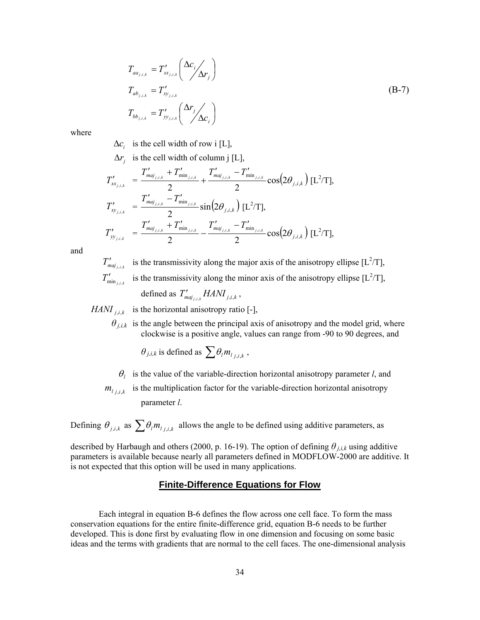<span id="page-42-0"></span>
$$
T_{aa_{j,i,k}} = T'_{xx_{j,i,k}} \left( \frac{\Delta c_i}{\Delta r_j} \right)
$$
  
\n
$$
T_{ab_{j,i,k}} = T'_{xy_{j,i,k}}
$$
  
\n
$$
T_{bb_{j,i,k}} = T'_{yy_{j,i,k}} \left( \frac{\Delta r_j}{\Delta c_i} \right)
$$
 (B-7)

where

 $\Delta c_i$  is the cell width of row i [L],

 $\Delta r_i$  is the cell width of column j [L],

$$
T'_{xx_{j,i,k}} = \frac{T'_{maj_{j,i,k}} + T'_{\min_{j,i,k}}}{2} + \frac{T'_{maj_{j,i,k}} - T'_{\min_{j,i,k}}}{2} \cos(2\theta_{j,i,k}) \,[\mathrm{L}^2/\mathrm{T}],
$$
  
\n
$$
T'_{xy_{j,i,k}} = \frac{T'_{maj_{j,i,k}} - T'_{\min_{j,i,k}}}{2} \sin(2\theta_{j,i,k}) \,[\mathrm{L}^2/\mathrm{T}],
$$
  
\n
$$
T'_{yy_{j,i,k}} = \frac{T'_{maj_{j,i,k}} + T'_{\min_{j,i,k}}}{2} - \frac{T'_{maj_{j,i,k}} - T'_{\min_{j,i,k}}}{2} \cos(2\theta_{j,i,k}) \,[\mathrm{L}^2/\mathrm{T}],
$$

and

 $T'_{maj_{j,i,k}}$  is the transmissivity along the major axis of the anisotropy ellipse [L<sup>2</sup>/T], is the transmissivity along the minor axis of the anisotropy ellipse  $[L^2/T]$ , defined as  $T'_{maj_{j,i,k}} HAMI_{j,i,k}$ ,  $T'_{\min_{j,i,k}}$ 

*HANI*  $\sum_{i,k}$  is the horizontal anisotropy ratio [-],

 $\theta_{i,k}$  is the angle between the principal axis of anisotropy and the model grid, where clockwise is a positive angle, values can range from -90 to 90 degrees, and

$$
\theta_{j,i,k}
$$
 is defined as  $\sum \theta_i m_{l_{j,i,k}}$ ,

- $\theta_l$  is the value of the variable-direction horizontal anisotropy parameter *l*, and
- $m_{i,j,i,k}$  is the multiplication factor for the variable-direction horizontal anisotropy parameter *l*.

Defining  $\theta_{j,i,k}$  as  $\sum \theta_i m_{l_{j,i,k}}$  allows the angle to be defined using additive parameters, as

described by Harbaugh and others (2000, p. 16-19). The option of defining  $\theta_{j,i,k}$  using additive parameters is available because nearly all parameters defined in MODFLOW-2000 are additive. It is not expected that this option will be used in many applications.

#### **Finite-Difference Equations for Flow**

Each integral in equation B-6 defines the flow across one cell face. To form the mass conservation equations for the entire finite-difference grid, equation B-6 needs to be further developed. This is done first by evaluating flow in one dimension and focusing on some basic ideas and the terms with gradients that are normal to the cell faces. The one-dimensional analysis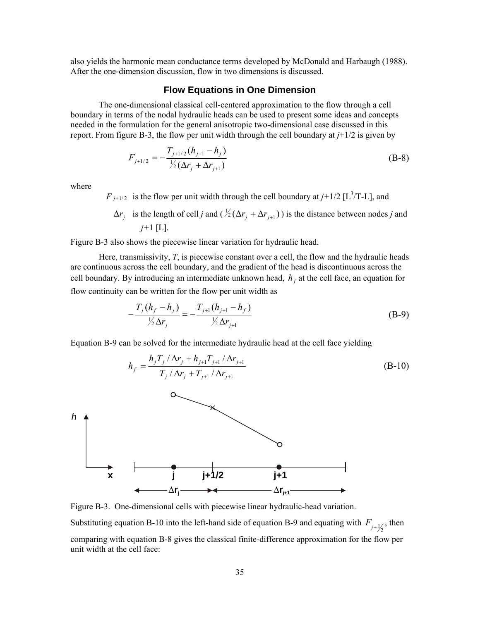<span id="page-43-0"></span>also yields the harmonic mean conductance terms developed by McDonald and Harbaugh (1988). After the one-dimension discussion, flow in two dimensions is discussed.

#### **Flow Equations in One Dimension**

The one-dimensional classical cell-centered approximation to the flow through a cell boundary in terms of the nodal hydraulic heads can be used to present some ideas and concepts needed in the formulation for the general anisotropic two-dimensional case discussed in this report. From figure B-3, the flow per unit width through the cell boundary at *j*+1/2 is given by

$$
F_{j+1/2} = -\frac{T_{j+1/2}(h_{j+1} - h_j)}{\frac{1}{2}(\Delta r_j + \Delta r_{j+1})}
$$
(B-8)

where

*h*

 $F_{j+1/2}$  is the flow per unit width through the cell boundary at  $j+1/2$  [L<sup>3</sup>/T-L], and

 $\Delta r_j$  is the length of cell *j* and (  $\frac{1}{2}(\Delta r_j + \Delta r_{j+1})$  ) is the distance between nodes *j* and *j+*1 [L].

Figure B-3 also shows the piecewise linear variation for hydraulic head.

Here, transmissivity, *T*, is piecewise constant over a cell, the flow and the hydraulic heads are continuous across the cell boundary, and the gradient of the head is discontinuous across the cell boundary. By introducing an intermediate unknown head,  $h_f$  at the cell face, an equation for flow continuity can be written for the flow per unit width as

$$
-\frac{T_j(h_f - h_j)}{\frac{1}{2}\Delta r_j} = -\frac{T_{j+1}(h_{j+1} - h_f)}{\frac{1}{2}\Delta r_{j+1}}
$$
(B-9)

Equation B-9 can be solved for the intermediate hydraulic head at the cell face yielding





Figure B-3. One-dimensional cells with piecewise linear hydraulic-head variation.

Substituting equation B-10 into the left-hand side of equation B-9 and equating with  $F_{j+\frac{1}{2}}$ , then

comparing with equation B-8 gives the classical finite-difference approximation for the flow per unit width at the cell face: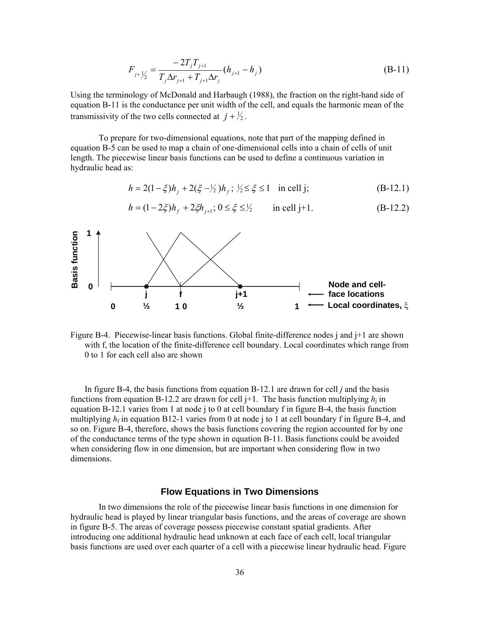$$
F_{j+\frac{1}{2}} = \frac{-2T_j T_{j+1}}{T_j \Delta r_{j+1} + T_{j+1} \Delta r_j} (h_{j+1} - h_j)
$$
(B-11)

<span id="page-44-0"></span>Using the terminology of McDonald and Harbaugh (1988), the fraction on the right-hand side of equation B-11 is the conductance per unit width of the cell, and equals the harmonic mean of the transmissivity of the two cells connected at  $j + \frac{1}{2}$ .

To prepare for two-dimensional equations, note that part of the mapping defined in equation B-5 can be used to map a chain of one-dimensional cells into a chain of cells of unit length. The piecewise linear basis functions can be used to define a continuous variation in hydraulic head as:

$$
h = 2(1 - \xi)h_j + 2(\xi - \frac{1}{2})h_f; \; \frac{1}{2} \le \xi \le 1 \quad \text{in cell j}; \tag{B-12.1}
$$

$$
h = (1 - 2\xi)h_f + 2\xi h_{j+1}; 0 \le \xi \le \frac{1}{2} \quad \text{in cell j+1.} \tag{B-12.2}
$$



Figure B-4. Piecewise-linear basis functions. Global finite-difference nodes j and j+1 are shown with f, the location of the finite-difference cell boundary. Local coordinates which range from 0 to 1 for each cell also are shown

In figure B-4, the basis functions from equation B-12.1 are drawn for cell *j* and the basis functions from equation B-12.2 are drawn for cell  $j+1$ . The basis function multiplying  $h_j$  in equation B-12.1 varies from 1 at node j to 0 at cell boundary f in figure B-4, the basis function multiplying  $h_f$  in equation B12-1 varies from 0 at node j to 1 at cell boundary f in figure B-4, and so on. Figure B-4, therefore, shows the basis functions covering the region accounted for by one of the conductance terms of the type shown in equation B-11. Basis functions could be avoided when considering flow in one dimension, but are important when considering flow in two dimensions.

#### **Flow Equations in Two Dimensions**

In two dimensions the role of the piecewise linear basis functions in one dimension for hydraulic head is played by linear triangular basis functions, and the areas of coverage are shown in figure B-5. The areas of coverage possess piecewise constant spatial gradients. After introducing one additional hydraulic head unknown at each face of each cell, local triangular basis functions are used over each quarter of a cell with a piecewise linear hydraulic head. Figure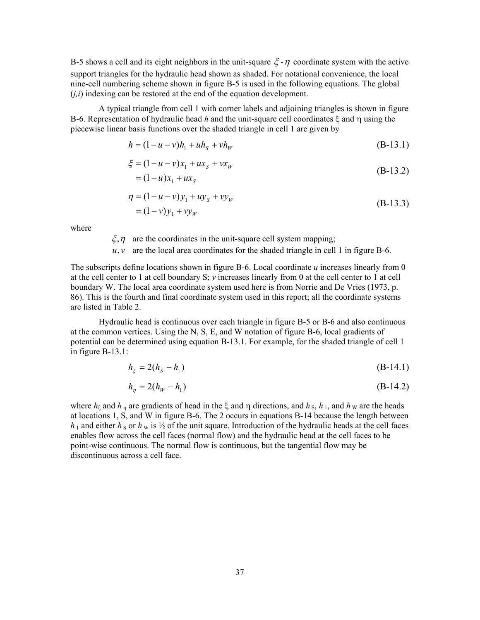B-5 shows a cell and its eight neighbors in the unit-square  $\zeta$ -η coordinate system with the active support triangles for the hydraulic head shown as shaded. For notational convenience, the local nine-cell numbering scheme shown in figure B-5 is used in the following equations. The global  $(j,i)$  indexing can be restored at the end of the equation development.

A typical triangle from cell 1 with corner labels and adjoining triangles is shown in figure B-6. Representation of hydraulic head *h* and the unit-square cell coordinates ξ and η using the piecewise linear basis functions over the shaded triangle in cell 1 are given by

$$
h = (1 - u - v)h_1 + uh_s + vh_w
$$
 (B-13.1)

$$
\xi = (1 - u - v)x_1 + ux_s + vx_w
$$
  
= (1 - u)x\_1 + ux\_s (B-13.2)

$$
\eta = (1 - u - v)y_1 + uy_s + vy_w
$$
  
= (1 - v)y\_1 + vy\_w (B-13.3)

where

 $\zeta$ ,  $\eta$  are the coordinates in the unit-square cell system mapping;

 $u, v$  are the local area coordinates for the shaded triangle in cell 1 in figure B-6.

The subscripts define locations shown in figure B-6. Local coordinate *u* increases linearly from 0 at the cell center to 1 at cell boundary S; *v* increases linearly from 0 at the cell center to 1 at cell boundary W. The local area coordinate system used here is from Norrie and De Vries (1973, p. 86). This is the fourth and final coordinate system used in this report; all the coordinate systems are listed in Table 2.

Hydraulic head is continuous over each triangle in figure B-5 or B-6 and also continuous at the common vertices. Using the N, S, E, and W notation of figure B-6, local gradients of potential can be determined using equation B-13.1. For example, for the shaded triangle of cell 1 in figure B-13.1:

$$
h_{\xi} = 2(h_{S} - h_{1})
$$
 (B-14.1)

$$
h_{\eta} = 2(h_W - h_1) \tag{B-14.2}
$$

where  $h_{\xi}$  and  $h_{\eta}$  are gradients of head in the  $\xi$  and  $\eta$  directions, and  $h_{\eta}$ ,  $h_{\eta}$ , and  $h_{\eta}$  are the heads at locations 1, S, and W in figure B-6. The 2 occurs in equations B-14 because the length between  $h_1$  and either  $h_S$  or  $h_W$  is  $\frac{1}{2}$  of the unit square. Introduction of the hydraulic heads at the cell faces enables flow across the cell faces (normal flow) and the hydraulic head at the cell faces to be point-wise continuous. The normal flow is continuous, but the tangential flow may be discontinuous across a cell face.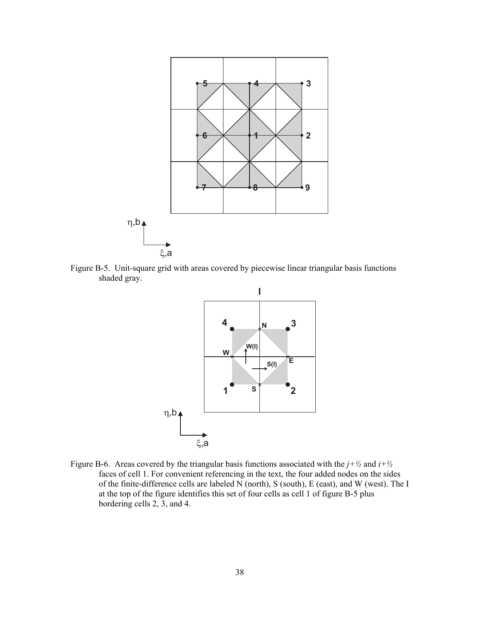<span id="page-46-0"></span>

Figure B-5. Unit-square grid with areas covered by piecewise linear triangular basis functions shaded gray.



Figure B-6. Areas covered by the triangular basis functions associated with the  $j + \frac{1}{2}$  and  $i + \frac{1}{2}$ faces of cell 1. For convenient referencing in the text, the four added nodes on the sides of the finite-difference cells are labeled N (north), S (south), E (east), and W (west). The I at the top of the figure identifies this set of four cells as cell 1 of figure B-5 plus bordering cells 2, 3, and 4.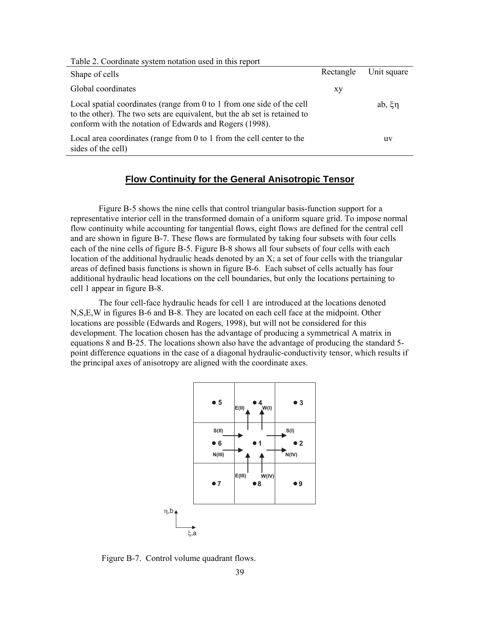<span id="page-47-0"></span>

| Table 2. Coordinate system notation used in this report                                                                                                                                                        |           |             |
|----------------------------------------------------------------------------------------------------------------------------------------------------------------------------------------------------------------|-----------|-------------|
| Shape of cells                                                                                                                                                                                                 | Rectangle | Unit square |
| Global coordinates                                                                                                                                                                                             | xу        |             |
| Local spatial coordinates (range from 0 to 1 from one side of the cell<br>to the other). The two sets are equivalent, but the ab set is retained to<br>conform with the notation of Edwards and Rogers (1998). |           | ab, $\xi$ n |
| Local area coordinates (range from 0 to 1 from the cell center to the<br>sides of the cell)                                                                                                                    |           | uv          |

#### **Flow Continuity for the General Anisotropic Tensor**

Figure B-5 shows the nine cells that control triangular basis-function support for a representative interior cell in the transformed domain of a uniform square grid. To impose normal flow continuity while accounting for tangential flows, eight flows are defined for the central cell and are shown in figure B-7. These flows are formulated by taking four subsets with four cells each of the nine cells of figure B-5. Figure B-8 shows all four subsets of four cells with each location of the additional hydraulic heads denoted by an X; a set of four cells with the triangular areas of defined basis functions is shown in figure B-6. Each subset of cells actually has four additional hydraulic head locations on the cell boundaries, but only the locations pertaining to cell 1 appear in figure B-8.

The four cell-face hydraulic heads for cell 1 are introduced at the locations denoted N,S,E,W in figures B-6 and B-8. They are located on each cell face at the midpoint. Other locations are possible (Edwards and Rogers, 1998), but will not be considered for this development. The location chosen has the advantage of producing a symmetrical A matrix in equations 8 and B-25. The locations shown also have the advantage of producing the standard 5 point difference equations in the case of a diagonal hydraulic-conductivity tensor, which results if the principal axes of anisotropy are aligned with the coordinate axes.



Figure B-7. Control volume quadrant flows.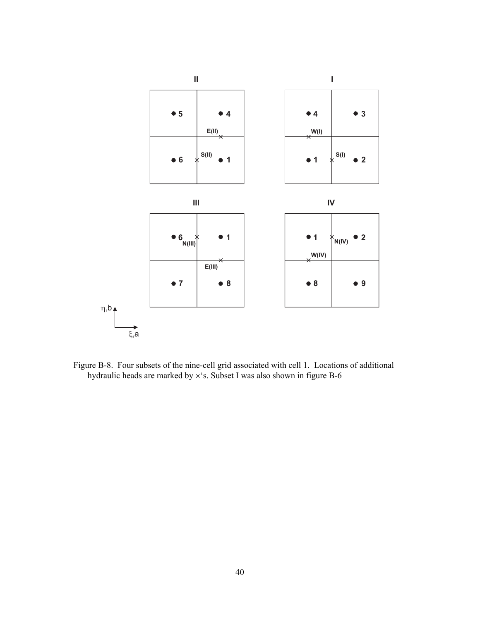<span id="page-48-0"></span>

Figure B-8. Four subsets of the nine-cell grid associated with cell 1. Locations of additional hydraulic heads are marked by ×'s. Subset I was also shown in figure B-6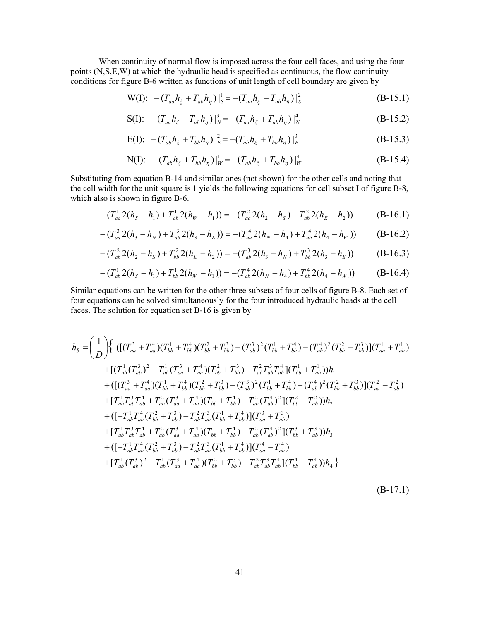When continuity of normal flow is imposed across the four cell faces, and using the four points (N,S,E,W) at which the hydraulic head is specified as continuous, the flow continuity conditions for figure B-6 written as functions of unit length of cell boundary are given by

W(I): 
$$
-(T_{aa}h_{\xi} + T_{ab}h_{\eta})|_{S}^{1} = -(T_{aa}h_{\xi} + T_{ab}h_{\eta})|_{S}^{2}
$$
 (B-15.1)

$$
S(I): \quad - (T_{aa}h_{\xi} + T_{ab}h_{\eta})|_{N}^{3} = -(T_{aa}h_{\xi} + T_{ab}h_{\eta})|_{N}^{4}
$$
\n(B-15.2)

$$
E(I): \quad - (T_{ab}h_{\xi} + T_{bb}h_{\eta})\big|_{E}^{2} = -(T_{ab}h_{\xi} + T_{bb}h_{\eta})\big|_{E}^{3}
$$
\n(B-15.3)

N(I): 
$$
-(T_{ab}h_{\xi} + T_{bb}h_{\eta})|_{W}^{1} = -(T_{ab}h_{\xi} + T_{bb}h_{\eta})|_{W}^{4}
$$
 (B-15.4)

Substituting from equation B-14 and similar ones (not shown) for the other cells and noting that the cell width for the unit square is 1 yields the following equations for cell subset I of figure B-8, which also is shown in figure B-6.

$$
-(T_{aa}^{1} 2(h_{s} - h_{1}) + T_{ab}^{1} 2(h_{W} - h_{1})) = -(T_{aa}^{2} 2(h_{2} - h_{s}) + T_{ab}^{2} 2(h_{E} - h_{2}))
$$
 (B-16.1)

$$
-(T_{aa}^{3} 2(h_{3} - h_{N}) + T_{ab}^{3} 2(h_{3} - h_{E})) = -(T_{aa}^{4} 2(h_{N} - h_{4}) + T_{ab}^{4} 2(h_{4} - h_{W}))
$$
 (B-16.2)

$$
-(T_{ab}^{2} 2(h_{2} - h_{S}) + T_{bb}^{2} 2(h_{E} - h_{2})) = -(T_{ab}^{3} 2(h_{3} - h_{N}) + T_{bb}^{3} 2(h_{3} - h_{E}))
$$
 (B-16.3)

$$
-(T_{ab}^{1} 2(h_{s}-h_{1})+T_{bb}^{1} 2(h_{W}-h_{1}))=-(T_{ab}^{4} 2(h_{N}-h_{4})+T_{bb}^{4} 2(h_{4}-h_{W}))
$$
 (B-16.4)

Similar equations can be written for the other three subsets of four cells of figure B-8. Each set of four equations can be solved simultaneously for the four introduced hydraulic heads at the cell faces. The solution for equation set B-16 is given by

$$
h_{S} = \left(\frac{1}{D}\right) \left\{ \left( \left[ (T_{aa}^{3} + T_{aa}^{4})(T_{bb}^{1} + T_{bb}^{4})(T_{bb}^{2} + T_{bb}^{3}) - (T_{ab}^{3})^{2}(T_{bb}^{1} + T_{bb}^{4}) - (T_{ab}^{4})^{2}(T_{bb}^{2} + T_{bb}^{3}) \right] (T_{aa}^{1} + T_{ab}^{1}) \right\}+ \left[ (T_{ab}^{1}(T_{ab}^{3})^{2} - T_{ab}^{1}(T_{aa}^{3} + T_{aa}^{4})(T_{bb}^{2} + T_{bb}^{3}) - T_{ab}^{2}T_{ab}^{3}T_{ab}^{4}[(T_{bb}^{1} + T_{ab}^{1}))h_{1}+ \left( \left[ (T_{aa}^{3} + T_{aa}^{4})(T_{bb}^{1} + T_{bb}^{4})(T_{bb}^{2} + T_{bb}^{3}) - (T_{ab}^{3})^{2}(T_{bb}^{1} + T_{bb}^{4}) - (T_{ab}^{4})^{2}(T_{bb}^{2} + T_{bb}^{3}) \right] (T_{aa}^{2} - T_{ab}^{2}) \right] + \left[ T_{ab}^{1}T_{ab}^{3}T_{ab}^{4} + T_{ab}^{2}(T_{aa}^{3} + T_{aa}^{4})(T_{bb}^{1} + T_{bb}^{4}) - T_{ab}^{2}(T_{ab}^{4})^{2}(T_{bb}^{2} - T_{ab}^{2}) \right) h_{2}+ \left( \left[ -T_{ab}^{1}T_{ab}^{4}(T_{bb}^{2} + T_{bb}^{3}) - T_{ab}^{2}T_{ab}^{3}(T_{bb}^{1} + T_{bb}^{4}) \right] (T_{aa}^{3} + T_{ab}^{3}) \right] + \left[ T_{ab}^{1}T_{ab}^{3}T_{ab}^{4} + T_{ab}^{2}(T_{aa}^{3} + T_{aa}^{4})(T_{bb}^{1} + T_{bb}^{4}) - T_{ab}^{2}(T_{ab}^{4})^{2}(T_{bb}^{3} + T_{ab}^{3}) \right) h_{3}+ \left[ T_{ab}^{1}T_{ab}^{3}T_{ab}^{4} + T_{ab}^{2}(T_{aa}^{3} + T_{aa}^{4})(T_{bb}^{1} + T_{bb}^{4}) - T_{ab}^{2}(T_{ab}^{
$$

(B-17.1)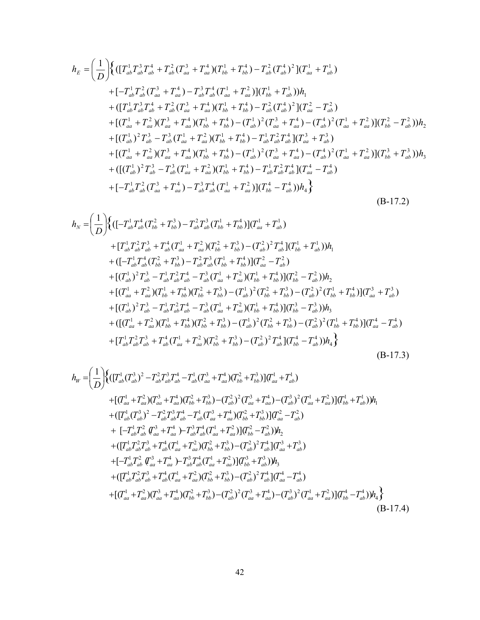$$
h_{E} = \left(\frac{1}{D}\right) \left\{ \left(\left[T_{ab}^{1}T_{ab}^{3}T_{ab}^{4} + T_{ab}^{2}\left(T_{aa}^{3} + T_{aa}^{4}\right)\left(T_{bb}^{1} + T_{bb}^{4}\right) - T_{ab}^{2}\left(T_{ab}^{4}\right)^{2}\right] \left(T_{aa}^{1} + T_{ab}^{1}\right) \right\}+\left[-T_{ab}^{1}T_{ab}^{2}\left(T_{aa}^{3} + T_{aa}^{4}\right) - T_{ab}^{3}T_{ab}^{4}\left(T_{aa}^{1} + T_{aa}^{2}\right)\right] \left(T_{bb}^{1} + T_{ab}^{1}\right) \right)h_{1}+\left(\left[T_{ab}^{1}T_{ab}^{3}T_{ab}^{4} + T_{ab}^{2}\left(T_{aa}^{3} + T_{aa}^{4}\right)\left(T_{bb}^{1} + T_{bb}^{4}\right) - T_{ab}^{2}\left(T_{ab}^{4}\right)^{2}\right] \left(T_{aa}^{2} - T_{ab}^{2}\right) +\left[\left(T_{aa}^{1} + T_{aa}^{2}\right)\left(T_{aa}^{3} + T_{aa}^{4}\right)\left(T_{bb}^{1} + T_{bb}^{4}\right) - \left(T_{ab}^{1}\right)^{2}\left(T_{aa}^{3} + T_{aa}^{4}\right) - \left(T_{ab}^{4}\right)^{2}\left(T_{aa}^{1} + T_{aa}^{2}\right)\right] \left(T_{bb}^{2} - T_{ab}^{2}\right) \right)h_{2}+\left[\left(T_{ab}^{1}\right)^{2}T_{ab}^{3} - T_{ab}^{3}\left(T_{aa}^{1} + T_{aa}^{2}\right)\left(T_{bb}^{1} + T_{bb}^{4}\right) - T_{ab}^{1}T_{ab}^{2}T_{ab}^{4}\right] \left(T_{aa}^{3} + T_{ab}^{3}\right) +\left[\left(T_{aa}^{1} + T_{aa}^{2}\right)\left(T_{aa}^{3} + T_{aa}^{4}\right)\left(T_{bb}^{1} + T_{bb}^{4}\right) - \left(T_{ab}^{1}\right)^{2}\left(T_{aa}^{3} + T_{ab}^{4}\right) - \left(T_{ab}^{4}\right)^{2}\left(T_{aa}^{1} + T_{aa}^{2}\right)\right] \left(T_{bb}^{3} + T_{ab}^{3}\right)
$$

$$
h_N = \left(\frac{1}{D}\right) \left\{ \left( \left[-T_{ab}^1 T_{ab}^4 (T_{bb}^2 + T_{bb}^3) - T_{ab}^2 T_{ab}^3 (T_{bb}^1 + T_{bb}^4) \right] (T_{aa}^1 + T_{ab}^1) \right. \\ \left. + \left[T_{ab}^1 T_{ab}^2 T_{ab}^3 + T_{ab}^4 (T_{aa}^1 + T_{aa}^2) (T_{bb}^2 + T_{bb}^3) - (T_{ab}^2)^2 T_{ab}^4 \right] (T_{bb}^1 + T_{ab}^1) \right) h_1 \\ \left. + \left( \left[-T_{ab}^1 T_{ab}^4 (T_{bb}^2 + T_{bb}^3) - T_{ab}^2 T_{ab}^3 (T_{bb}^1 + T_{bb}^4) \right] (T_{aa}^2 - T_{ab}^2) \right. \\ \left. + \left[ (T_{ab}^1)^2 T_{ab}^3 - T_{ab}^1 T_{ab}^2 T_{ab}^4 - T_{ab}^3 (T_{aa}^1 + T_{aa}^2) (T_{bb}^1 + T_{bb}^4) \right] (T_{bb}^2 - T_{ab}^2) \right) h_2 \\ \left. + \left[ (T_{aa}^1 + T_{aa}^2) (T_{bb}^1 + T_{bb}^4) (T_{bb}^2 + T_{bb}^3) - (T_{ab}^1)^2 (T_{bb}^2 + T_{bb}^3) - (T_{ab}^2)^2 (T_{bb}^1 + T_{bb}^4) \right] (T_{aa}^3 + T_{ab}^3) \right. \\ \left. + \left[ (T_{ab}^1)^2 T_{ab}^3 - T_{ab}^1 T_{ab}^2 T_{ab}^4 - T_{ab}^3 (T_{aa}^1 + T_{aa}^2) (T_{bb}^1 + T_{bb}^4) \right] (T_{bb}^3 - T_{ab}^3) \right) h_3 \\ \left. + \left[ (T_{ab}^1)^2 T_{ab}^3 - T_{ab}^1 T_{ab}^2 T_{ab}^4 - T_{ab}^3 (T_{aa}^1 + T_{aa}^2) (T_{bb}^1 + T_{bb}^4) \right] (T_{bb}^3 - T_{ab}^3) \right) h_3 \right. \\ \left. + \left\{ \left[ (T_{aa}^1 + T_{aa}^2) (T_{bb}^1
$$

$$
h_{W} = \left(\frac{1}{D}\right) \left\{ \left(\left[T_{ab}^{1}(T_{ab}^{3})^{2} - T_{ab}^{2}T_{ab}^{3}T_{ab}^{4} - T_{ab}^{1}(T_{aa}^{3} + T_{aa}^{4})(T_{bb}^{2} + T_{bb}^{3})\right) \left[T_{aa}^{1} + T_{ab}^{1}\right] \right\}
$$
  
+  $\left[\left(T_{aa}^{1} + T_{aa}^{2}\right)\left(T_{aa}^{3} + T_{aa}^{4}\right)\left(T_{bb}^{2} + T_{bb}^{3}\right) - \left(T_{ab}^{2}\right)^{2}\left(T_{aa}^{3} + T_{aa}^{4}\right) - \left(T_{ab}^{3}\right)^{2}\left(T_{aa}^{1} + T_{aa}^{2}\right)\right] \left(T_{bb}^{1} + T_{ab}^{1}\right) \right)h_{1}$   
+  $\left(\left[T_{ab}^{1}(T_{ab}^{3})^{2} - T_{ab}^{2}T_{ab}^{3}T_{ab}^{4} - T_{ab}^{1}(T_{aa}^{3} + T_{aa}^{4})(T_{bb}^{2} + T_{bb}^{3})\right)\left(T_{aa}^{2} - T_{ab}^{2}\right)$   
+  $\left[-T_{ab}^{1}T_{ab}^{2}T_{ab}^{3} + T_{aa}^{4}\right) - T_{ab}^{3}T_{ab}^{4}\left(T_{aa}^{1} + T_{aa}^{2}\right)\left(T_{bb}^{2} - T_{ab}^{2}\right)\right)h_{2}$   
+  $\left(\left[T_{ab}^{1}T_{ab}^{2}T_{ab}^{3} + T_{ab}^{4}\left(T_{aa}^{1} + T_{aa}^{2}\right)\left(T_{bb}^{2} + T_{bb}^{3}\right) - \left(T_{ab}^{2}\right)^{2}T_{ab}^{4}\right]\left(T_{aa}^{3} + T_{ab}^{3}\right)$   
+  $\left[-T_{ab}^{1}T_{ab}^{2}T_{ab}^{3} + T_{ab}^{4}\left(T_{aa}^{1} + T_{aa}^{2}\right)\left(T_{bb}^{2} + T_{bb}^{3}\right)\right)h_{3}$   
+  $\left(\left[T_{ab}^{1}T_{ab}^{2}T_{ab}^{3} + T_{ab}^{4}\left(T_{aa}^{1} + T_{aa}^{2}\right)\left(T_{bb}^{2} + T_{bb}^{3}\$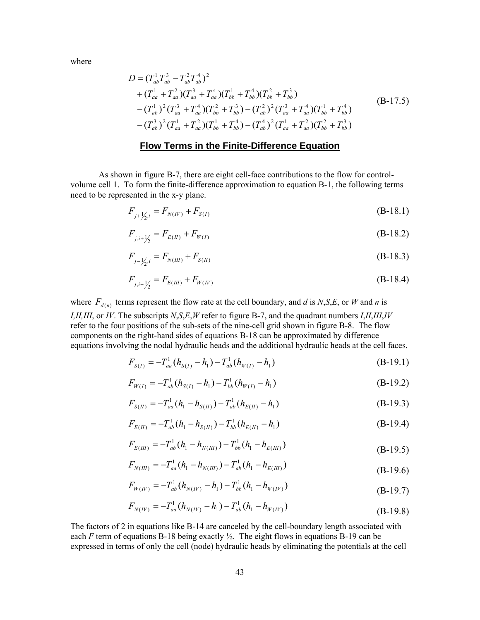<span id="page-51-0"></span>where

$$
D = (T_{ab}^{1} T_{ab}^{3} - T_{ab}^{2} T_{ab}^{4})^{2}
$$
  
+  $(T_{aa}^{1} + T_{aa}^{2})(T_{aa}^{3} + T_{aa}^{4})(T_{bb}^{1} + T_{bb}^{4})(T_{bb}^{2} + T_{bb}^{3})$   
-  $(T_{ab}^{1})^{2} (T_{aa}^{3} + T_{aa}^{4})(T_{bb}^{2} + T_{bb}^{3}) - (T_{ab}^{2})^{2} (T_{aa}^{3} + T_{aa}^{4})(T_{bb}^{1} + T_{bb}^{4})$   
-  $(T_{ab}^{3})^{2} (T_{aa}^{1} + T_{aa}^{2})(T_{bb}^{1} + T_{bb}^{4}) - (T_{ab}^{4})^{2} (T_{aa}^{1} + T_{aa}^{2})(T_{bb}^{2} + T_{bb}^{3})$  (B-17.5)

#### **Flow Terms in the Finite-Difference Equation**

As shown in figure B-7, there are eight cell-face contributions to the flow for controlvolume cell 1. To form the finite-difference approximation to equation B-1, the following terms need to be represented in the x-y plane.

$$
F_{j+\frac{1}{2},i} = F_{N(IV)} + F_{S(I)} \tag{B-18.1}
$$

$$
F_{j,i+\frac{1}{2}} = F_{E(II)} + F_{W(I)} \tag{B-18.2}
$$

$$
F_{j-\frac{1}{2},i} = F_{N(III)} + F_{S(II)} \tag{B-18.3}
$$

$$
F_{j,i-\frac{1}{2}} = F_{E(III)} + F_{W(IV)} \tag{B-18.4}
$$

where  $F_{d(n)}$  terms represent the flow rate at the cell boundary, and *d* is *N*,*S*,*E*, or *W* and *n* is *I,II,III*, or *IV*. The subscripts *N*,*S*,*E*,*W* refer to figure B-7, and the quadrant numbers *I*,*II*,*III*,*IV* refer to the four positions of the sub-sets of the nine-cell grid shown in figure B-8. The flow components on the right-hand sides of equations B-18 can be approximated by difference equations involving the nodal hydraulic heads and the additional hydraulic heads at the cell faces.

$$
F_{S(I)} = -T_{aa}^{1} (h_{S(I)} - h_1) - T_{ab}^{1} (h_{W(I)} - h_1)
$$
\n(B-19.1)

$$
F_{W(I)} = -T_{ab}^{1} (h_{S(I)} - h_{1}) - T_{bb}^{1} (h_{W(I)} - h_{1})
$$
\n(B-19.2)

$$
F_{S(H)} = -T_{aa}^1(h_1 - h_{S(H)}) - T_{ab}^1(h_{E(H)} - h_1)
$$
\n(B-19.3)

$$
F_{E(H)} = -T_{ab}^1(h_1 - h_{S(H)}) - T_{bb}^1(h_{E(H)} - h_1)
$$
\n(B-19.4)

$$
F_{E(III)} = -T_{ab}^1 (h_1 - h_{N(III)}) - T_{bb}^1 (h_1 - h_{E(III)})
$$
\n(B-19.5)

$$
F_{N(III)} = -T_{aa}^1 (h_1 - h_{N(III)}) - T_{ab}^1 (h_1 - h_{E(III)})
$$
\n(B-19.6)

$$
F_{W(W)} = -T_{ab}^{1} (h_{N(W)} - h_{1}) - T_{bb}^{1} (h_{1} - h_{W(W)})
$$
\n(B-19.7)

$$
F_{N(IV)} = -T_{aa}^1 (h_{N(IV)} - h_1) - T_{ab}^1 (h_1 - h_{W(IV)})
$$
\n(B-19.8)

The factors of 2 in equations like B-14 are canceled by the cell-boundary length associated with each *F* term of equations B-18 being exactly  $\frac{1}{2}$ . The eight flows in equations B-19 can be expressed in terms of only the cell (node) hydraulic heads by eliminating the potentials at the cell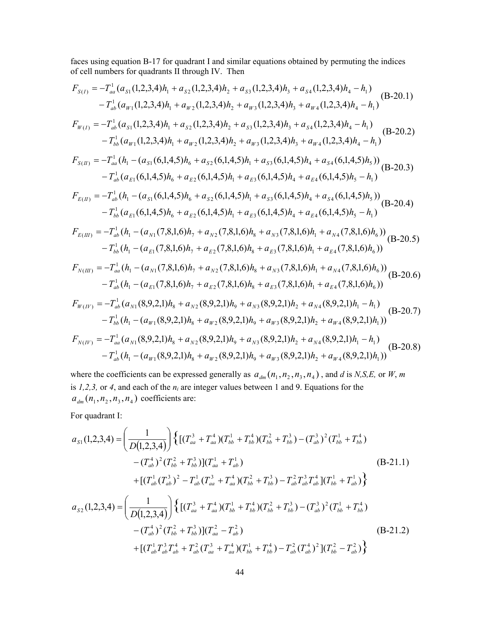faces using equation B-17 for quadrant I and similar equations obtained by permuting the indices of cell numbers for quadrants II through IV. Then

$$
F_{S(I)} = -T_{aa}^{1}(a_{s1}(1,2,3,4)h_{1} + a_{s2}(1,2,3,4)h_{2} + a_{s3}(1,2,3,4)h_{3} + a_{s4}(1,2,3,4)h_{4} - h_{1})
$$
\n
$$
-T_{ab}^{1}(a_{w1}(1,2,3,4)h_{1} + a_{w2}(1,2,3,4)h_{2} + a_{w3}(1,2,3,4)h_{3} + a_{w4}(1,2,3,4)h_{4} - h_{1})
$$
\n
$$
F_{W(I)} = -T_{ab}^{1}(a_{s1}(1,2,3,4)h_{1} + a_{s2}(1,2,3,4)h_{2} + a_{s3}(1,2,3,4)h_{3} + a_{s4}(1,2,3,4)h_{4} - h_{1})
$$
\n
$$
-T_{bb}^{1}(a_{w1}(1,2,3,4)h_{1} + a_{w2}(1,2,3,4)h_{2} + a_{w3}(1,2,3,4)h_{3} + a_{w4}(1,2,3,4)h_{4} - h_{1})
$$
\n
$$
F_{S(II)} = -T_{ab}^{1}(h_{1} - (a_{s1}(6,1,4,5)h_{6} + a_{s2}(6,1,4,5)h_{1} + a_{s3}(6,1,4,5)h_{4} + a_{s4}(6,1,4,5)h_{5})
$$
\n
$$
-T_{ab}^{1}(a_{t1}(6,1,4,5)h_{6} + a_{t2}(6,1,4,5)h_{1} + a_{t3}(6,1,4,5)h_{4} + a_{t4}(6,1,4,5)h_{5} - h_{1})
$$
\n
$$
F_{E(II)} = -T_{ab}^{1}(h_{1} - (a_{s1}(6,1,4,5)h_{6} + a_{s2}(6,1,4,5)h_{1} + a_{s3}(6,1,4,5)h_{4} + a_{s4}(6,1,4,5)h_{5})
$$
\n
$$
-T_{bb}^{1}(a_{t1}(6,1,4,5)h_{6} + a_{t2}(6,1,4,5)h_{1} + a_{s3}(6,1,4,5)h_{4} + a_{s4}(6,1,4,
$$

where the coefficients can be expressed generally as  $a_{dm}(n_1, n_2, n_3, n_4)$ , and *d* is *N*,*S*,*E*, or *W*, *m* is *1,2,3,* or *4*, and each of the *ni* are integer values between 1 and 9. Equations for the  $a_{dm}(n_1, n_2, n_3, n_4)$  coefficients are:

For quadrant I:

$$
a_{s1}(1,2,3,4) = \left(\frac{1}{D(1,2,3,4)}\right) \left\{ \left[ (T_{aa}^3 + T_{aa}^4)(T_{bb}^1 + T_{bb}^4)(T_{bb}^2 + T_{bb}^3) - (T_{ab}^3)^2(T_{bb}^1 + T_{bb}^4) \right. \\ \left. - (T_{ab}^4)^2(T_{bb}^2 + T_{bb}^3)\right] (T_{aa}^1 + T_{ab}^1) \right\}
$$
\n
$$
+ \left[ (T_{ab}^1(T_{ab}^3)^2 - T_{ab}^1(T_{aa}^3 + T_{aa}^4)(T_{bb}^2 + T_{bb}^3) - T_{ab}^2 T_{ab}^3 T_{ab}^4 \right] (T_{bb}^1 + T_{ab}^1) \right\}
$$
\n
$$
a_{s2}(1,2,3,4) = \left(\frac{1}{D(1,2,3,4)}\right) \left\{ \left[ (T_{aa}^3 + T_{aa}^4)(T_{bb}^1 + T_{bb}^4)(T_{bb}^2 + T_{bb}^3) - (T_{ab}^3)^2(T_{bb}^1 + T_{bb}^4) \right. \\ \left. - (T_{ab}^4)^2(T_{bb}^2 + T_{bb}^3)\right] (T_{aa}^2 - T_{ab}^2) \right\}
$$
\n
$$
+ \left[ (T_{ab}^1 T_{ab}^3 T_{ab}^4 + T_{ab}^2(T_{aa}^3 + T_{aa}^4)(T_{bb}^1 + T_{bb}^4) - T_{ab}^2(T_{ab}^4)^2 \right] (T_{bb}^2 - T_{ab}^2) \right\}
$$
\n(B-21.2)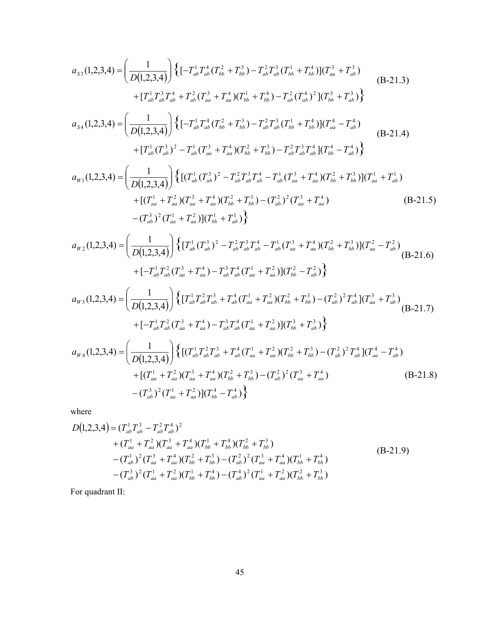$$
a_{s3}(1,2,3,4) = \left(\frac{1}{D(1,2,3,4)}\right) \left\{ \left[-T_{ab}^{1}T_{ab}^{4}(T_{bb}^{2} + T_{bb}^{3}) - T_{ab}^{2}T_{ab}^{3}(T_{bb}^{1} + T_{bb}^{4})\right] (T_{aa}^{3} + T_{ab}^{3}) + \left[T_{ab}^{1}T_{ab}^{3}T_{ab}^{4} + T_{ab}^{2}(T_{aa}^{3} + T_{ab}^{4})(T_{bb}^{1} + T_{bb}^{4}) - T_{ab}^{2}(T_{ab}^{4})^{2}\right] (T_{bb}^{3} + T_{ab}^{3}) \right\}
$$
\n(B-21.3)  
\n
$$
+ \left[T_{ab}^{1}T_{ab}^{3}T_{ab}^{4} + T_{ab}^{2}(T_{aa}^{3} + T_{ab}^{4})(T_{bb}^{1} + T_{bb}^{4}) - T_{ab}^{2}(T_{ab}^{4})^{2}\right] (T_{bb}^{3} + T_{ab}^{3})
$$
\n(B-21.4)  
\n
$$
+ \left[T_{ab}^{1}(T_{ab}^{3})^{2} - T_{ab}^{1}(T_{aa}^{3} + T_{aa}^{4})(T_{bb}^{2} + T_{bb}^{3}) - T_{ab}^{2}T_{ab}^{3}(T_{bb}^{1} + T_{bb}^{4})\right] (T_{aa}^{4} - T_{ab}^{4})
$$
\n(B-21.4)  
\n
$$
+ \left[T_{ab}^{1}(T_{ab}^{3})^{2} - T_{ab}^{1}(T_{aa}^{3} + T_{aa}^{4})(T_{bb}^{2} + T_{bb}^{3}) - T_{ab}^{2}T_{ab}^{3}T_{ab}^{4}\right] (T_{bb}^{4} - T_{ab}^{4})
$$
\n(B-21.4)  
\n
$$
+ \left[(T_{aa}^{1} + T_{aa}^{2})(T_{aa}^{3} + T_{aa}^{4})(T_{bb}^{2} + T_{bb}^{3}) - (T_{ab}^{2})^{2}(T_{aa}^{3} + T_{aa}^{4})(T_{bb}^{2} + T_{bb}^{3})\right] (T_{aa}^{1} + T_{ab}^{1})
$$
\n
$$
- (T_{ab}^{3})^{2}(T_{aa}^{1} + T_{aa}^{2})[(T_{bb}^{1} +
$$

$$
a_{W2}(1,2,3,4) = \left(\frac{1}{D(1,2,3,4)}\right) \left\{ \left[T_{ab}^1(T_{ab}^3)^2 - T_{ab}^2 T_{ab}^3 T_{ab}^4 - T_{ab}^1 (T_{aa}^3 + T_{aa}^4)(T_{bb}^2 + T_{bb}^3) \right] (T_{aa}^2 - T_{ab}^2) \right\}
$$
  
+  $\left[-T_{ab}^1 T_{ab}^2 (T_{aa}^3 + T_{aa}^4) - T_{ab}^3 T_{ab}^4 (T_{aa}^1 + T_{aa}^2) \right] (T_{bb}^2 - T_{ab}^2) \right\}$  (B-21.6)

$$
a_{W3}(1,2,3,4) = \left(\frac{1}{D(1,2,3,4)}\right) \left\{ \left[T_{ab}^1 T_{ab}^2 T_{ab}^3 + T_{ab}^4 (T_{aa}^1 + T_{aa}^2) (T_{bb}^2 + T_{bb}^3) - (T_{ab}^2)^2 T_{ab}^4 \right] (T_{aa}^3 + T_{ab}^3) \right\}
$$
  
+  $\left[-T_{ab}^1 T_{ab}^2 (T_{aa}^3 + T_{aa}^4) - T_{ab}^3 T_{ab}^4 (T_{aa}^1 + T_{aa}^2) \right] (T_{bb}^3 + T_{ab}^3)$   

$$
a_{W4}(1,2,3,4) = \left(\frac{1}{D(1,2,3,4)}\right) \left\{ \left[ (T_{ab}^1 T_{ab}^2 T_{ab}^3 + T_{ab}^4 (T_{aa}^1 + T_{aa}^2) (T_{bb}^2 + T_{bb}^3) - (T_{ab}^2)^2 T_{ab}^4 \right] (T_{aa}^4 - T_{ab}^4) \right\}
$$

$$
u_{W4}(1,2,3,4) = \left(\frac{1}{D(1,2,3,4)}\right) \left\{ \left[ (T_{ab}^1 T_{ab}^2 T_{ab}^3 + T_{ab}^4 (T_{aa}^1 + T_{aa}^2) (T_{bb}^2 + T_{bb}^3) - (T_{ab}^2)^2 T_{ab}^4 \right] (T_{aa}^4 - T_{ab}^4) \right. \\ \left. + \left[ (T_{aa}^1 + T_{aa}^2) (T_{aa}^3 + T_{aa}^4) (T_{bb}^2 + T_{bb}^3) - (T_{ab}^2)^2 (T_{aa}^3 + T_{aa}^4) \right] \right\} \\ \left. - (T_{ab}^3)^2 (T_{aa}^1 + T_{aa}^2) \right] (T_{bb}^4 - T_{ab}^4) \right\} \tag{B-21.8}
$$

where

$$
D(1,2,3,4) = (T_{ab}^{1}T_{ab}^{3} - T_{ab}^{2}T_{ab}^{4})^{2}
$$
  
+  $(T_{aa}^{1} + T_{aa}^{2})(T_{aa}^{3} + T_{aa}^{4})(T_{bb}^{1} + T_{bb}^{4})(T_{bb}^{2} + T_{bb}^{3})$   
-  $(T_{ab}^{1})^{2}(T_{aa}^{3} + T_{aa}^{4})(T_{bb}^{2} + T_{bb}^{3}) - (T_{ab}^{2})^{2}(T_{aa}^{3} + T_{aa}^{4})(T_{bb}^{1} + T_{bb}^{4})$   
-  $(T_{ab}^{3})^{2}(T_{aa}^{1} + T_{aa}^{2})(T_{bb}^{1} + T_{bb}^{4}) - (T_{ab}^{4})^{2}(T_{aa}^{1} + T_{aa}^{2})(T_{bb}^{2} + T_{bb}^{3})$  (B-21.9)

For quadrant II: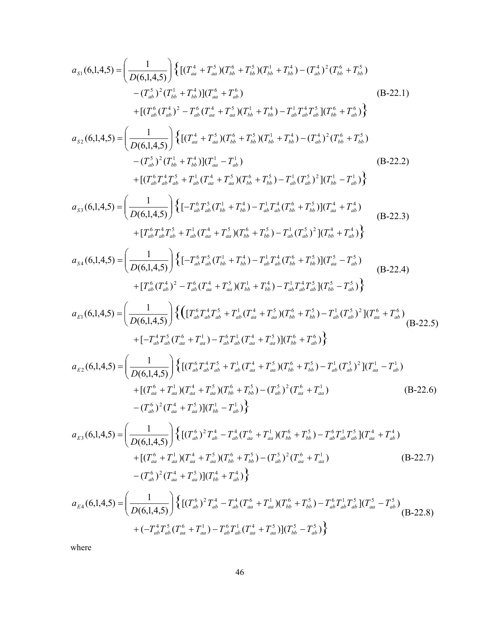$$
a_{s1}(6,1,4,5) = \left(\frac{1}{D(6,1,4,5)}\right) \left\{ \left[ (T_{aa}^{4} + T_{aa}^{5})(T_{bb}^{6} + T_{bb}^{5})(T_{bb}^{1} + T_{bb}^{4} - (T_{ab}^{4})^{2}(T_{bb}^{6} + T_{bb}^{5})) \right. \\ - (T_{ab}^{5})^{2}(T_{bb}^{1} + T_{ab}^{4})(T_{aa}^{6} + T_{ab}^{6}) \left[ (T_{bb}^{1} + T_{bb}^{4})(T_{bb}^{1} + T_{bb}^{4}) \right] \right\}
$$
\n
$$
a_{s2}(6,1,4,5) = \left(\frac{1}{D(6,1,4,5)}\right) \left\{ \left[ (T_{aa}^{4} + T_{aa}^{5})(T_{bb}^{4} + T_{bb}^{4})(T_{bb}^{1} + T_{bb}^{4}) - (T_{ab}^{4})^{2}(T_{bb}^{6} + T_{bb}^{6}) \right] \right\}
$$
\n
$$
a_{s2}(6,1,4,5) = \left(\frac{1}{D(6,1,4,5)}\right) \left\{ \left[ (T_{aa}^{4} + T_{aa}^{5})(T_{bb}^{6} + T_{bb}^{5})(T_{bb}^{1} + T_{bb}^{4}) - (T_{ab}^{4})^{2}(T_{bb}^{6} + T_{bb}^{5}) \right] \right.
$$
\n
$$
a_{s2}(6,1,4,5) = \left(\frac{1}{D(6,1,4,5)}\right) \left\{ \left[ -T_{ab}^{6}T_{ab}^{5}(T_{ba}^{6} + T_{ab}^{5})(T_{bb}^{6} + T_{bb}^{5}) - T_{ab}^{1}(T_{ab}^{4} + T_{ab}^{4}) \right] \right.\
$$
\n
$$
a_{s3}(6,1,4,5) = \left(\frac{1}{D(6,1,4,5)}\right) \left\{ \left[ -T_{ab}^{6}T_{ab}^{5}(T_{bb}^{4} + T_{ab}^{4})(T_{bb}^{6} + T_{bb}^{5}) - T_{ab}^{1}(T_{bb}^{4} + T_{bb}^{4}) \right] \left( T_{bb}^{4} + T_{ab}^{4} \right) \right.\
$$
\n
$$
a_{s3}(6,1,4,5) = \left(\frac{
$$

$$
a_{E4}(6,1,4,5) = \left(\frac{1}{D(6,1,4,5)}\right) \left\{ \left[ (T_{ab}^6)^2 T_{ab}^4 - T_{ab}^4 (T_{aa}^6 + T_{aa}^1)(T_{bb}^6 + T_{bb}^5) - T_{ab}^6 T_{ab}^1 T_{ab}^5 \right] (T_{aa}^5 - T_{ab}^5) \right\}
$$
  
+ 
$$
\left(-T_{ab}^4 T_{ab}^5 (T_{aa}^6 + T_{aa}^1) - T_{ab}^6 T_{ab}^1 (T_{aa}^4 + T_{aa}^5) \right] (T_{bb}^5 - T_{ab}^5)
$$
 (B-22.8)

where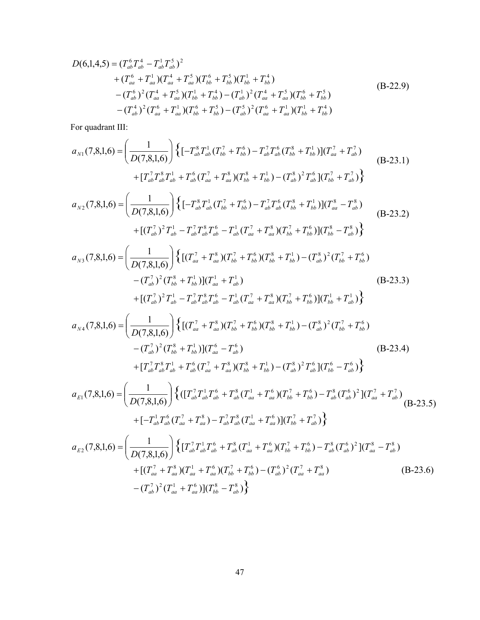$$
D(6,1,4,5) = (T_{ab}^6 T_{ab}^4 - T_{ab}^1 T_{ab}^5)^2
$$
  
+  $(T_{aa}^6 + T_{aa}^1)(T_{aa}^4 + T_{aa}^5)(T_{bb}^6 + T_{bb}^5)(T_{bb}^1 + T_{bb}^4)$   
-  $(T_{ab}^6)^2 (T_{aa}^4 + T_{aa}^5)(T_{bb}^1 + T_{bb}^4) - (T_{ab}^1)^2 (T_{aa}^4 + T_{aa}^5)(T_{bb}^6 + T_{bb}^5)$   
-  $(T_{ab}^4)^2 (T_{aa}^6 + T_{aa}^1)(T_{bb}^6 + T_{bb}^5) - (T_{ab}^5)^2 (T_{aa}^6 + T_{aa}^1)(T_{bb}^1 + T_{bb}^4)$  (B-22.9)

For quadrant III:

$$
a_{N1}(7,8,1,6) = \left(\frac{1}{D(7,8,1,6)}\right) \left\{ \left[-T_{ab}^{8}T_{ab}^{1}(T_{bb}^{7}+T_{bb}^{6}) - T_{ab}^{7}T_{ab}^{6}(T_{bb}^{8}+T_{bb}^{1})\right] (T_{aa}^{7}+T_{ab}^{7}) \right\}
$$
\n
$$
+ [T_{ab}^{7}T_{ab}^{8}T_{ab}^{1}+T_{ab}^{6}(T_{aa}^{7}+T_{aa}^{8})(T_{bb}^{8}+T_{bb}^{1}) - (T_{ab}^{8})^{2}T_{ab}^{6}(T_{bb}^{7}+T_{ab}^{7}) \right\}
$$
\n
$$
a_{N2}(7,8,1,6) = \left(\frac{1}{D(7,8,1,6)}\right) \left\{ \left[-T_{ab}^{8}T_{ab}^{1}(T_{bb}^{7}+T_{bb}^{6}) - T_{ab}^{7}T_{ab}^{6}(T_{bb}^{8}+T_{bb}^{1})\right] (T_{aa}^{8}-T_{ab}^{8}) \right\}
$$
\n
$$
a_{N2}(7,8,1,6) = \left(\frac{1}{D(7,8,1,6)}\right) \left\{ \left[-T_{ab}^{8}T_{ab}^{1}(T_{bb}^{7}+T_{bb}^{6}) - T_{ab}^{7}T_{ab}^{6}(T_{bb}^{8}+T_{bb}^{1})\right] (T_{aa}^{8}-T_{ab}^{8}) \right\}
$$
\n
$$
a_{N3}(7,8,1,6) = \left(\frac{1}{D(7,8,1,6)}\right) \left\{ \left[(T_{aa}^{7}+T_{aa}^{8})(T_{bb}^{7}+T_{bb}^{6})(T_{bb}^{8}+T_{bb}^{1}) - (T_{ab}^{8})^{2}(T_{bb}^{7}+T_{bb}^{6})\right] \right\}
$$
\n
$$
a_{N3}(7,8,1,6) = \left(\frac{1}{D(7,8,1,6)}\right) \left\{ \left[(T_{aa}^{7}+T_{aa}^{8})(T_{bb}^{7}+T_{bb}^{6})(T_{bb}^{7}+T_{bb}^{6})(T_{bb}^{8}+T_{bb}^{4})\right] \right\}
$$
\n
$$
a_{N4}(7,8,1,
$$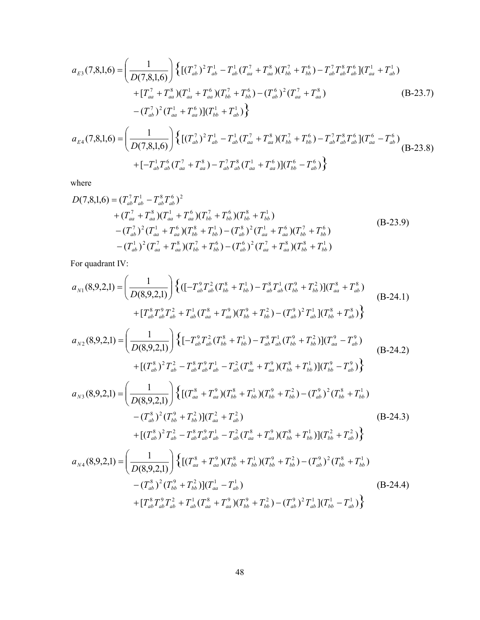$$
a_{E3}(7,8,1,6) = \left(\frac{1}{D(7,8,1,6)}\right) \left\{ \left[ (T_{ab}^7)^2 T_{ab}^1 - T_{ab}^1 (T_{aa}^7 + T_{aa}^8)(T_{bb}^7 + T_{bb}^6) - T_{ab}^7 T_{ab}^8 T_{ab}^6 \right] (T_{aa}^1 + T_{ab}^1) \right\}
$$

$$
+ [T_{aa}^7 + T_{aa}^8)(T_{aa}^1 + T_{aa}^6)(T_{bb}^7 + T_{bb}^6) - (T_{ab}^6)^2 (T_{aa}^7 + T_{aa}^8) \qquad (B-23.7)
$$

$$
- (T_{ab}^7)^2 (T_{aa}^1 + T_{aa}^6) \left[ (T_{bb}^1 + T_{ab}^1) \right] \right\}
$$

$$
a_{E4}(7,8,1,6) = \left(\frac{1}{D(7,8,1,6)}\right) \left\{ \left[ (T_{ab}^7)^2 T_{ab}^1 - T_{ab}^1 (T_{aa}^7 + T_{aa}^8)(T_{bb}^7 + T_{bb}^6) - T_{ab}^7 T_{ab}^8 T_{ab}^6 \right] (T_{aa}^7 - T_{ab}^6) \qquad (B-23.8)
$$

$$
\left(D(7,8,1,6)\right)^{(\mathbf{C}(\mathbf{C}-a b)^{-1}a b^{\mathbf{C}-a b^{\mathbf{C}-a b^{\mathbf{C}-a b^{\mathbf{C}-a b^{\mathbf{C}-a b^{\mathbf{C}-a b^{\mathbf{C}-a b^{\mathbf{C}-a b^{\mathbf{C}-a b^{\mathbf{C}-a b^{\mathbf{C}-a b^{\mathbf{C}-a b^{\mathbf{C}-a b^{\mathbf{C}-a b^{\mathbf{C}-a b^{\mathbf{C}-a b^{\mathbf{C}-a b^{\mathbf{C}-a b^{\mathbf{C}-a b^{\mathbf{C}-a b^{\mathbf{C}-a b^{\mathbf{C}-a b^{\mathbf{C}-a b^{\mathbf{C}-a b^{\mathbf{C}-a b^{\mathbf{C}-a b^{\mathbf{C}-a b^{\mathbf{C}-a^{\mathbf{C}-a b^{\mathbf{C}-a^{\mathbf{C}-a^{\mathbf{C}-a^{\mathbf{C}-a^{\mathbf{C}-a^{\mathbf{C}-a^{\mathbf{C}-a^{\mathbf{C}-a^{\mathbf{C}-a^{\mathbf{C}-a^{\mathbf{C}-a^{\mathbf{C}-a^{\mathbf{C}-a^{\mathbf{C}-a^{\mathbf{C}-a^{\mathbf{C}-a^{\mathbf{C}-a^{\mathbf{C}-a^{\mathbf{C}-a^{\mathbf{C}-a^{\mathbf{C}-a^{\mathbf{C}-a^{\mathbf{C}-a^{\mathbf{C}-a^{\mathbf{C}-a^{\mathbf{C}-a^{\mathbf{C}-a^{\mathbf{C}-a^{\mathbf{C}-a^{\mathbf{C}-a^{\mathbf{C}-a^{\mathbf{C}-a^{\mathbf{C}-a^{\mathbf{C}-a^{\mathbf{C}-a^{\mathbf{C}-a^{\mathbf{C}-a^{\mathbf{C}-a^{\mathbf{C}-a^{\mathbf{C}-a^{\mathbf{C}-a^{\mathbf{C}-a^{\mathbf{C}-a^{\mathbf{C}-a^{\mathbf{C}-a^{\mathbf{C}-a^{\mathbf{C}-a^{\mathbf{C}-a^{\mathbf{C}-a^{\mathbf{C}-a^{\mathbf{C}-a^{\mathbf{C}-a^{\mathbf{C}-a^{\mathbf{C}-a^{\mathbf{C}-a^{\mathbf{C}-a^{\mathbf{C}-a^{\mathbf{C}-a^
$$

where

$$
D(7,8,1,6) = (T_{ab}^7 T_{ab}^1 - T_{ab}^8 T_{ab}^6)^2
$$
  
+  $(T_{aa}^7 + T_{aa}^8)(T_{aa}^1 + T_{aa}^6)(T_{bb}^7 + T_{bb}^6)(T_{bb}^8 + T_{bb}^1)$   
-  $(T_{ab}^7)^2 (T_{aa}^1 + T_{aa}^6)(T_{bb}^8 + T_{bb}^1) - (T_{ab}^8)^2 (T_{aa}^1 + T_{aa}^6)(T_{bb}^7 + T_{bb}^6)$   
-  $(T_{ab}^1)^2 (T_{aa}^7 + T_{aa}^8)(T_{bb}^7 + T_{bb}^6) - (T_{ab}^6)^2 (T_{aa}^7 + T_{aa}^8)(T_{bb}^8 + T_{bb}^1)$  (B-23.9)

For quadrant IV:

$$
a_{N1}(8,9,2,1) = \left(\frac{1}{D(8,9,2,1)}\right) \left\{ \left( \left[-T_{ab}^9 T_{ab}^2 (T_{bb}^8 + T_{bb}^1) - T_{ab}^8 T_{ab}^1 (T_{bb}^9 + T_{bb}^2) \right] (T_{aa}^8 + T_{ab}^8) \right. \\ \left. + \left[T_{ab}^8 T_{ab}^9 T_{ab}^2 + T_{ab}^1 (T_{aa}^8 + T_{aa}^9) (T_{bb}^9 + T_{bb}^2) - (T_{ab}^9)^2 T_{ab}^1 \right] (T_{bb}^8 + T_{ab}^8) \right\} \\ a_{N2}(8,9,2,1) = \left(\frac{1}{D(8,9,2,1)}\right) \left\{ \left[-T_{ab}^9 T_{ab}^2 (T_{bb}^8 + T_{bb}^1) - T_{ab}^8 T_{ab}^1 (T_{bb}^9 + T_{bb}^2) \right] (T_{ab}^9 - T_{ab}^9) \right. \\ \left. + \left[\left(T_{ab}^8\right)^2 T_{ab}^2 - T_{ab}^8 T_{ab}^9 T_{ab}^1 - T_{ab}^2 \left(T_{aa}^8 + T_{aa}^9 \right) (T_{bb}^8 + T_{bb}^1) \right] (T_{bb}^9 - T_{ab}^9) \right\} \\ a_{N3}(8,9,2,1) = \left(\frac{1}{D(8,9,2,1)}\right) \left\{ \left[(T_{aa}^8 + T_{aa}^9) (T_{bb}^8 + T_{bb}^1) (T_{bb}^9 + T_{bb}^2) - (T_{ab}^9)^2 (T_{bb}^8 + T_{bb}^1) \right. \\ \left. - (T_{ab}^8)^2 (T_{bb}^9 + T_{bb}^2) \right] (T_{aa}^2 + T_{ab}^2) \right\} \\ \left. + \left[(T_{ab}^8)^2 T_{ab}^2 - T_{ab}^8 T_{ab}^9 T_{ab}^1 - T_{ab}^2 (T_{aa}^8 + T_{aa}^9) (T_{bb}^8 + T_{bb}^1) \right] (T_{bb}^2 + T_{ab}^2) \right\} \\ a_{N4}(8,9,2,1) = \left(\frac{1}{D(8,9,2,1)}\right) \left\{ \left[(T_{aa}^8 + T
$$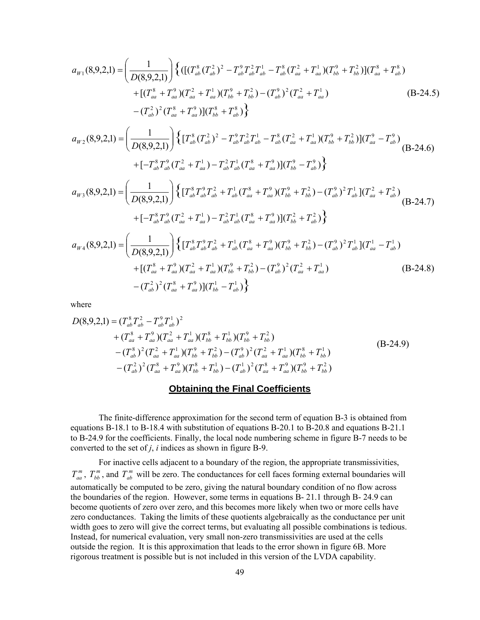<span id="page-57-0"></span>
$$
a_{W1}(8,9,2,1) = \left(\frac{1}{D(8,9,2,1)}\right) \left\{ \left( \left[ \left(T_{ab}^8 \left(T_{ab}^2\right)^2 - T_{ab}^9 T_{ab}^2 T_{ab}^1 - T_{ab}^8 \left(T_{aa}^2 + T_{aa}^1\right) \left(T_{bb}^9 + T_{bb}^2\right) \right] \right) \left(T_{aa}^8 + T_{ab}^8\right) \right. \\ \left. + \left[ \left(T_{aa}^8 + T_{aa}^9\right) \left(T_{aa}^2 + T_{aa}^1\right) \left(T_{bb}^9 + T_{bb}^2\right) - \left(T_{ab}^9\right)^2 \left(T_{aa}^2 + T_{aa}^1\right) \right] \right\} \\ \left. - \left(T_{ab}^2\right)^2 \left(T_{aa}^8 + T_{aa}^9\right) \left[ \left(T_{bb}^8 + T_{ab}^8\right) \right] \right\} \tag{B-24.5}
$$

$$
a_{W2}(8,9,2,1) = \left(\frac{1}{D(8,9,2,1)}\right) \left\{ \left[T_{ab}^{8}(T_{ab}^{2})^{2} - T_{ab}^{9}T_{ab}^{2}T_{ab}^{1} - T_{ab}^{8}(T_{aa}^{2} + T_{aa}^{1})(T_{bb}^{9} + T_{bb}^{2})\right] (T_{aa}^{9} - T_{ab}^{9}) \right\}
$$
  
+  $\left[-T_{ab}^{8}T_{ab}^{9}(T_{aa}^{2} + T_{aa}^{1}) - T_{ab}^{2}T_{ab}^{1}(T_{aa}^{8} + T_{aa}^{9})\right] (T_{bb}^{9} - T_{ab}^{9}) \right\}$  (B-24.6)

$$
a_{W3}(8,9,2,1) = \left(\frac{1}{D(8,9,2,1)}\right) \left\{ \left[T_{ab}^8 T_{ab}^9 T_{ab}^2 + T_{ab}^1 (T_{aa}^8 + T_{aa}^9) (T_{bb}^9 + T_{bb}^2) - (T_{ab}^9)^2 T_{ab}^1 \right] (T_{aa}^2 + T_{ab}^2) \right\}
$$
  
+ 
$$
\left[-T_{ab}^8 T_{ab}^9 (T_{aa}^2 + T_{aa}^1) - T_{ab}^2 T_{ab}^1 (T_{aa}^8 + T_{aa}^9) \right] (T_{bb}^2 + T_{ab}^2) \right\}
$$
 (B-24.7)

$$
a_{W4}(8,9,2,1) = \left(\frac{1}{D(8,9,2,1)}\right) \left\{ \left[T_{ab}^8 T_{ab}^9 T_{ab}^2 + T_{ab}^1 (T_{aa}^8 + T_{aa}^9) (T_{bb}^9 + T_{bb}^2) - (T_{ab}^9)^2 T_{ab}^1 \right] (T_{aa}^1 - T_{ab}^1) \right\} + \left[ (T_{aa}^8 + T_{aa}^9) (T_{aa}^2 + T_{aa}^1) (T_{bb}^9 + T_{bb}^2) - (T_{ab}^9)^2 (T_{aa}^2 + T_{aa}^1) \right] - (T_{ab}^2)^2 (T_{aa}^8 + T_{aa}^9) \left[ (T_{bb}^1 - T_{ab}^1) \right\}
$$
(B-24.8)

where

$$
D(8,9,2,1) = (T_{ab}^{8}T_{ab}^{2} - T_{ab}^{9}T_{ab}^{1})^{2}
$$
  
+  $(T_{aa}^{8} + T_{aa}^{9})(T_{aa}^{2} + T_{aa}^{1})(T_{bb}^{8} + T_{bb}^{1})(T_{bb}^{9} + T_{bb}^{2})$   
-  $(T_{ab}^{8})^{2}(T_{aa}^{2} + T_{aa}^{1})(T_{bb}^{9} + T_{bb}^{2}) - (T_{ab}^{9})^{2}(T_{aa}^{2} + T_{aa}^{1})(T_{bb}^{8} + T_{bb}^{1})$   
-  $(T_{ab}^{2})^{2}(T_{aa}^{8} + T_{aa}^{9})(T_{bb}^{8} + T_{bb}^{1}) - (T_{ab}^{1})^{2}(T_{aa}^{8} + T_{aa}^{9})(T_{bb}^{9} + T_{bb}^{2})$  (B-24.9)

#### **Obtaining the Final Coefficients**

The finite-difference approximation for the second term of equation B-3 is obtained from equations B-18.1 to B-18.4 with substitution of equations B-20.1 to B-20.8 and equations B-21.1 to B-24.9 for the coefficients. Finally, the local node numbering scheme in figure B-7 needs to be converted to the set of *j*, *i* indices as shown in figure B-9.

For inactive cells adjacent to a boundary of the region, the appropriate transmissivities,  $T_{aa}^m$ ,  $T_{bb}^m$ , and  $T_{ab}^m$  will be zero. The conductances for cell faces forming external boundaries will automatically be computed to be zero, giving the natural boundary condition of no flow across the boundaries of the region. However, some terms in equations B- 21.1 through B- 24.9 can become quotients of zero over zero, and this becomes more likely when two or more cells have zero conductances. Taking the limits of these quotients algebraically as the conductance per unit width goes to zero will give the correct terms, but evaluating all possible combinations is tedious. Instead, for numerical evaluation, very small non-zero transmissivities are used at the cells outside the region. It is this approximation that leads to the error shown in figure 6B. More rigorous treatment is possible but is not included in this version of the LVDA capability.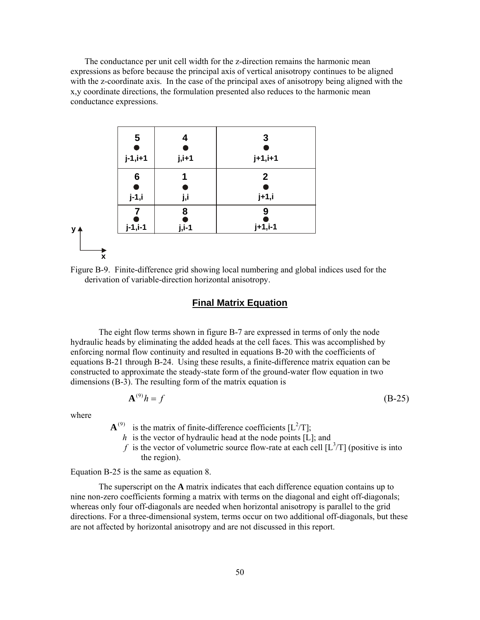<span id="page-58-0"></span>The conductance per unit cell width for the z-direction remains the harmonic mean expressions as before because the principal axis of vertical anisotropy continues to be aligned with the z-coordinate axis. In the case of the principal axes of anisotropy being aligned with the x,y coordinate directions, the formulation presented also reduces to the harmonic mean conductance expressions.





#### **Final Matrix Equation**

The eight flow terms shown in figure B-7 are expressed in terms of only the node hydraulic heads by eliminating the added heads at the cell faces. This was accomplished by enforcing normal flow continuity and resulted in equations B-20 with the coefficients of equations B-21 through B-24. Using these results, a finite-difference matrix equation can be constructed to approximate the steady-state form of the ground-water flow equation in two dimensions  $(B-3)$ . The resulting form of the matrix equation is

$$
\mathbf{A}^{(9)}h = f \tag{B-25}
$$

where

 ${\bf A}^{(9)}$  is the matrix of finite-difference coefficients [ $L^2/T$ ];

- *h* is the vector of hydraulic head at the node points [L]; and
- f is the vector of volumetric source flow-rate at each cell  $[L^3/T]$  (positive is into the region).

Equation B-25 is the same as equation 8.

The superscript on the **A** matrix indicates that each difference equation contains up to nine non-zero coefficients forming a matrix with terms on the diagonal and eight off-diagonals; whereas only four off-diagonals are needed when horizontal anisotropy is parallel to the grid directions. For a three-dimensional system, terms occur on two additional off-diagonals, but these are not affected by horizontal anisotropy and are not discussed in this report.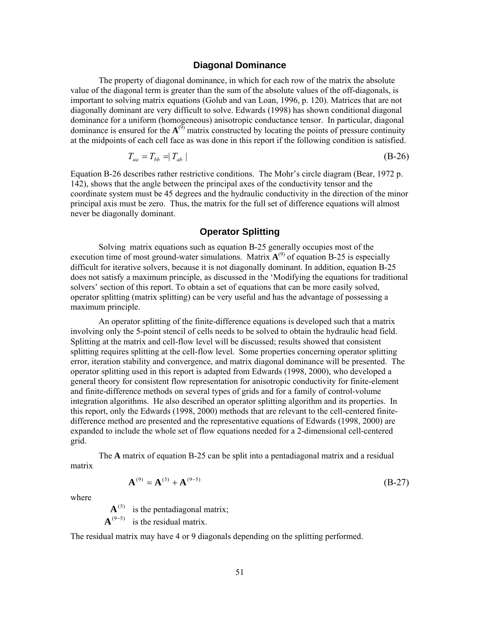#### **Diagonal Dominance**

<span id="page-59-0"></span>The property of diagonal dominance, in which for each row of the matrix the absolute value of the diagonal term is greater than the sum of the absolute values of the off-diagonals, is important to solving matrix equations (Golub and van Loan, 1996, p. 120). Matrices that are not diagonally dominant are very difficult to solve. Edwards (1998) has shown conditional diagonal dominance for a uniform (homogeneous) anisotropic conductance tensor. In particular, diagonal dominance is ensured for the  $A^{(9)}$  matrix constructed by locating the points of pressure continuity at the midpoints of each cell face as was done in this report if the following condition is satisfied.

$$
T_{aa} = T_{bb} = |T_{ab}| \tag{B-26}
$$

Equation B-26 describes rather restrictive conditions. The Mohr's circle diagram (Bear, 1972 p. 142), shows that the angle between the principal axes of the conductivity tensor and the coordinate system must be 45 degrees and the hydraulic conductivity in the direction of the minor principal axis must be zero. Thus, the matrix for the full set of difference equations will almost never be diagonally dominant.

#### **Operator Splitting**

Solving matrix equations such as equation B-25 generally occupies most of the execution time of most ground-water simulations. Matrix  $A^{(9)}$  of equation B-25 is especially difficult for iterative solvers, because it is not diagonally dominant. In addition, equation B-25 does not satisfy a maximum principle, as discussed in the 'Modifying the equations for traditional solvers' section of this report. To obtain a set of equations that can be more easily solved, operator splitting (matrix splitting) can be very useful and has the advantage of possessing a maximum principle.

An operator splitting of the finite-difference equations is developed such that a matrix involving only the 5-point stencil of cells needs to be solved to obtain the hydraulic head field. Splitting at the matrix and cell-flow level will be discussed; results showed that consistent splitting requires splitting at the cell-flow level. Some properties concerning operator splitting error, iteration stability and convergence, and matrix diagonal dominance will be presented. The operator splitting used in this report is adapted from Edwards (1998, 2000), who developed a general theory for consistent flow representation for anisotropic conductivity for finite-element and finite-difference methods on several types of grids and for a family of control-volume integration algorithms. He also described an operator splitting algorithm and its properties. In this report, only the Edwards (1998, 2000) methods that are relevant to the cell-centered finitedifference method are presented and the representative equations of Edwards (1998, 2000) are expanded to include the whole set of flow equations needed for a 2-dimensional cell-centered grid.

 The **A** matrix of equation B-25 can be split into a pentadiagonal matrix and a residual matrix

$$
\mathbf{A}^{(9)} = \mathbf{A}^{(5)} + \mathbf{A}^{(9-5)} \tag{B-27}
$$

where

 $\mathbf{A}^{(5)}$  is the pentadiagonal matrix;  $\mathbf{A}^{(9-5)}$  is the residual matrix.

The residual matrix may have 4 or 9 diagonals depending on the splitting performed.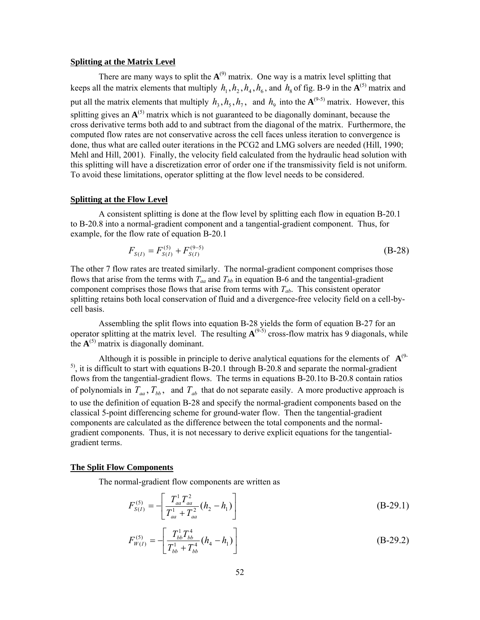#### <span id="page-60-0"></span>**Splitting at the Matrix Level**

There are many ways to split the  $A^{(9)}$  matrix. One way is a matrix level splitting that keeps all the matrix elements that multiply  $h_1$ ,  $h_2$ ,  $h_4$ ,  $h_6$ , and  $h_8$  of fig. B-9 in the  $A^{(5)}$  matrix and put all the matrix elements that multiply  $h_3$ ,  $h_5$ ,  $h_7$ , and  $h_9$  into the  $\mathbf{A}^{(9-5)}$  matrix. However, this splitting gives an  $A^{(5)}$  matrix which is not guaranteed to be diagonally dominant, because the cross derivative terms both add to and subtract from the diagonal of the matrix. Furthermore, the computed flow rates are not conservative across the cell faces unless iteration to convergence is done, thus what are called outer iterations in the PCG2 and LMG solvers are needed (Hill, 1990; Mehl and Hill, 2001). Finally, the velocity field calculated from the hydraulic head solution with this splitting will have a discretization error of order one if the transmissivity field is not uniform. To avoid these limitations, operator splitting at the flow level needs to be considered.

#### **Splitting at the Flow Level**

A consistent splitting is done at the flow level by splitting each flow in equation B-20.1 to B-20.8 into a normal-gradient component and a tangential-gradient component. Thus, for example, for the flow rate of equation B-20.1

$$
F_{S(I)} = F_{S(I)}^{(5)} + F_{S(I)}^{(9-5)}
$$
(B-28)

The other 7 flow rates are treated similarly. The normal-gradient component comprises those flows that arise from the terms with  $T_{aa}$  and  $T_{bb}$  in equation B-6 and the tangential-gradient component comprises those flows that arise from terms with  $T_{ab}$ . This consistent operator splitting retains both local conservation of fluid and a divergence-free velocity field on a cell-bycell basis.

Assembling the split flows into equation B-28 yields the form of equation B-27 for an operator splitting at the matrix level. The resulting  $A^{(9-5)}$  cross-flow matrix has 9 diagonals, while the  $A^{(5)}$  matrix is diagonally dominant.

Although it is possible in principle to derive analytical equations for the elements of  $A^{(9)}$ <sup>5)</sup>, it is difficult to start with equations B-20.1 through B-20.8 and separate the normal-gradient flows from the tangential-gradient flows. The terms in equations B-20.1to B-20.8 contain ratios of polynomials in  $T_{aa}$ ,  $T_{bb}$ , and  $T_{ab}$  that do not separate easily. A more productive approach is to use the definition of equation B-28 and specify the normal-gradient components based on the classical 5-point differencing scheme for ground-water flow. Then the tangential-gradient components are calculated as the difference between the total components and the normalgradient components. Thus, it is not necessary to derive explicit equations for the tangentialgradient terms.

#### **The Split Flow Components**

The normal-gradient flow components are written as

$$
F_{S(I)}^{(5)} = -\left[\frac{T_{aa}^1 T_{aa}^2}{T_{aa}^1 + T_{aa}^2} (h_2 - h_1)\right]
$$
(B-29.1)

$$
F_{W(I)}^{(5)} = -\left[\frac{T_{bb}^{1}T_{bb}^{4}}{T_{bb}^{1} + T_{bb}^{4}}(h_{4} - h_{1})\right]
$$
(B-29.2)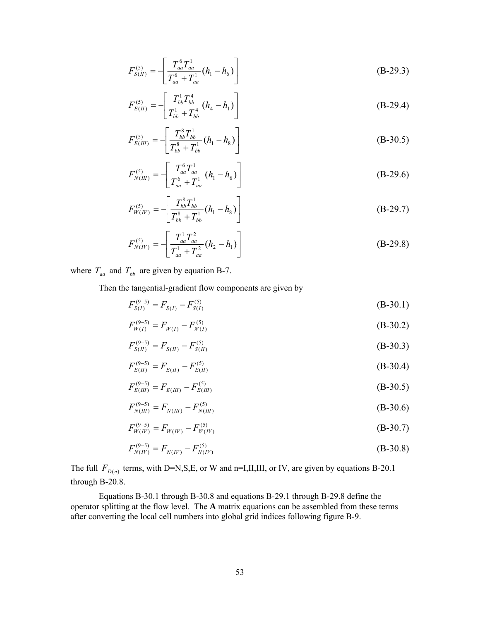$$
F_{S(H)}^{(5)} = -\left[\frac{T_{aa}^6 T_{aa}^1}{T_{aa}^6 + T_{aa}^1}(h_1 - h_6)\right]
$$
(B-29.3)

$$
F_{E(H)}^{(5)} = -\left[\frac{T_{bb}^{1}T_{bb}^{4}}{T_{bb}^{1} + T_{bb}^{4}}(h_{4} - h_{1})\right]
$$
(B-29.4)

$$
F_{E(III)}^{(5)} = -\left[\frac{T_{bb}^8 T_{bb}^1}{T_{bb}^8 + T_{bb}^1} (h_1 - h_8)\right]
$$
 (B-30.5)

$$
F_{N(III)}^{(5)} = -\left[\frac{T_{aa}^6 T_{aa}^1}{T_{aa}^6 + T_{aa}^1}(h_1 - h_6)\right]
$$
(B-29.6)

$$
F_{W(IV)}^{(5)} = -\left[\frac{T_{bb}^8 T_{bb}^1}{T_{bb}^8 + T_{bb}^1} (h_1 - h_8)\right]
$$
 (B-29.7)

$$
F_{N(W)}^{(5)} = -\left[\frac{T_{aa}^1 T_{aa}^2}{T_{aa}^1 + T_{aa}^2} (h_2 - h_1)\right]
$$
(B-29.8)

where  $T_{aa}$  and  $T_{bb}$  are given by equation B-7.

Then the tangential-gradient flow components are given by

$$
F_{S(I)}^{(9-5)} = F_{S(I)} - F_{S(I)}^{(5)}
$$
(B-30.1)

$$
F_{W(I)}^{(9-5)} = F_{W(I)} - F_{W(I)}^{(5)}
$$
 (B-30.2)

$$
F_{S(I)}^{(9-5)} = F_{S(I)} - F_{S(I)}^{(5)}
$$
(B-30.3)

$$
F_{E(II)}^{(9-5)} = F_{E(II)} - F_{E(II)}^{(5)}
$$
(B-30.4)

$$
F_{E(III)}^{(9-5)} = F_{E(III)} - F_{E(III)}^{(5)}
$$
(B-30.5)

$$
F_{N(III)}^{(9-5)} = F_{N(III)} - F_{N(III)}^{(5)}
$$
(B-30.6)

$$
F_{W(IV)}^{(9-5)} = F_{W(IV)} - F_{W(IV)}^{(5)}
$$
(B-30.7)

$$
F_{N(W)}^{(9-5)} = F_{N(W)} - F_{N(W)}^{(5)}\tag{B-30.8}
$$

The full  $F_{D(n)}$  terms, with D=N,S,E, or W and n=I,II,III, or IV, are given by equations B-20.1 through B-20.8.

Equations B-30.1 through B-30.8 and equations B-29.1 through B-29.8 define the operator splitting at the flow level. The **A** matrix equations can be assembled from these terms after converting the local cell numbers into global grid indices following figure B-9.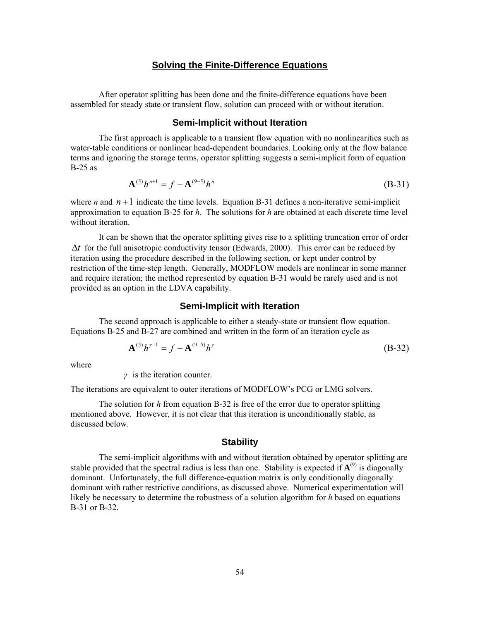#### **Solving the Finite-Difference Equations**

<span id="page-62-0"></span>After operator splitting has been done and the finite-difference equations have been assembled for steady state or transient flow, solution can proceed with or without iteration.

#### **Semi-Implicit without Iteration**

The first approach is applicable to a transient flow equation with no nonlinearities such as water-table conditions or nonlinear head-dependent boundaries. Looking only at the flow balance terms and ignoring the storage terms, operator splitting suggests a semi-implicit form of equation B-25 as

$$
\mathbf{A}^{(5)}h^{n+1} = f - \mathbf{A}^{(9-5)}h^{n}
$$
 (B-31)

where *n* and  $n+1$  indicate the time levels. Equation B-31 defines a non-iterative semi-implicit approximation to equation B-25 for *h*. The solutions for *h* are obtained at each discrete time level without iteration.

It can be shown that the operator splitting gives rise to a splitting truncation error of order ∆*t* for the full anisotropic conductivity tensor (Edwards, 2000). This error can be reduced by iteration using the procedure described in the following section, or kept under control by restriction of the time-step length. Generally, MODFLOW models are nonlinear in some manner and require iteration; the method represented by equation B-31 would be rarely used and is not provided as an option in the LDVA capability.

#### **Semi-Implicit with Iteration**

The second approach is applicable to either a steady-state or transient flow equation. Equations B-25 and B-27 are combined and written in the form of an iteration cycle as

$$
\mathbf{A}^{(5)}h^{\gamma+1} = f - \mathbf{A}^{(9-5)}h^{\gamma}
$$
 (B-32)

where

*γ* is the iteration counter.

The iterations are equivalent to outer iterations of MODFLOW's PCG or LMG solvers.

The solution for *h* from equation B-32 is free of the error due to operator splitting mentioned above. However, it is not clear that this iteration is unconditionally stable, as discussed below.

#### **Stability**

The semi-implicit algorithms with and without iteration obtained by operator splitting are stable provided that the spectral radius is less than one. Stability is expected if  $A^{(9)}$  is diagonally dominant. Unfortunately, the full difference-equation matrix is only conditionally diagonally dominant with rather restrictive conditions, as discussed above. Numerical experimentation will likely be necessary to determine the robustness of a solution algorithm for *h* based on equations B-31 or B-32.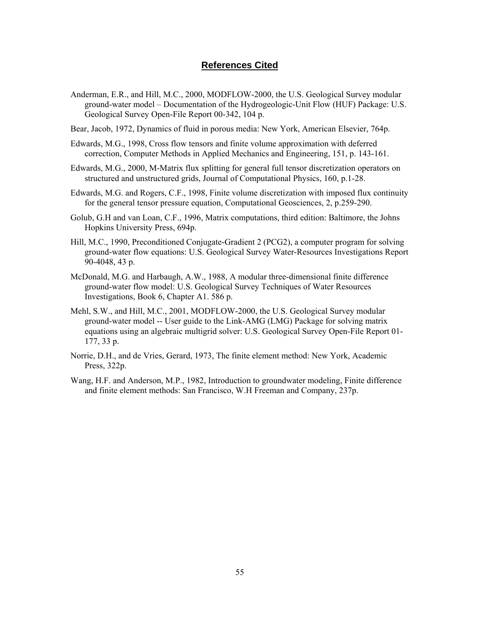#### **References Cited**

- <span id="page-63-0"></span>Anderman, E.R., and Hill, M.C., 2000, MODFLOW-2000, the U.S. Geological Survey modular ground-water model – Documentation of the Hydrogeologic-Unit Flow (HUF) Package: U.S. Geological Survey Open-File Report 00-342, 104 p.
- Bear, Jacob, 1972, Dynamics of fluid in porous media: New York, American Elsevier, 764p.
- Edwards, M.G., 1998, Cross flow tensors and finite volume approximation with deferred correction, Computer Methods in Applied Mechanics and Engineering, 151, p. 143-161.
- Edwards, M.G., 2000, M-Matrix flux splitting for general full tensor discretization operators on structured and unstructured grids, Journal of Computational Physics, 160, p.1-28.
- Edwards, M.G. and Rogers, C.F., 1998, Finite volume discretization with imposed flux continuity for the general tensor pressure equation, Computational Geosciences, 2, p.259-290.
- Golub, G.H and van Loan, C.F., 1996, Matrix computations, third edition: Baltimore, the Johns Hopkins University Press, 694p.
- Hill, M.C., 1990, Preconditioned Conjugate-Gradient 2 (PCG2), a computer program for solving ground-water flow equations: U.S. Geological Survey Water-Resources Investigations Report 90-4048, 43 p.
- McDonald, M.G. and Harbaugh, A.W., 1988, A modular three-dimensional finite difference ground-water flow model: U.S. Geological Survey Techniques of Water Resources Investigations, Book 6, Chapter A1. 586 p.
- Mehl, S.W., and Hill, M.C., 2001, MODFLOW-2000, the U.S. Geological Survey modular ground-water model -- User guide to the Link-AMG (LMG) Package for solving matrix equations using an algebraic multigrid solver: U.S. Geological Survey Open-File Report 01- 177, 33 p.
- Norrie, D.H., and de Vries, Gerard, 1973, The finite element method: New York, Academic Press, 322p.
- Wang, H.F. and Anderson, M.P., 1982, Introduction to groundwater modeling, Finite difference and finite element methods: San Francisco, W.H Freeman and Company, 237p.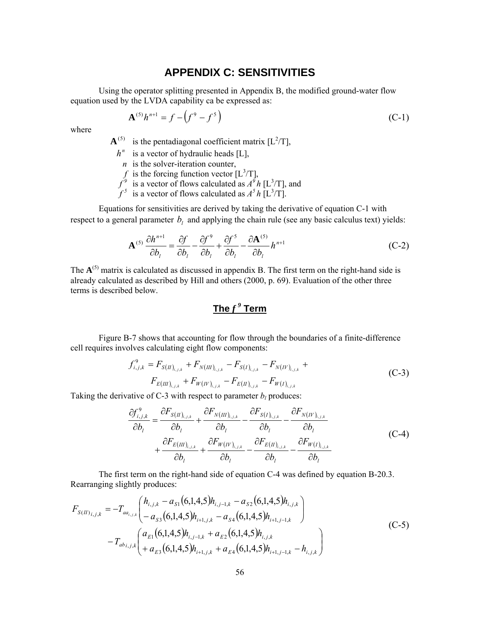### **APPENDIX C: SENSITIVITIES**

<span id="page-64-0"></span>Using the operator splitting presented in Appendix B, the modified ground-water flow equation used by the LVDA capability ca be expressed as:

$$
\mathbf{A}^{(5)}h^{n+1} = f - \left(f^9 - f^5\right) \tag{C-1}
$$

where

 ${\bf A}^{(5)}$  is the pentadiagonal coefficient matrix [ $L^2/T$ ],

- $h^n$  is a vector of hydraulic heads [L],
	- *n* is the solver-iteration counter,
	- f is the forcing function vector  $[L^3/T]$ ,
- $f^9$  is a vector of flows calculated as  $A^{\bar{9}}h$  [L<sup>3</sup>/T], and
- $f^5$  is a vector of flows calculated as  $A^5 h$  [L<sup>3</sup>/T].

Equations for sensitivities are derived by taking the derivative of equation C-1 with respect to a general parameter  $b_i$  and applying the chain rule (see any basic calculus text) yields:

$$
\mathbf{A}^{(5)}\frac{\partial h^{n+1}}{\partial b_l} = \frac{\partial f}{\partial b_l} - \frac{\partial f^9}{\partial b_l} + \frac{\partial f^5}{\partial b_l} - \frac{\partial \mathbf{A}^{(5)}}{\partial b_l}h^{n+1}
$$
(C-2)

The  $A^{(5)}$  matrix is calculated as discussed in appendix B. The first term on the right-hand side is already calculated as described by Hill and others (2000, p. 69). Evaluation of the other three terms is described below.

# **The** *f <sup>9</sup>*  **Term**

Figure B-7 shows that accounting for flow through the boundaries of a finite-difference cell requires involves calculating eight flow components:

$$
f_{i,j,k}^9 = F_{S(H)_{i,j,k}} + F_{N(H)_{i,j,k}} - F_{S(I)_{i,j,k}} - F_{N(H')_{i,j,k}} +
$$
  

$$
F_{E(H)_{i,j,k}} + F_{W(H')_{i,j,k}} - F_{E(H)_{i,j,k}} - F_{W(I)_{i,j,k}}
$$
 (C-3)

Taking the derivative of C-3 with respect to parameter  $b_l$  produces:

$$
\frac{\partial f_{i,j,k}^9}{\partial b_l} = \frac{\partial F_{S(H)_{i,j,k}}}{\partial b_l} + \frac{\partial F_{N(H)_{i,j,k}}}{\partial b_l} - \frac{\partial F_{S(I)_{i,j,k}}}{\partial b_l} - \frac{\partial F_{N(W)_{i,j,k}}}{\partial b_l} + \frac{\partial F_{E(H)_{i,j,k}}}{\partial b_l} + \frac{\partial F_{W(W)_{i,j,k}}}{\partial b_l} - \frac{\partial F_{E(H)_{i,j,k}}}{\partial b_l} - \frac{\partial F_{W(I)_{i,j,k}}}{\partial b_l}
$$
\n(C-4)

The first term on the right-hand side of equation C-4 was defined by equation B-20.3. Rearranging slightly produces:

$$
F_{S(I)}_{i,j,k} = -T_{aa_{i,j,k}} \begin{pmatrix} h_{i,j,k} - a_{S1} (6,1,4,5) h_{i,j-1,k} - a_{S2} (6,1,4,5) h_{i,j,k} \\ -a_{S3} (6,1,4,5) h_{i+1,j,k} - a_{S4} (6,1,4,5) h_{i+1,j-1,k} \end{pmatrix}
$$
  
-  $T_{abi,j,k} \begin{pmatrix} a_{E1} (6,1,4,5) h_{i,j-1,k} + a_{E2} (6,1,4,5) h_{i,j,k} \\ + a_{E3} (6,1,4,5) h_{i+1,j,k} + a_{E4} (6,1,4,5) h_{i+1,j-1,k} - h_{i,j,k} \end{pmatrix}$  (C-5)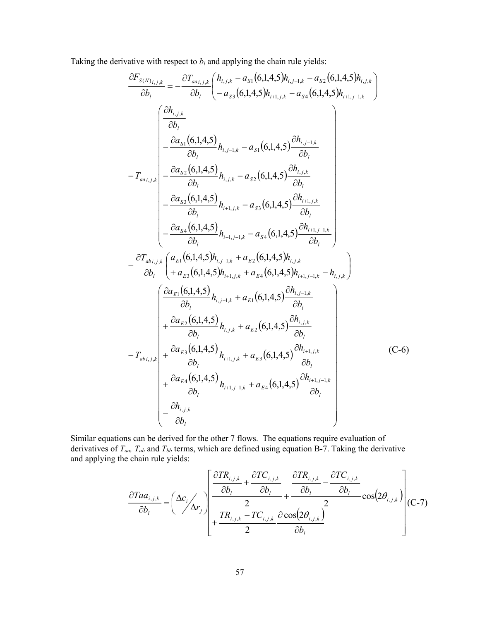Taking the derivative with respect to  $b_l$  and applying the chain rule yields:

$$
\frac{\partial F_{s(N)_{i,j,k}}}{\partial b_{l}} = -\frac{\partial T_{aa_{i,j,k}}}{\partial b_{l}} \left( h_{i,j,k} - a_{s1} (6,1,4,5) h_{i,j-k} - a_{s2} (6,1,4,5) h_{i,j,k} \right)
$$
\n
$$
\frac{\partial h_{i,j,k}}{\partial b_{l}} = -\frac{\partial a_{s1} (6,1,4,5)}{\partial b_{l}} h_{i,j,k} - a_{s1} (6,1,4,5) h_{i,j,k} - a_{s4} (6,1,4,5) h_{i,j,k} \right)
$$
\n
$$
-T_{aa_{i,j,k}} \left( \begin{array}{c} \frac{\partial a_{s1} (6,1,4,5)}{\partial b_{l}} h_{i,j,k} - a_{s1} (6,1,4,5) \frac{\partial h_{i,j,k}}{\partial b_{l}} \\ -\frac{\partial a_{s2} (6,1,4,5)}{\partial b_{l}} h_{i,j,k} - a_{s2} (6,1,4,5) \frac{\partial h_{i,j,k}}{\partial b_{l}} \\ -\frac{\partial a_{s3} (6,1,4,5)}{\partial b_{l}} h_{i,j,k} - a_{s3} (6,1,4,5) \frac{\partial h_{i+1,j,k}}{\partial b_{l}} \end{array} \right)
$$
\n
$$
- \frac{\partial T_{ab_{i,j,k}}}{\partial b_{l}} \left( a_{k1} (6,1,4,5) h_{i,j-1,k} + a_{k2} (6,1,4,5) h_{i,j,k} - h_{i,j,k} \right)
$$
\n
$$
- \frac{\partial T_{ab_{i,j,k}}}{\partial b_{l}} \left( a_{k1} (6,1,4,5) h_{i+1,j,k} + a_{k4} (6,1,4,5) h_{i+1,j-1,k} - h_{i,j,k} \right)
$$
\n
$$
\left( \frac{\partial a_{k1} (6,1,4,5)}{\partial b_{l}} h_{i,j,k} + a_{k2} (6,1,4,5) \frac{\partial h_{i,j,k}}{\partial b_{l}} - h_{i,j,k} \right)
$$
\n
$$
- T_{ab_{i,j,k}} \left( \frac{\partial a_{k2} (6,1,4,5)}{\partial b_{l}} h_{i+1,j,k} + a_{k3} (6,1,4,5) \frac{\partial h_{i+1,j,k}}{\partial
$$

Similar equations can be derived for the other 7 flows. The equations require evaluation of derivatives of  $T_{aa}$ ,  $T_{ab}$  and  $T_{bb}$  terms, which are defined using equation B-7. Taking the derivative and applying the chain rule yields:

$$
\frac{\partial Taa_{i,j,k}}{\partial b_i} = \left(\frac{\Delta c_i}{\Delta r_j}\right) \left[\frac{\frac{\partial TR_{i,j,k}}{\partial b_i} + \frac{\partial TC_{i,j,k}}{\partial b_i}}{2} + \frac{\frac{\partial TR_{i,j,k}}{\partial b_i} - \frac{\partial TC_{i,j,k}}{\partial b_i}}{2} \cos(2\theta_{i,j,k})\right] (C-7)
$$
\n
$$
+ \frac{TR_{i,j,k} - TC_{i,j,k}}{2} \frac{\partial \cos(2\theta_{i,j,k})}{\partial b_i} \right]
$$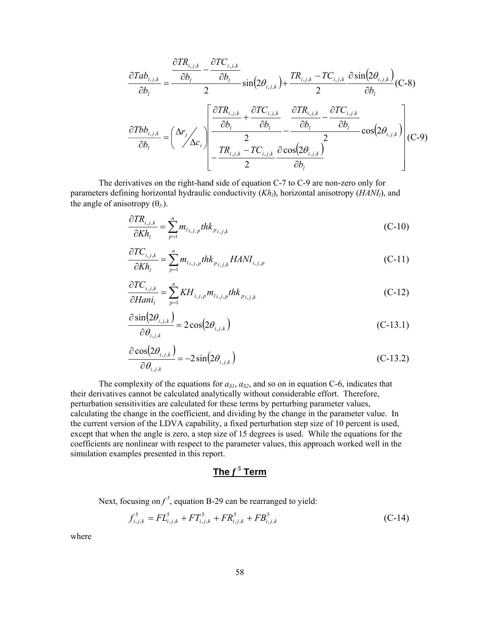<span id="page-66-0"></span>
$$
\frac{\partial Tab_{i,j,k}}{\partial b_{i}} = \frac{\frac{\partial TR_{i,j,k}}{\partial b_{i}} - \frac{\partial TC_{i,j,k}}{\partial b_{i}} \sin(2\theta_{i,j,k}) + \frac{TR_{i,j,k} - TC_{i,j,k}}{2} \frac{\partial \sin(2\theta_{i,j,k})}{\partial b_{i}} (C-8)}{\partial b_{i}}
$$
\n
$$
\frac{\partial Tbb_{i,j,k}}{\partial b_{i}} = \left(\frac{\Delta r_{j}}{\Delta c_{i}}\right) \left[\frac{\frac{\partial TR_{i,j,k}}{\partial b_{i}} + \frac{\partial TC_{i,j,k}}{\partial b_{i}}}{2} - \frac{\frac{\partial TR_{i,j,k}}{\partial b_{i}} - \frac{\partial TC_{i,j,k}}{\partial b_{i}}}{2} \cos(2\theta_{i,j,k})\right] (C-9)
$$

The derivatives on the right-hand side of equation C-7 to C-9 are non-zero only for parameters defining horizontal hydraulic conductivity (*Kh<sub>l</sub>*), horizontal anisotropy (*HANI<sub>l</sub>*), and the angle of anisotropy  $(\theta_l)$ .

$$
\frac{\partial TR_{i,j,k}}{\partial Kh_l} = \sum_{p=1}^n m_{l_{i,j,p}} thk_{p_{i,j,k}}
$$
\n(C-10)

$$
\frac{\partial TC_{i,j,k}}{\partial Kh_l} = \sum_{p=1}^n m_{l_{i,j,p}} thk_{p_{i,j,k}} HANI_{i,j,p}
$$
\n(C-11)

$$
\frac{\partial TC_{i,j,k}}{\partial Han_i} = \sum_{p=1}^{n} KH_{i,j,p} m_{i,j,p} thk_{p_{i,j,k}}
$$
\n(C-12)

$$
\frac{\partial \sin(2\theta_{i,j,k})}{\partial \theta_{i,j,k}} = 2\cos(2\theta_{i,j,k})
$$
\n(C-13.1)

$$
\frac{\partial \cos(2\theta_{i,j,k})}{\partial \theta_{i,j,k}} = -2\sin(2\theta_{i,j,k})
$$
\n(C-13.2)

The complexity of the equations for  $a_{SI}$ ,  $a_{S2}$ , and so on in equation C-6, indicates that their derivatives cannot be calculated analytically without considerable effort. Therefore, perturbation sensitivities are calculated for these terms by perturbing parameter values, calculating the change in the coefficient, and dividing by the change in the parameter value. In the current version of the LDVA capability, a fixed perturbation step size of 10 percent is used, except that when the angle is zero, a step size of 15 degrees is used. While the equations for the coefficients are nonlinear with respect to the parameter values, this approach worked well in the simulation examples presented in this report.

### $\mathbf{The} \, f^5 \, \mathbf{Term}$

Next, focusing on  $f^5$ , equation B-29 can be rearranged to yield:

$$
f_{i,j,k}^5 = FL_{i,j,k}^5 + FT_{i,j,k}^5 + FR_{i,j,k}^5 + FB_{i,j,k}^5
$$
 (C-14)

where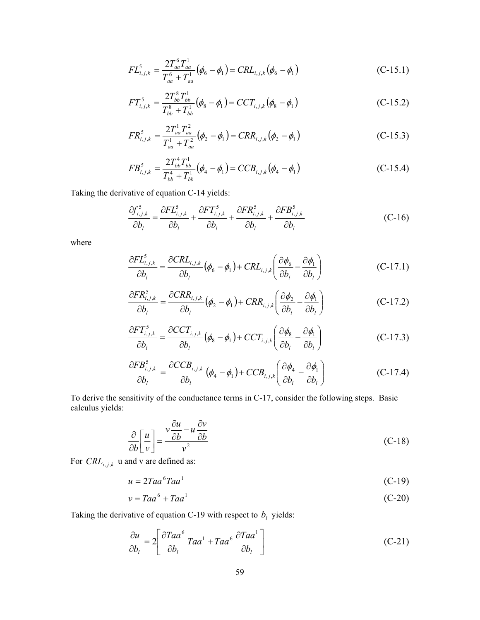$$
FL_{i,j,k}^5 = \frac{2T_{aa}^6 T_{aa}^1}{T_{aa}^6 + T_{aa}^1} (\phi_6 - \phi_1) = CRL_{i,j,k} (\phi_6 - \phi_1)
$$
 (C-15.1)

$$
FT_{i,j,k}^5 = \frac{2T_{bb}^8 T_{bb}^1}{T_{bb}^8 + T_{bb}^1} (\phi_8 - \phi_1) = CCT_{i,j,k} (\phi_8 - \phi_1)
$$
 (C-15.2)

$$
FR_{i,j,k}^5 = \frac{2T_{aa}^1 T_{aa}^2}{T_{aa}^1 + T_{aa}^2} (\phi_2 - \phi_1) = CRR_{i,j,k} (\phi_2 - \phi_1)
$$
 (C-15.3)

$$
FB_{i,j,k}^5 = \frac{2T_{bb}^4 T_{bb}^1}{T_{bb}^4 + T_{bb}^1} (\phi_4 - \phi_1) = CCB_{i,j,k} (\phi_4 - \phi_1)
$$
 (C-15.4)

Taking the derivative of equation C-14 yields:

$$
\frac{\partial f_{i,j,k}^5}{\partial b_l} = \frac{\partial F L_{i,j,k}^5}{\partial b_l} + \frac{\partial F T_{i,j,k}^5}{\partial b_l} + \frac{\partial F R_{i,j,k}^5}{\partial b_l} + \frac{\partial F B_{i,j,k}^5}{\partial b_l}
$$
(C-16)

where

$$
\frac{\partial FL_{i,j,k}^5}{\partial b_l} = \frac{\partial CRL_{i,j,k}}{\partial b_l} (\phi_6 - \phi_1) + CRL_{i,j,k} \left( \frac{\partial \phi_6}{\partial b_l} - \frac{\partial \phi_1}{\partial b_l} \right)
$$
(C-17.1)

$$
\frac{\partial FR_{i,j,k}^5}{\partial b_l} = \frac{\partial CRR_{i,j,k}}{\partial b_l} (\phi_2 - \phi_1) + CRR_{i,j,k} \left( \frac{\partial \phi_2}{\partial b_l} - \frac{\partial \phi_1}{\partial b_l} \right)
$$
(C-17.2)

$$
\frac{\partial FT_{i,j,k}^{5}}{\partial b_{l}} = \frac{\partial CCT_{i,j,k}}{\partial b_{l}} (\phi_{8} - \phi_{1}) + CCT_{i,j,k} \left(\frac{\partial \phi_{8}}{\partial b_{l}} - \frac{\partial \phi_{1}}{\partial b_{l}}\right)
$$
(C-17.3)

$$
\frac{\partial FB_{i,j,k}^5}{\partial b_l} = \frac{\partial CCB_{i,j,k}}{\partial b_l} (\phi_4 - \phi_1) + CCB_{i,j,k} \left( \frac{\partial \phi_4}{\partial b_l} - \frac{\partial \phi_1}{\partial b_l} \right)
$$
(C-17.4)

To derive the sensitivity of the conductance terms in C-17, consider the following steps. Basic calculus yields:

$$
\frac{\partial}{\partial b} \left[ \frac{u}{v} \right] = \frac{v \frac{\partial u}{\partial b} - u \frac{\partial v}{\partial b}}{v^2}
$$
\n(C-18)

For  $CRL_{i,j,k}$  u and v are defined as:

$$
u = 2Ta a^6 Ta a^1 \tag{C-19}
$$

$$
v = Taa^6 + Taa^1 \tag{C-20}
$$

Taking the derivative of equation C-19 with respect to  $b_l$  yields:

$$
\frac{\partial u}{\partial b_l} = 2 \left[ \frac{\partial Ta a^6}{\partial b_l} Ta a^1 + Ta a^6 \frac{\partial Ta a^1}{\partial b_l} \right]
$$
(C-21)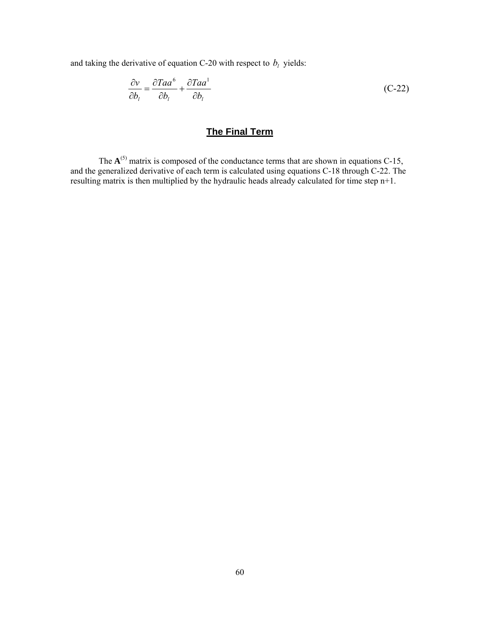<span id="page-68-0"></span>and taking the derivative of equation C-20 with respect to  $b_l$  yields:

$$
\frac{\partial v}{\partial b_l} = \frac{\partial Taa^6}{\partial b_l} + \frac{\partial Taa^1}{\partial b_l}
$$
 (C-22)

# **The Final Term**

The  $A^{(5)}$  matrix is composed of the conductance terms that are shown in equations C-15, and the generalized derivative of each term is calculated using equations C-18 through C-22. The resulting matrix is then multiplied by the hydraulic heads already calculated for time step n+1.